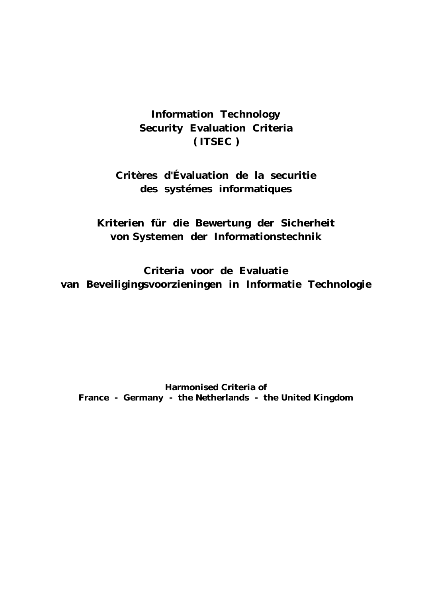# **Information Technology Security Evaluation Criteria ( ITSEC )**

# **Critères d'Évaluation de la securitie des systémes informatiques**

**Kriterien für die Bewertung der Sicherheit von Systemen der Informationstechnik**

**Criteria voor de Evaluatie van Beveiligingsvoorzieningen in Informatie Technologie**

**Harmonised Criteria of France - Germany - the Netherlands - the United Kingdom**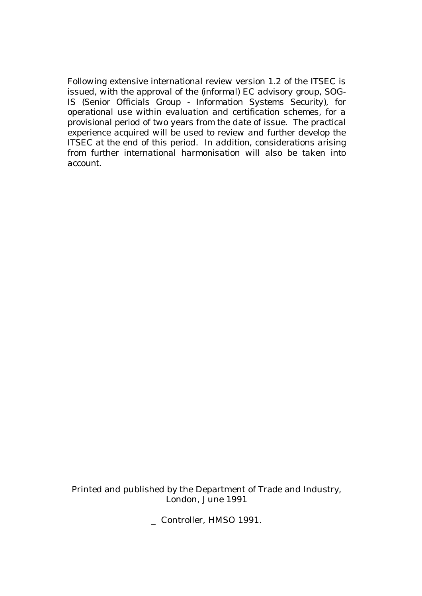*Following extensive international review version 1.2 of the ITSEC is issued, with the approval of the (informal) EC advisory group, SOG-IS (Senior Officials Group - Information Systems Security), for operational use within evaluation and certification schemes, for a provisional period of two years from the date of issue. The practical experience acquired will be used to review and further develop the ITSEC at the end of this period. In addition, considerations arising from further international harmonisation will also be taken into account.*

Printed and published by the Department of Trade and Industry, London, June 1991

\_ Controller, HMSO 1991.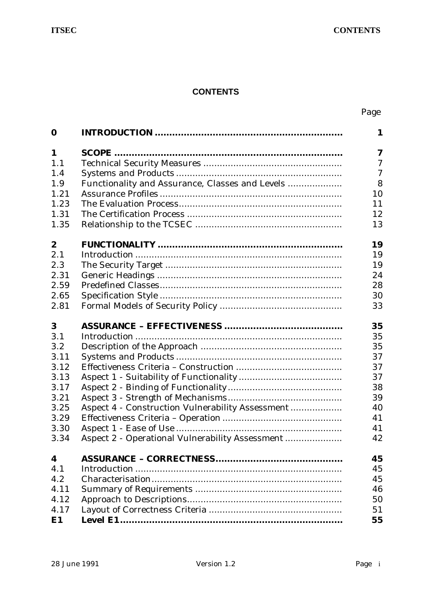## **CONTENTS**

## Page

| $\bf{0}$         |                                                  | $\mathbf{1}$   |
|------------------|--------------------------------------------------|----------------|
| 1                |                                                  | 7              |
| 1.1              |                                                  | $\overline{7}$ |
| 1.4              |                                                  | $\overline{7}$ |
| 1.9              | Functionality and Assurance, Classes and Levels  | 8              |
| 1.21             |                                                  | 10             |
| 1.23             |                                                  | 11             |
| 1.31             |                                                  | 12             |
| 1.35             |                                                  | 13             |
| $\boldsymbol{2}$ |                                                  | 19             |
| 2.1              |                                                  | 19             |
| 2.3              |                                                  | 19             |
| 2.31             |                                                  | 24             |
| 2.59             |                                                  | 28             |
| 2.65             |                                                  | 30             |
| 2.81             |                                                  | 33             |
| 3                |                                                  | 35             |
| 3.1              |                                                  | 35             |
| 3.2              |                                                  | 35             |
| 3.11             |                                                  | 37             |
| 3.12             |                                                  | 37             |
| 3.13             |                                                  | 37             |
| 3.17             |                                                  | 38             |
| 3.21             |                                                  | 39             |
| 3.25             | Aspect 4 - Construction Vulnerability Assessment | 40             |
| 3.29             |                                                  | 41             |
| 3.30             |                                                  | 41             |
| 3.34             | Aspect 2 - Operational Vulnerability Assessment  | 42             |
| 4                |                                                  | 45             |
| 4.1              |                                                  | 45             |
| 4.2              |                                                  | 45             |
| 4.11             |                                                  | 46             |
| 4.12             |                                                  | 50             |
| 4.17             |                                                  | 51             |
| E1               |                                                  | 55             |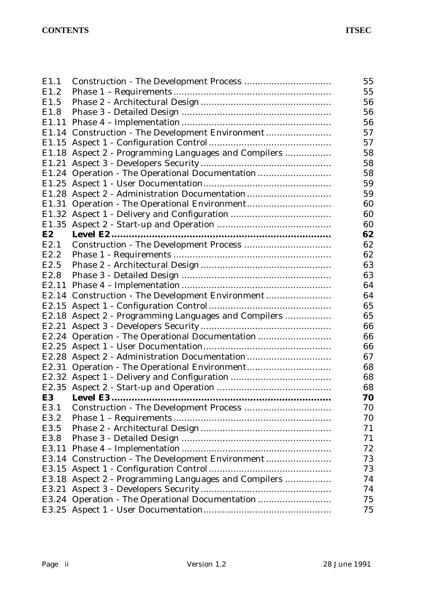| E1.1              |                                                      | 55 |
|-------------------|------------------------------------------------------|----|
| E1.2              |                                                      | 55 |
| E1.5              |                                                      | 56 |
| E1.8              |                                                      | 56 |
| E <sub>1.11</sub> |                                                      | 56 |
|                   | E1.14 Construction - The Development Environment     | 57 |
|                   |                                                      | 57 |
|                   | E1.18 Aspect 2 - Programming Languages and Compilers | 58 |
|                   |                                                      | 58 |
|                   | E1.24 Operation - The Operational Documentation      | 58 |
|                   |                                                      | 59 |
|                   | E1.28 Aspect 2 - Administration Documentation        | 59 |
|                   |                                                      | 60 |
|                   |                                                      | 60 |
|                   |                                                      | 60 |
| <b>E2</b>         |                                                      | 62 |
| E2.1              |                                                      | 62 |
| E2.2              |                                                      | 62 |
| E2.5              |                                                      | 63 |
| E <sub>2.8</sub>  |                                                      | 63 |
|                   |                                                      | 64 |
|                   | E2.14 Construction - The Development Environment     | 64 |
|                   |                                                      | 65 |
|                   | E2.18 Aspect 2 - Programming Languages and Compilers | 65 |
|                   |                                                      | 66 |
|                   | E2.24 Operation - The Operational Documentation      | 66 |
|                   |                                                      | 66 |
|                   | E2.28 Aspect 2 - Administration Documentation        | 67 |
|                   |                                                      | 68 |
|                   |                                                      | 68 |
|                   |                                                      | 68 |
| E <sub>3</sub>    |                                                      | 70 |
| E3.1              |                                                      | 70 |
| E3.2              |                                                      | 70 |
| E3.5              |                                                      | 71 |
| E3.8              |                                                      | 71 |
| E3.11             |                                                      | 72 |
| E3.14             |                                                      | 73 |
|                   |                                                      | 73 |
|                   | E3.18 Aspect 2 - Programming Languages and Compilers | 74 |
| E3.21             |                                                      | 74 |
|                   | E3.24 Operation - The Operational Documentation      | 75 |
|                   |                                                      | 75 |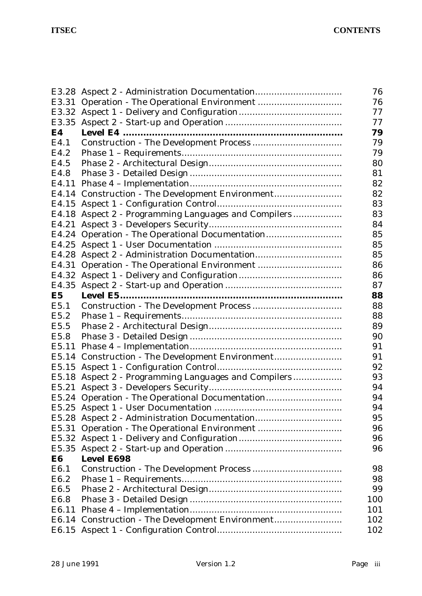|                  | E3.28 Aspect 2 - Administration Documentation        | 76  |  |  |
|------------------|------------------------------------------------------|-----|--|--|
| E3.31            |                                                      | 76  |  |  |
| E3.32            |                                                      |     |  |  |
| E3.35            |                                                      |     |  |  |
| E4               |                                                      | 79  |  |  |
| E4.1             |                                                      | 79  |  |  |
| E4.2             |                                                      | 79  |  |  |
| E4.5             |                                                      | 80  |  |  |
| E4.8             |                                                      | 81  |  |  |
| E4.11            |                                                      | 82  |  |  |
|                  | E4.14 Construction - The Development Environment     | 82  |  |  |
| E4.15            |                                                      | 83  |  |  |
| E4.18            | Aspect 2 - Programming Languages and Compilers       | 83  |  |  |
| E4.21            |                                                      | 84  |  |  |
| E4.24            |                                                      | 85  |  |  |
| E4.25            |                                                      | 85  |  |  |
| E4.28            |                                                      | 85  |  |  |
| E4.31            |                                                      | 86  |  |  |
| E4.32            |                                                      | 86  |  |  |
| E4.35            |                                                      | 87  |  |  |
| E <sub>5</sub>   |                                                      | 88  |  |  |
| E5.1             |                                                      | 88  |  |  |
| E5.2             |                                                      | 88  |  |  |
| E5.5             |                                                      | 89  |  |  |
| E5.8             |                                                      | 90  |  |  |
| E5.11            |                                                      | 91  |  |  |
|                  | E5.14 Construction - The Development Environment     | 91  |  |  |
|                  |                                                      | 92  |  |  |
|                  | E5.18 Aspect 2 - Programming Languages and Compilers | 93  |  |  |
|                  |                                                      | 94  |  |  |
|                  | E5.24 Operation - The Operational Documentation      | 94  |  |  |
|                  |                                                      | 94  |  |  |
|                  | E5.28 Aspect 2 - Administration Documentation        | 95  |  |  |
| E5.31            |                                                      | 96  |  |  |
|                  |                                                      | 96  |  |  |
| E5.35            |                                                      | 96  |  |  |
| E6               | <b>Level E698</b>                                    |     |  |  |
| E6.1             |                                                      | 98  |  |  |
| E <sub>6.2</sub> |                                                      | 98  |  |  |
| E <sub>6.5</sub> |                                                      | 99  |  |  |
| E <sub>6.8</sub> |                                                      | 100 |  |  |
| E6.11            |                                                      | 101 |  |  |
|                  | E6.14 Construction - The Development Environment     | 102 |  |  |
|                  |                                                      | 102 |  |  |
|                  |                                                      |     |  |  |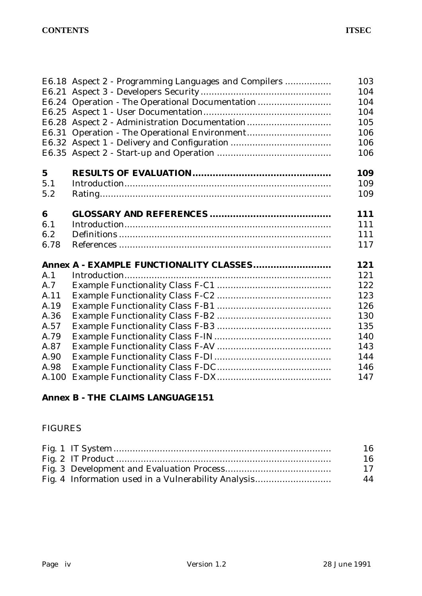|             | E6.18 Aspect 2 - Programming Languages and Compilers | 103 |
|-------------|------------------------------------------------------|-----|
|             |                                                      | 104 |
|             | E6.24 Operation - The Operational Documentation      | 104 |
|             |                                                      | 104 |
|             | E6.28 Aspect 2 - Administration Documentation        | 105 |
|             |                                                      | 106 |
|             |                                                      | 106 |
|             |                                                      | 106 |
| $\mathbf 5$ |                                                      | 109 |
| 5.1         |                                                      | 109 |
| 5.2         |                                                      | 109 |
| 6           |                                                      | 111 |
| 6.1         |                                                      | 111 |
| 6.2         |                                                      | 111 |
| 6.78        |                                                      | 117 |
|             | Annex A - EXAMPLE FUNCTIONALITY CLASSES              | 121 |
| A.1         |                                                      | 121 |
| A.7         |                                                      | 122 |
| A.11        |                                                      | 123 |
| A.19        |                                                      | 126 |
| A.36        |                                                      | 130 |
| A.57        |                                                      | 135 |
| A.79        |                                                      | 140 |
| A.87        |                                                      | 143 |
| A.90        |                                                      | 144 |
| A.98        |                                                      | 146 |
| A.100       |                                                      | 147 |
|             |                                                      |     |

# **Annex B - THE CLAIMS LANGUAGE151**

## FIGURES

|                                                     | 16 |
|-----------------------------------------------------|----|
|                                                     | 16 |
|                                                     | 17 |
| Fig. 4 Information used in a Vulnerability Analysis | 44 |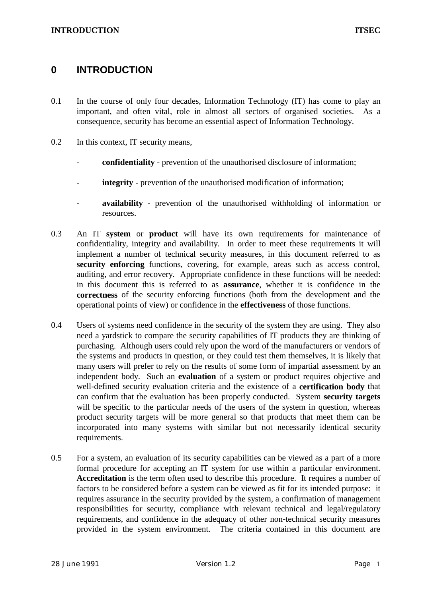## **0 INTRODUCTION**

- 0.1 In the course of only four decades, Information Technology (IT) has come to play an important, and often vital, role in almost all sectors of organised societies. As a consequence, security has become an essential aspect of Information Technology.
- 0.2 In this context, IT security means,
	- **confidentiality** prevention of the unauthorised disclosure of information;
	- **integrity** prevention of the unauthorised modification of information;
	- **availability** prevention of the unauthorised withholding of information or resources.
- 0.3 An IT **system** or **product** will have its own requirements for maintenance of confidentiality, integrity and availability. In order to meet these requirements it will implement a number of technical security measures, in this document referred to as **security enforcing** functions, covering, for example, areas such as access control, auditing, and error recovery. Appropriate confidence in these functions will be needed: in this document this is referred to as **assurance**, whether it is confidence in the **correctness** of the security enforcing functions (both from the development and the operational points of view) or confidence in the **effectiveness** of those functions.
- 0.4 Users of systems need confidence in the security of the system they are using. They also need a yardstick to compare the security capabilities of IT products they are thinking of purchasing. Although users could rely upon the word of the manufacturers or vendors of the systems and products in question, or they could test them themselves, it is likely that many users will prefer to rely on the results of some form of impartial assessment by an independent body. Such an **evaluation** of a system or product requires objective and well-defined security evaluation criteria and the existence of a **certification body** that can confirm that the evaluation has been properly conducted. System **security targets** will be specific to the particular needs of the users of the system in question, whereas product security targets will be more general so that products that meet them can be incorporated into many systems with similar but not necessarily identical security requirements.
- 0.5 For a system, an evaluation of its security capabilities can be viewed as a part of a more formal procedure for accepting an IT system for use within a particular environment. Accreditation is the term often used to describe this procedure. It requires a number of factors to be considered before a system can be viewed as fit for its intended purpose: it requires assurance in the security provided by the system, a confirmation of management responsibilities for security, compliance with relevant technical and legal/regulatory requirements, and confidence in the adequacy of other non-technical security measures provided in the system environment. The criteria contained in this document are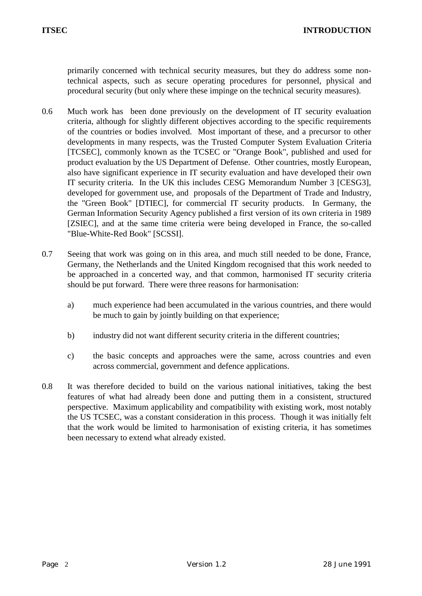primarily concerned with technical security measures, but they do address some nontechnical aspects, such as secure operating procedures for personnel, physical and procedural security (but only where these impinge on the technical security measures).

- 0.6 Much work has been done previously on the development of IT security evaluation criteria, although for slightly different objectives according to the specific requirements of the countries or bodies involved. Most important of these, and a precursor to other developments in many respects, was the Trusted Computer System Evaluation Criteria [TCSEC], commonly known as the TCSEC or "Orange Book", published and used for product evaluation by the US Department of Defense. Other countries, mostly European, also have significant experience in IT security evaluation and have developed their own IT security criteria. In the UK this includes CESG Memorandum Number 3 [CESG3], developed for government use, and proposals of the Department of Trade and Industry, the "Green Book" [DTIEC], for commercial IT security products. In Germany, the German Information Security Agency published a first version of its own criteria in 1989 [ZSIEC], and at the same time criteria were being developed in France, the so-called "Blue-White-Red Book" [SCSSI].
- 0.7 Seeing that work was going on in this area, and much still needed to be done, France, Germany, the Netherlands and the United Kingdom recognised that this work needed to be approached in a concerted way, and that common, harmonised IT security criteria should be put forward. There were three reasons for harmonisation:
	- a) much experience had been accumulated in the various countries, and there would be much to gain by jointly building on that experience;
	- b) industry did not want different security criteria in the different countries;
	- c) the basic concepts and approaches were the same, across countries and even across commercial, government and defence applications.
- 0.8 It was therefore decided to build on the various national initiatives, taking the best features of what had already been done and putting them in a consistent, structured perspective. Maximum applicability and compatibility with existing work, most notably the US TCSEC, was a constant consideration in this process. Though it was initially felt that the work would be limited to harmonisation of existing criteria, it has sometimes been necessary to extend what already existed.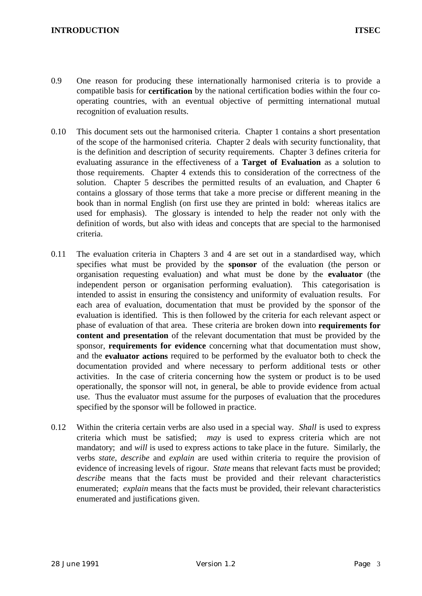- 0.9 One reason for producing these internationally harmonised criteria is to provide a compatible basis for **certification** by the national certification bodies within the four cooperating countries, with an eventual objective of permitting international mutual recognition of evaluation results.
- 0.10 This document sets out the harmonised criteria. Chapter 1 contains a short presentation of the scope of the harmonised criteria. Chapter 2 deals with security functionality, that is the definition and description of security requirements. Chapter 3 defines criteria for evaluating assurance in the effectiveness of a **Target of Evaluation** as a solution to those requirements. Chapter 4 extends this to consideration of the correctness of the solution. Chapter 5 describes the permitted results of an evaluation, and Chapter 6 contains a glossary of those terms that take a more precise or different meaning in the book than in normal English (on first use they are printed in bold: whereas italics are used for emphasis). The glossary is intended to help the reader not only with the definition of words, but also with ideas and concepts that are special to the harmonised criteria.
- 0.11 The evaluation criteria in Chapters 3 and 4 are set out in a standardised way, which specifies what must be provided by the **sponsor** of the evaluation (the person or organisation requesting evaluation) and what must be done by the **evaluator** (the independent person or organisation performing evaluation). This categorisation is intended to assist in ensuring the consistency and uniformity of evaluation results. For each area of evaluation, documentation that must be provided by the sponsor of the evaluation is identified. This is then followed by the criteria for each relevant aspect or phase of evaluation of that area. These criteria are broken down into **requirements for content and presentation** of the relevant documentation that must be provided by the sponsor, **requirements for evidence** concerning what that documentation must show, and the **evaluator actions** required to be performed by the evaluator both to check the documentation provided and where necessary to perform additional tests or other activities. In the case of criteria concerning how the system or product is to be used operationally, the sponsor will not, in general, be able to provide evidence from actual use. Thus the evaluator must assume for the purposes of evaluation that the procedures specified by the sponsor will be followed in practice.
- 0.12 Within the criteria certain verbs are also used in a special way. *Shall* is used to express criteria which must be satisfied; *may* is used to express criteria which are not mandatory; and *will* is used to express actions to take place in the future. Similarly, the verbs *state*, *describe* and *explain* are used within criteria to require the provision of evidence of increasing levels of rigour. *State* means that relevant facts must be provided; *describe* means that the facts must be provided and their relevant characteristics enumerated; *explain* means that the facts must be provided, their relevant characteristics enumerated and justifications given.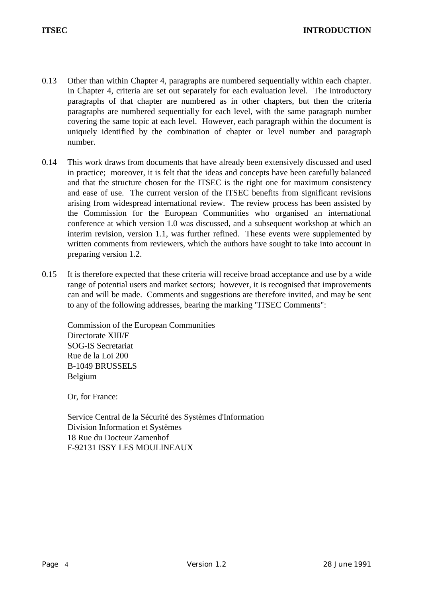- 0.13 Other than within Chapter 4, paragraphs are numbered sequentially within each chapter. In Chapter 4, criteria are set out separately for each evaluation level. The introductory paragraphs of that chapter are numbered as in other chapters, but then the criteria paragraphs are numbered sequentially for each level, with the same paragraph number covering the same topic at each level. However, each paragraph within the document is uniquely identified by the combination of chapter or level number and paragraph number.
- 0.14 This work draws from documents that have already been extensively discussed and used in practice; moreover, it is felt that the ideas and concepts have been carefully balanced and that the structure chosen for the ITSEC is the right one for maximum consistency and ease of use. The current version of the ITSEC benefits from significant revisions arising from widespread international review. The review process has been assisted by the Commission for the European Communities who organised an international conference at which version 1.0 was discussed, and a subsequent workshop at which an interim revision, version 1.1, was further refined. These events were supplemented by written comments from reviewers, which the authors have sought to take into account in preparing version 1.2.
- 0.15 It is therefore expected that these criteria will receive broad acceptance and use by a wide range of potential users and market sectors; however, it is recognised that improvements can and will be made. Comments and suggestions are therefore invited, and may be sent to any of the following addresses, bearing the marking "ITSEC Comments":

Commission of the European Communities Directorate XIII/F SOG-IS Secretariat Rue de la Loi 200 B-1049 BRUSSELS Belgium

Or, for France:

Service Central de la Sécurité des Systèmes d'Information Division Information et Systèmes 18 Rue du Docteur Zamenhof F-92131 ISSY LES MOULINEAUX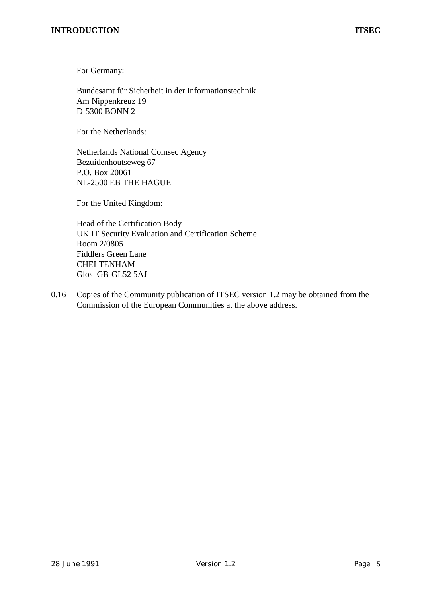For Germany:

Bundesamt für Sicherheit in der Informationstechnik Am Nippenkreuz 19 D-5300 BONN 2

For the Netherlands:

Netherlands National Comsec Agency Bezuidenhoutseweg 67 P.O. Box 20061 NL-2500 EB THE HAGUE

For the United Kingdom:

Head of the Certification Body UK IT Security Evaluation and Certification Scheme Room 2/0805 Fiddlers Green Lane CHELTENHAM Glos GB-GL52 5AJ

0.16 Copies of the Community publication of ITSEC version 1.2 may be obtained from the Commission of the European Communities at the above address.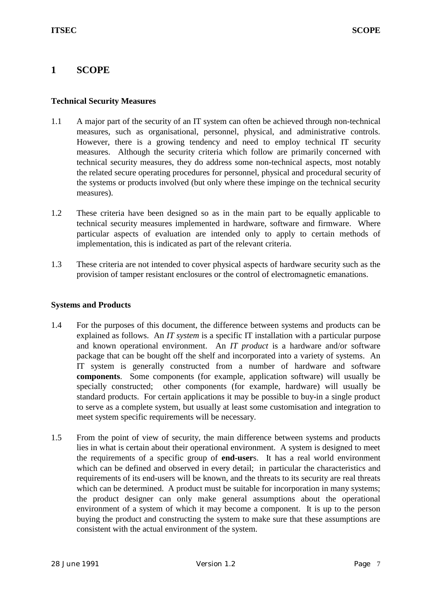## **1 SCOPE**

## **Technical Security Measures**

- 1.1 A major part of the security of an IT system can often be achieved through non-technical measures, such as organisational, personnel, physical, and administrative controls. However, there is a growing tendency and need to employ technical IT security measures. Although the security criteria which follow are primarily concerned with technical security measures, they do address some non-technical aspects, most notably the related secure operating procedures for personnel, physical and procedural security of the systems or products involved (but only where these impinge on the technical security measures).
- 1.2 These criteria have been designed so as in the main part to be equally applicable to technical security measures implemented in hardware, software and firmware. Where particular aspects of evaluation are intended only to apply to certain methods of implementation, this is indicated as part of the relevant criteria.
- 1.3 These criteria are not intended to cover physical aspects of hardware security such as the provision of tamper resistant enclosures or the control of electromagnetic emanations.

#### **Systems and Products**

- 1.4 For the purposes of this document, the difference between systems and products can be explained as follows. An *IT system* is a specific IT installation with a particular purpose and known operational environment. An *IT product* is a hardware and/or software package that can be bought off the shelf and incorporated into a variety of systems. An IT system is generally constructed from a number of hardware and software **components**. Some components (for example, application software) will usually be specially constructed; other components (for example, hardware) will usually be standard products. For certain applications it may be possible to buy-in a single product to serve as a complete system, but usually at least some customisation and integration to meet system specific requirements will be necessary.
- 1.5 From the point of view of security, the main difference between systems and products lies in what is certain about their operational environment. A system is designed to meet the requirements of a specific group of **end-user**s. It has a real world environment which can be defined and observed in every detail; in particular the characteristics and requirements of its end-users will be known, and the threats to its security are real threats which can be determined. A product must be suitable for incorporation in many systems; the product designer can only make general assumptions about the operational environment of a system of which it may become a component. It is up to the person buying the product and constructing the system to make sure that these assumptions are consistent with the actual environment of the system.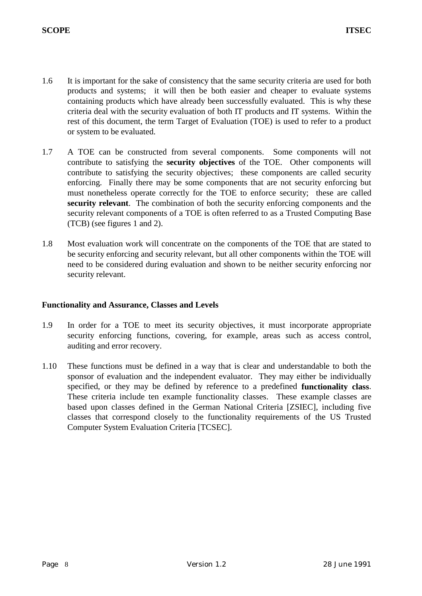- 1.6 It is important for the sake of consistency that the same security criteria are used for both products and systems; it will then be both easier and cheaper to evaluate systems containing products which have already been successfully evaluated. This is why these criteria deal with the security evaluation of both IT products and IT systems. Within the rest of this document, the term Target of Evaluation (TOE) is used to refer to a product or system to be evaluated.
- 1.7 A TOE can be constructed from several components. Some components will not contribute to satisfying the **security objectives** of the TOE. Other components will contribute to satisfying the security objectives; these components are called security enforcing. Finally there may be some components that are not security enforcing but must nonetheless operate correctly for the TOE to enforce security; these are called **security relevant**. The combination of both the security enforcing components and the security relevant components of a TOE is often referred to as a Trusted Computing Base (TCB) (see figures 1 and 2).
- 1.8 Most evaluation work will concentrate on the components of the TOE that are stated to be security enforcing and security relevant, but all other components within the TOE will need to be considered during evaluation and shown to be neither security enforcing nor security relevant.

#### **Functionality and Assurance, Classes and Levels**

- 1.9 In order for a TOE to meet its security objectives, it must incorporate appropriate security enforcing functions, covering, for example, areas such as access control, auditing and error recovery.
- 1.10 These functions must be defined in a way that is clear and understandable to both the sponsor of evaluation and the independent evaluator. They may either be individually specified, or they may be defined by reference to a predefined **functionality class**. These criteria include ten example functionality classes. These example classes are based upon classes defined in the German National Criteria [ZSIEC], including five classes that correspond closely to the functionality requirements of the US Trusted Computer System Evaluation Criteria [TCSEC].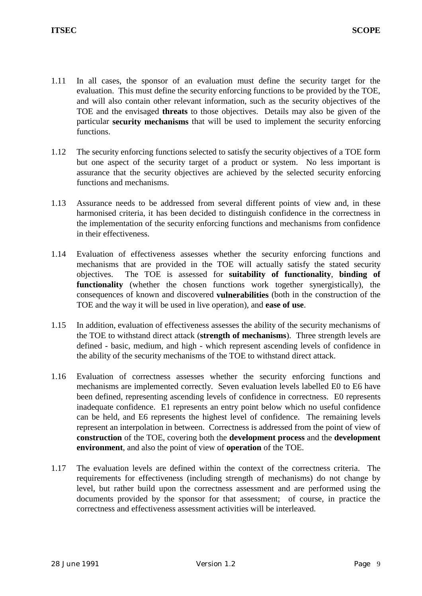- 1.11 In all cases, the sponsor of an evaluation must define the security target for the evaluation. This must define the security enforcing functions to be provided by the TOE, and will also contain other relevant information, such as the security objectives of the TOE and the envisaged **threats** to those objectives. Details may also be given of the particular **security mechanisms** that will be used to implement the security enforcing functions.
- 1.12 The security enforcing functions selected to satisfy the security objectives of a TOE form but one aspect of the security target of a product or system. No less important is assurance that the security objectives are achieved by the selected security enforcing functions and mechanisms.
- 1.13 Assurance needs to be addressed from several different points of view and, in these harmonised criteria, it has been decided to distinguish confidence in the correctness in the implementation of the security enforcing functions and mechanisms from confidence in their effectiveness.
- 1.14 Evaluation of effectiveness assesses whether the security enforcing functions and mechanisms that are provided in the TOE will actually satisfy the stated security objectives. The TOE is assessed for **suitability of functionality**, **binding of functionality** (whether the chosen functions work together synergistically), the consequences of known and discovered **vulnerabilities** (both in the construction of the TOE and the way it will be used in live operation), and **ease of use**.
- 1.15 In addition, evaluation of effectiveness assesses the ability of the security mechanisms of the TOE to withstand direct attack (**strength of mechanisms**). Three strength levels are defined - basic, medium, and high - which represent ascending levels of confidence in the ability of the security mechanisms of the TOE to withstand direct attack.
- 1.16 Evaluation of correctness assesses whether the security enforcing functions and mechanisms are implemented correctly. Seven evaluation levels labelled E0 to E6 have been defined, representing ascending levels of confidence in correctness. E0 represents inadequate confidence. E1 represents an entry point below which no useful confidence can be held, and E6 represents the highest level of confidence. The remaining levels represent an interpolation in between. Correctness is addressed from the point of view of **construction** of the TOE, covering both the **development process** and the **development environment**, and also the point of view of **operation** of the TOE.
- 1.17 The evaluation levels are defined within the context of the correctness criteria. The requirements for effectiveness (including strength of mechanisms) do not change by level, but rather build upon the correctness assessment and are performed using the documents provided by the sponsor for that assessment; of course, in practice the correctness and effectiveness assessment activities will be interleaved.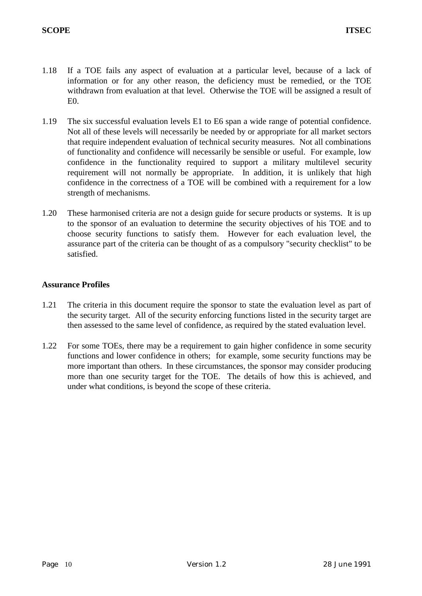- 1.18 If a TOE fails any aspect of evaluation at a particular level, because of a lack of information or for any other reason, the deficiency must be remedied, or the TOE withdrawn from evaluation at that level. Otherwise the TOE will be assigned a result of  $E<sub>0</sub>$ .
- 1.19 The six successful evaluation levels E1 to E6 span a wide range of potential confidence. Not all of these levels will necessarily be needed by or appropriate for all market sectors that require independent evaluation of technical security measures. Not all combinations of functionality and confidence will necessarily be sensible or useful. For example, low confidence in the functionality required to support a military multilevel security requirement will not normally be appropriate. In addition, it is unlikely that high confidence in the correctness of a TOE will be combined with a requirement for a low strength of mechanisms.
- 1.20 These harmonised criteria are not a design guide for secure products or systems. It is up to the sponsor of an evaluation to determine the security objectives of his TOE and to choose security functions to satisfy them. However for each evaluation level, the assurance part of the criteria can be thought of as a compulsory "security checklist" to be satisfied.

## **Assurance Profiles**

- 1.21 The criteria in this document require the sponsor to state the evaluation level as part of the security target. All of the security enforcing functions listed in the security target are then assessed to the same level of confidence, as required by the stated evaluation level.
- 1.22 For some TOEs, there may be a requirement to gain higher confidence in some security functions and lower confidence in others; for example, some security functions may be more important than others. In these circumstances, the sponsor may consider producing more than one security target for the TOE. The details of how this is achieved, and under what conditions, is beyond the scope of these criteria.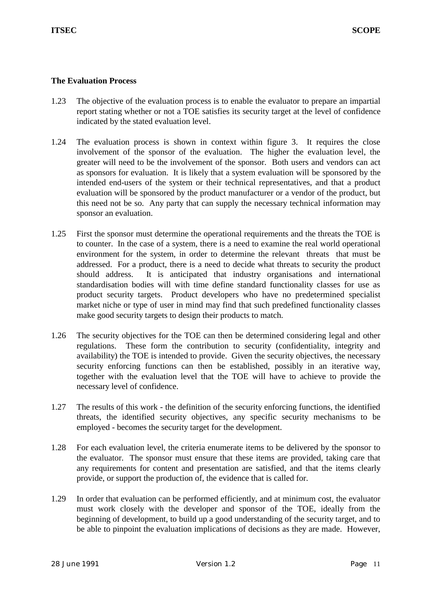## **The Evaluation Process**

- 1.23 The objective of the evaluation process is to enable the evaluator to prepare an impartial report stating whether or not a TOE satisfies its security target at the level of confidence indicated by the stated evaluation level.
- 1.24 The evaluation process is shown in context within figure 3. It requires the close involvement of the sponsor of the evaluation. The higher the evaluation level, the greater will need to be the involvement of the sponsor. Both users and vendors can act as sponsors for evaluation. It is likely that a system evaluation will be sponsored by the intended end-users of the system or their technical representatives, and that a product evaluation will be sponsored by the product manufacturer or a vendor of the product, but this need not be so. Any party that can supply the necessary technical information may sponsor an evaluation.
- 1.25 First the sponsor must determine the operational requirements and the threats the TOE is to counter. In the case of a system, there is a need to examine the real world operational environment for the system, in order to determine the relevant threats that must be addressed. For a product, there is a need to decide what threats to security the product should address. It is anticipated that industry organisations and international standardisation bodies will with time define standard functionality classes for use as product security targets. Product developers who have no predetermined specialist market niche or type of user in mind may find that such predefined functionality classes make good security targets to design their products to match.
- 1.26 The security objectives for the TOE can then be determined considering legal and other regulations. These form the contribution to security (confidentiality, integrity and availability) the TOE is intended to provide. Given the security objectives, the necessary security enforcing functions can then be established, possibly in an iterative way, together with the evaluation level that the TOE will have to achieve to provide the necessary level of confidence.
- 1.27 The results of this work the definition of the security enforcing functions, the identified threats, the identified security objectives, any specific security mechanisms to be employed - becomes the security target for the development.
- 1.28 For each evaluation level, the criteria enumerate items to be delivered by the sponsor to the evaluator. The sponsor must ensure that these items are provided, taking care that any requirements for content and presentation are satisfied, and that the items clearly provide, or support the production of, the evidence that is called for.
- 1.29 In order that evaluation can be performed efficiently, and at minimum cost, the evaluator must work closely with the developer and sponsor of the TOE, ideally from the beginning of development, to build up a good understanding of the security target, and to be able to pinpoint the evaluation implications of decisions as they are made. However,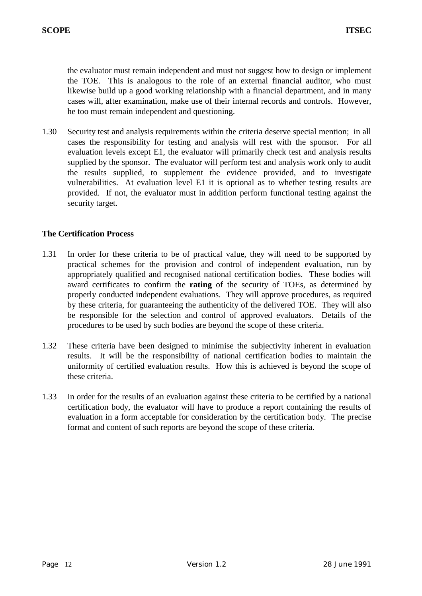the evaluator must remain independent and must not suggest how to design or implement the TOE. This is analogous to the role of an external financial auditor, who must likewise build up a good working relationship with a financial department, and in many cases will, after examination, make use of their internal records and controls. However, he too must remain independent and questioning.

1.30 Security test and analysis requirements within the criteria deserve special mention; in all cases the responsibility for testing and analysis will rest with the sponsor. For all evaluation levels except E1, the evaluator will primarily check test and analysis results supplied by the sponsor. The evaluator will perform test and analysis work only to audit the results supplied, to supplement the evidence provided, and to investigate vulnerabilities. At evaluation level E1 it is optional as to whether testing results are provided. If not, the evaluator must in addition perform functional testing against the security target.

## **The Certification Process**

- 1.31 In order for these criteria to be of practical value, they will need to be supported by practical schemes for the provision and control of independent evaluation, run by appropriately qualified and recognised national certification bodies. These bodies will award certificates to confirm the **rating** of the security of TOEs, as determined by properly conducted independent evaluations. They will approve procedures, as required by these criteria, for guaranteeing the authenticity of the delivered TOE. They will also be responsible for the selection and control of approved evaluators. Details of the procedures to be used by such bodies are beyond the scope of these criteria.
- 1.32 These criteria have been designed to minimise the subjectivity inherent in evaluation results. It will be the responsibility of national certification bodies to maintain the uniformity of certified evaluation results. How this is achieved is beyond the scope of these criteria.
- 1.33 In order for the results of an evaluation against these criteria to be certified by a national certification body, the evaluator will have to produce a report containing the results of evaluation in a form acceptable for consideration by the certification body. The precise format and content of such reports are beyond the scope of these criteria.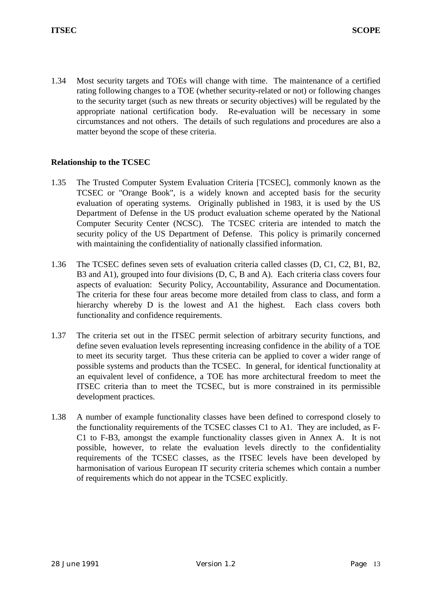1.34 Most security targets and TOEs will change with time. The maintenance of a certified rating following changes to a TOE (whether security-related or not) or following changes to the security target (such as new threats or security objectives) will be regulated by the appropriate national certification body. Re-evaluation will be necessary in some circumstances and not others. The details of such regulations and procedures are also a matter beyond the scope of these criteria.

## **Relationship to the TCSEC**

- 1.35 The Trusted Computer System Evaluation Criteria [TCSEC], commonly known as the TCSEC or "Orange Book", is a widely known and accepted basis for the security evaluation of operating systems. Originally published in 1983, it is used by the US Department of Defense in the US product evaluation scheme operated by the National Computer Security Center (NCSC). The TCSEC criteria are intended to match the security policy of the US Department of Defense. This policy is primarily concerned with maintaining the confidentiality of nationally classified information.
- 1.36 The TCSEC defines seven sets of evaluation criteria called classes (D, C1, C2, B1, B2, B3 and A1), grouped into four divisions (D, C, B and A). Each criteria class covers four aspects of evaluation: Security Policy, Accountability, Assurance and Documentation. The criteria for these four areas become more detailed from class to class, and form a hierarchy whereby D is the lowest and A1 the highest. Each class covers both functionality and confidence requirements.
- 1.37 The criteria set out in the ITSEC permit selection of arbitrary security functions, and define seven evaluation levels representing increasing confidence in the ability of a TOE to meet its security target. Thus these criteria can be applied to cover a wider range of possible systems and products than the TCSEC. In general, for identical functionality at an equivalent level of confidence, a TOE has more architectural freedom to meet the ITSEC criteria than to meet the TCSEC, but is more constrained in its permissible development practices.
- 1.38 A number of example functionality classes have been defined to correspond closely to the functionality requirements of the TCSEC classes C1 to A1. They are included, as F-C1 to F-B3, amongst the example functionality classes given in Annex A. It is not possible, however, to relate the evaluation levels directly to the confidentiality requirements of the TCSEC classes, as the ITSEC levels have been developed by harmonisation of various European IT security criteria schemes which contain a number of requirements which do not appear in the TCSEC explicitly.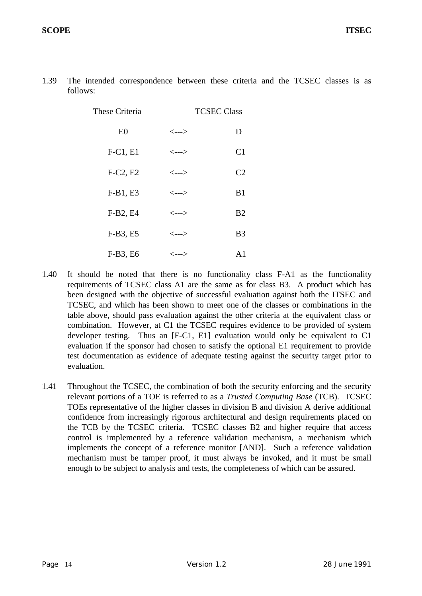| These Criteria |                            | <b>TCSEC Class</b> |  |
|----------------|----------------------------|--------------------|--|
| E <sub>0</sub> | <--->                      | D                  |  |
| $F-C1, E1$     | $\leftarrow\rightarrow$    | C <sub>1</sub>     |  |
| $F-C2, E2$     | <--->                      | C <sub>2</sub>     |  |
| $F-B1, E3$     | $\leftarrow$ $\rightarrow$ | B1                 |  |
| F-B2, E4       | <--->                      | B <sub>2</sub>     |  |
| F-B3, E5       | <--->                      | B <sub>3</sub>     |  |
| F-B3, E6       | <--->                      | $\mathbf{A}1$      |  |

1.39 The intended correspondence between these criteria and the TCSEC classes is as follows:

- 1.40 It should be noted that there is no functionality class F-A1 as the functionality requirements of TCSEC class A1 are the same as for class B3. A product which has been designed with the objective of successful evaluation against both the ITSEC and TCSEC, and which has been shown to meet one of the classes or combinations in the table above, should pass evaluation against the other criteria at the equivalent class or combination. However, at C1 the TCSEC requires evidence to be provided of system developer testing. Thus an [F-C1, E1] evaluation would only be equivalent to C1 evaluation if the sponsor had chosen to satisfy the optional E1 requirement to provide test documentation as evidence of adequate testing against the security target prior to evaluation.
- 1.41 Throughout the TCSEC, the combination of both the security enforcing and the security relevant portions of a TOE is referred to as a *Trusted Computing Base* (TCB). TCSEC TOEs representative of the higher classes in division B and division A derive additional confidence from increasingly rigorous architectural and design requirements placed on the TCB by the TCSEC criteria. TCSEC classes B2 and higher require that access control is implemented by a reference validation mechanism, a mechanism which implements the concept of a reference monitor [AND]. Such a reference validation mechanism must be tamper proof, it must always be invoked, and it must be small enough to be subject to analysis and tests, the completeness of which can be assured.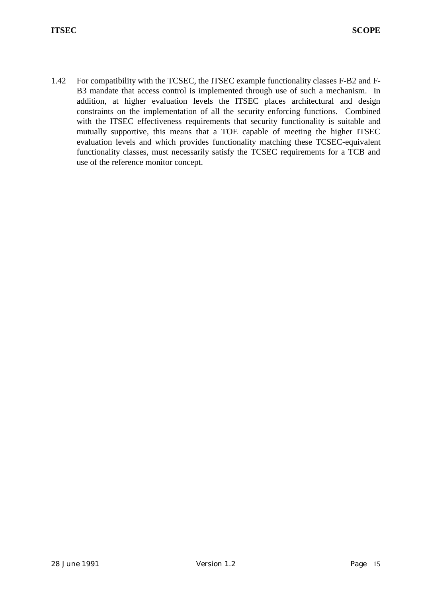1.42 For compatibility with the TCSEC, the ITSEC example functionality classes F-B2 and F-B3 mandate that access control is implemented through use of such a mechanism. In addition, at higher evaluation levels the ITSEC places architectural and design constraints on the implementation of all the security enforcing functions. Combined with the ITSEC effectiveness requirements that security functionality is suitable and mutually supportive, this means that a TOE capable of meeting the higher ITSEC evaluation levels and which provides functionality matching these TCSEC-equivalent functionality classes, must necessarily satisfy the TCSEC requirements for a TCB and use of the reference monitor concept.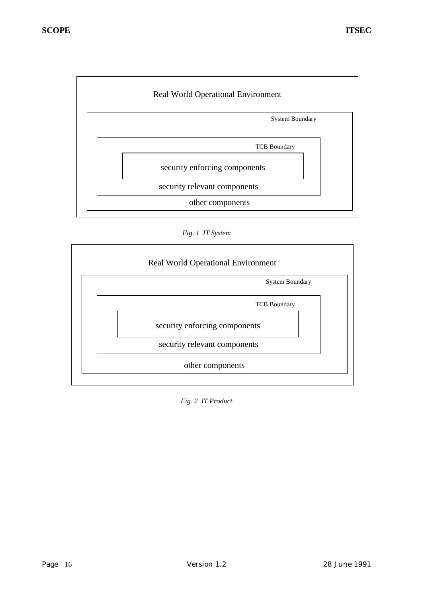

*Fig. 1 IT System*



*Fig. 2 IT Product*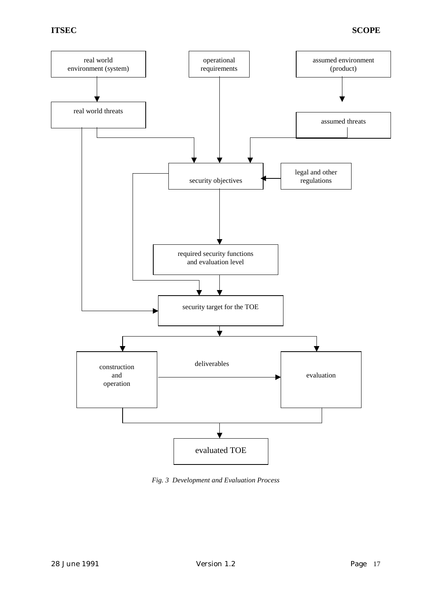

*Fig. 3 Development and Evaluation Process*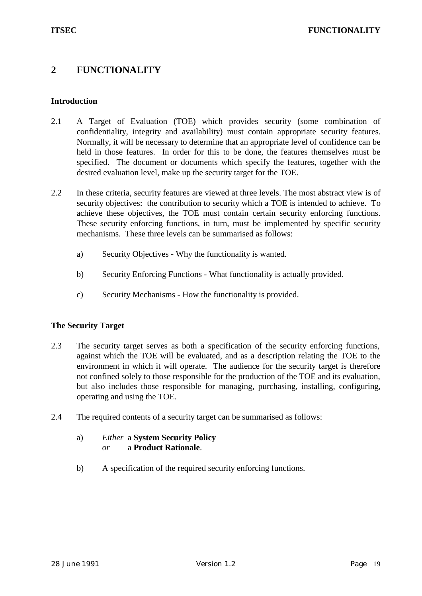## **2 FUNCTIONALITY**

## **Introduction**

- 2.1 A Target of Evaluation (TOE) which provides security (some combination of confidentiality, integrity and availability) must contain appropriate security features. Normally, it will be necessary to determine that an appropriate level of confidence can be held in those features. In order for this to be done, the features themselves must be specified. The document or documents which specify the features, together with the desired evaluation level, make up the security target for the TOE.
- 2.2 In these criteria, security features are viewed at three levels. The most abstract view is of security objectives: the contribution to security which a TOE is intended to achieve. To achieve these objectives, the TOE must contain certain security enforcing functions. These security enforcing functions, in turn, must be implemented by specific security mechanisms. These three levels can be summarised as follows:
	- a) Security Objectives Why the functionality is wanted.
	- b) Security Enforcing Functions What functionality is actually provided.
	- c) Security Mechanisms How the functionality is provided.

## **The Security Target**

- 2.3 The security target serves as both a specification of the security enforcing functions, against which the TOE will be evaluated, and as a description relating the TOE to the environment in which it will operate. The audience for the security target is therefore not confined solely to those responsible for the production of the TOE and its evaluation, but also includes those responsible for managing, purchasing, installing, configuring, operating and using the TOE.
- 2.4 The required contents of a security target can be summarised as follows:
	- a) *Either* a **System Security Policy** *or* a **Product Rationale**.
	- b) A specification of the required security enforcing functions.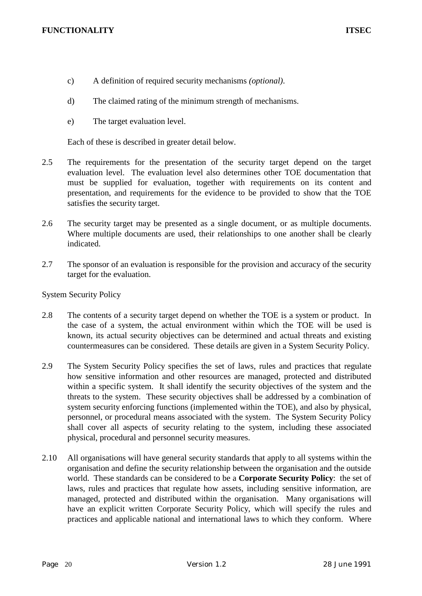- c) A definition of required security mechanisms *(optional)*.
- d) The claimed rating of the minimum strength of mechanisms.
- e) The target evaluation level.

Each of these is described in greater detail below.

- 2.5 The requirements for the presentation of the security target depend on the target evaluation level. The evaluation level also determines other TOE documentation that must be supplied for evaluation, together with requirements on its content and presentation, and requirements for the evidence to be provided to show that the TOE satisfies the security target.
- 2.6 The security target may be presented as a single document, or as multiple documents. Where multiple documents are used, their relationships to one another shall be clearly indicated.
- 2.7 The sponsor of an evaluation is responsible for the provision and accuracy of the security target for the evaluation.

System Security Policy

- 2.8 The contents of a security target depend on whether the TOE is a system or product. In the case of a system, the actual environment within which the TOE will be used is known, its actual security objectives can be determined and actual threats and existing countermeasures can be considered. These details are given in a System Security Policy.
- 2.9 The System Security Policy specifies the set of laws, rules and practices that regulate how sensitive information and other resources are managed, protected and distributed within a specific system. It shall identify the security objectives of the system and the threats to the system. These security objectives shall be addressed by a combination of system security enforcing functions (implemented within the TOE), and also by physical, personnel, or procedural means associated with the system. The System Security Policy shall cover all aspects of security relating to the system, including these associated physical, procedural and personnel security measures.
- 2.10 All organisations will have general security standards that apply to all systems within the organisation and define the security relationship between the organisation and the outside world. These standards can be considered to be a **Corporate Security Policy**: the set of laws, rules and practices that regulate how assets, including sensitive information, are managed, protected and distributed within the organisation. Many organisations will have an explicit written Corporate Security Policy, which will specify the rules and practices and applicable national and international laws to which they conform. Where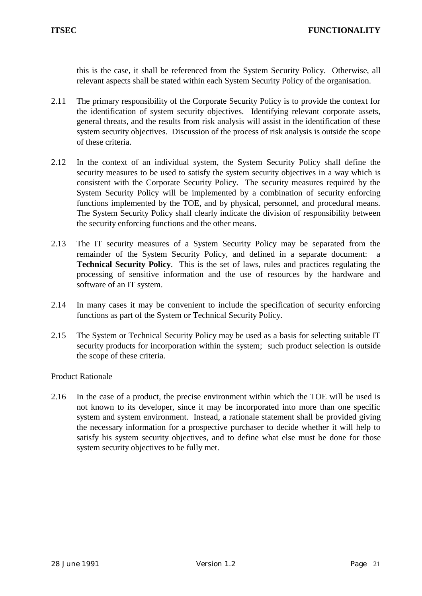this is the case, it shall be referenced from the System Security Policy. Otherwise, all relevant aspects shall be stated within each System Security Policy of the organisation.

- 2.11 The primary responsibility of the Corporate Security Policy is to provide the context for the identification of system security objectives. Identifying relevant corporate assets, general threats, and the results from risk analysis will assist in the identification of these system security objectives. Discussion of the process of risk analysis is outside the scope of these criteria.
- 2.12 In the context of an individual system, the System Security Policy shall define the security measures to be used to satisfy the system security objectives in a way which is consistent with the Corporate Security Policy. The security measures required by the System Security Policy will be implemented by a combination of security enforcing functions implemented by the TOE, and by physical, personnel, and procedural means. The System Security Policy shall clearly indicate the division of responsibility between the security enforcing functions and the other means.
- 2.13 The IT security measures of a System Security Policy may be separated from the remainder of the System Security Policy, and defined in a separate document: **Technical Security Policy**. This is the set of laws, rules and practices regulating the processing of sensitive information and the use of resources by the hardware and software of an IT system.
- 2.14 In many cases it may be convenient to include the specification of security enforcing functions as part of the System or Technical Security Policy.
- 2.15 The System or Technical Security Policy may be used as a basis for selecting suitable IT security products for incorporation within the system; such product selection is outside the scope of these criteria.

Product Rationale

2.16 In the case of a product, the precise environment within which the TOE will be used is not known to its developer, since it may be incorporated into more than one specific system and system environment. Instead, a rationale statement shall be provided giving the necessary information for a prospective purchaser to decide whether it will help to satisfy his system security objectives, and to define what else must be done for those system security objectives to be fully met.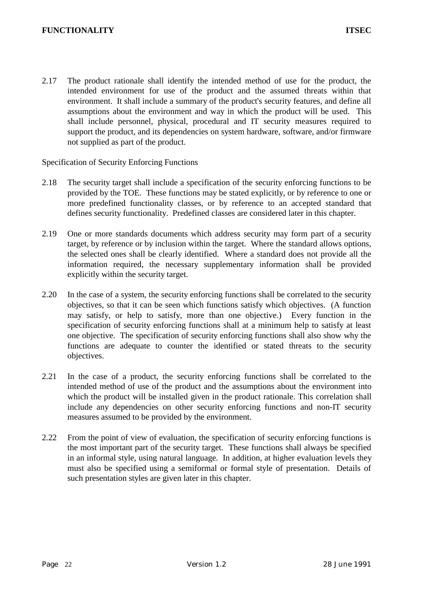2.17 The product rationale shall identify the intended method of use for the product, the intended environment for use of the product and the assumed threats within that environment. It shall include a summary of the product's security features, and define all assumptions about the environment and way in which the product will be used. This shall include personnel, physical, procedural and IT security measures required to support the product, and its dependencies on system hardware, software, and/or firmware not supplied as part of the product.

Specification of Security Enforcing Functions

- 2.18 The security target shall include a specification of the security enforcing functions to be provided by the TOE. These functions may be stated explicitly, or by reference to one or more predefined functionality classes, or by reference to an accepted standard that defines security functionality. Predefined classes are considered later in this chapter.
- 2.19 One or more standards documents which address security may form part of a security target, by reference or by inclusion within the target. Where the standard allows options, the selected ones shall be clearly identified. Where a standard does not provide all the information required, the necessary supplementary information shall be provided explicitly within the security target.
- 2.20 In the case of a system, the security enforcing functions shall be correlated to the security objectives, so that it can be seen which functions satisfy which objectives. (A function may satisfy, or help to satisfy, more than one objective.) Every function in the specification of security enforcing functions shall at a minimum help to satisfy at least one objective. The specification of security enforcing functions shall also show why the functions are adequate to counter the identified or stated threats to the security objectives.
- 2.21 In the case of a product, the security enforcing functions shall be correlated to the intended method of use of the product and the assumptions about the environment into which the product will be installed given in the product rationale. This correlation shall include any dependencies on other security enforcing functions and non-IT security measures assumed to be provided by the environment.
- 2.22 From the point of view of evaluation, the specification of security enforcing functions is the most important part of the security target. These functions shall always be specified in an informal style, using natural language. In addition, at higher evaluation levels they must also be specified using a semiformal or formal style of presentation. Details of such presentation styles are given later in this chapter.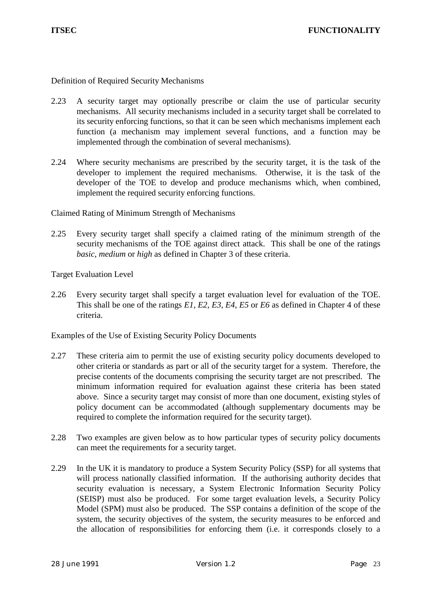Definition of Required Security Mechanisms

- 2.23 A security target may optionally prescribe or claim the use of particular security mechanisms. All security mechanisms included in a security target shall be correlated to its security enforcing functions, so that it can be seen which mechanisms implement each function (a mechanism may implement several functions, and a function may be implemented through the combination of several mechanisms).
- 2.24 Where security mechanisms are prescribed by the security target, it is the task of the developer to implement the required mechanisms. Otherwise, it is the task of the developer of the TOE to develop and produce mechanisms which, when combined, implement the required security enforcing functions.

Claimed Rating of Minimum Strength of Mechanisms

2.25 Every security target shall specify a claimed rating of the minimum strength of the security mechanisms of the TOE against direct attack. This shall be one of the ratings *basic*, *medium* or *high* as defined in Chapter 3 of these criteria.

Target Evaluation Level

2.26 Every security target shall specify a target evaluation level for evaluation of the TOE. This shall be one of the ratings *E1*, *E2*, *E3*, *E4*, *E5* or *E6* as defined in Chapter 4 of these criteria.

Examples of the Use of Existing Security Policy Documents

- 2.27 These criteria aim to permit the use of existing security policy documents developed to other criteria or standards as part or all of the security target for a system. Therefore, the precise contents of the documents comprising the security target are not prescribed. The minimum information required for evaluation against these criteria has been stated above. Since a security target may consist of more than one document, existing styles of policy document can be accommodated (although supplementary documents may be required to complete the information required for the security target).
- 2.28 Two examples are given below as to how particular types of security policy documents can meet the requirements for a security target.
- 2.29 In the UK it is mandatory to produce a System Security Policy (SSP) for all systems that will process nationally classified information. If the authorising authority decides that security evaluation is necessary, a System Electronic Information Security Policy (SEISP) must also be produced. For some target evaluation levels, a Security Policy Model (SPM) must also be produced. The SSP contains a definition of the scope of the system, the security objectives of the system, the security measures to be enforced and the allocation of responsibilities for enforcing them (i.e. it corresponds closely to a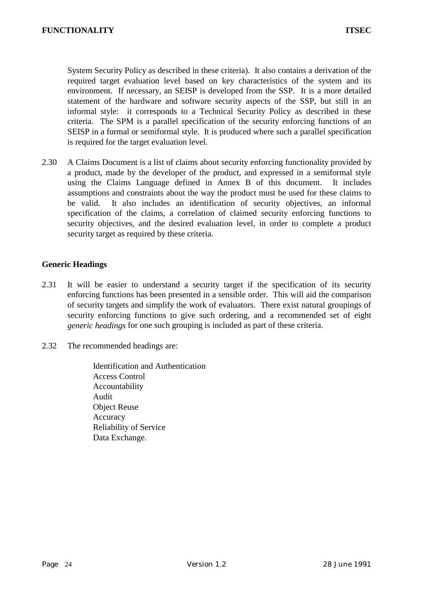System Security Policy as described in these criteria). It also contains a derivation of the required target evaluation level based on key characteristics of the system and its environment. If necessary, an SEISP is developed from the SSP. It is a more detailed statement of the hardware and software security aspects of the SSP, but still in an informal style: it corresponds to a Technical Security Policy as described in these criteria. The SPM is a parallel specification of the security enforcing functions of an SEISP in a formal or semiformal style. It is produced where such a parallel specification is required for the target evaluation level.

2.30 A Claims Document is a list of claims about security enforcing functionality provided by a product, made by the developer of the product, and expressed in a semiformal style using the Claims Language defined in Annex B of this document. It includes assumptions and constraints about the way the product must be used for these claims to be valid. It also includes an identification of security objectives, an informal specification of the claims, a correlation of claimed security enforcing functions to security objectives, and the desired evaluation level, in order to complete a product security target as required by these criteria.

## **Generic Headings**

- 2.31 It will be easier to understand a security target if the specification of its security enforcing functions has been presented in a sensible order. This will aid the comparison of security targets and simplify the work of evaluators. There exist natural groupings of security enforcing functions to give such ordering, and a recommended set of eight *generic headings* for one such grouping is included as part of these criteria.
- 2.32 The recommended headings are:
	- Identification and Authentication Access Control Accountability Audit Object Reuse **Accuracy** Reliability of Service Data Exchange.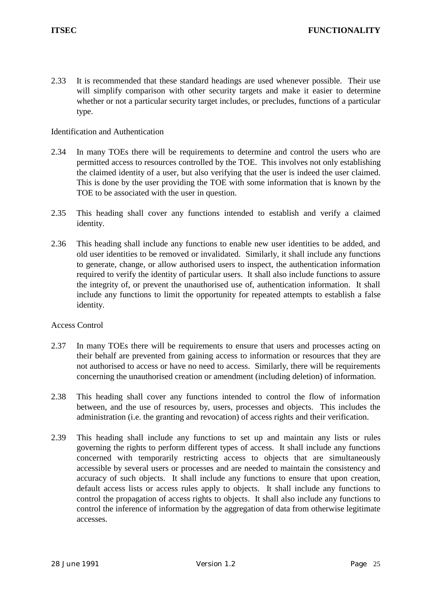2.33 It is recommended that these standard headings are used whenever possible. Their use will simplify comparison with other security targets and make it easier to determine whether or not a particular security target includes, or precludes, functions of a particular type.

## Identification and Authentication

- 2.34 In many TOEs there will be requirements to determine and control the users who are permitted access to resources controlled by the TOE. This involves not only establishing the claimed identity of a user, but also verifying that the user is indeed the user claimed. This is done by the user providing the TOE with some information that is known by the TOE to be associated with the user in question.
- 2.35 This heading shall cover any functions intended to establish and verify a claimed identity.
- 2.36 This heading shall include any functions to enable new user identities to be added, and old user identities to be removed or invalidated. Similarly, it shall include any functions to generate, change, or allow authorised users to inspect, the authentication information required to verify the identity of particular users. It shall also include functions to assure the integrity of, or prevent the unauthorised use of, authentication information. It shall include any functions to limit the opportunity for repeated attempts to establish a false identity.

## Access Control

- 2.37 In many TOEs there will be requirements to ensure that users and processes acting on their behalf are prevented from gaining access to information or resources that they are not authorised to access or have no need to access. Similarly, there will be requirements concerning the unauthorised creation or amendment (including deletion) of information.
- 2.38 This heading shall cover any functions intended to control the flow of information between, and the use of resources by, users, processes and objects. This includes the administration (i.e. the granting and revocation) of access rights and their verification.
- 2.39 This heading shall include any functions to set up and maintain any lists or rules governing the rights to perform different types of access. It shall include any functions concerned with temporarily restricting access to objects that are simultaneously accessible by several users or processes and are needed to maintain the consistency and accuracy of such objects. It shall include any functions to ensure that upon creation, default access lists or access rules apply to objects. It shall include any functions to control the propagation of access rights to objects. It shall also include any functions to control the inference of information by the aggregation of data from otherwise legitimate accesses.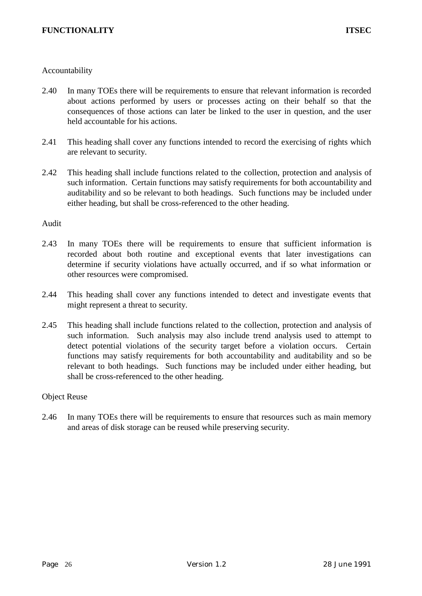## Accountability

- 2.40 In many TOEs there will be requirements to ensure that relevant information is recorded about actions performed by users or processes acting on their behalf so that the consequences of those actions can later be linked to the user in question, and the user held accountable for his actions.
- 2.41 This heading shall cover any functions intended to record the exercising of rights which are relevant to security.
- 2.42 This heading shall include functions related to the collection, protection and analysis of such information. Certain functions may satisfy requirements for both accountability and auditability and so be relevant to both headings. Such functions may be included under either heading, but shall be cross-referenced to the other heading.

#### Audit

- 2.43 In many TOEs there will be requirements to ensure that sufficient information is recorded about both routine and exceptional events that later investigations can determine if security violations have actually occurred, and if so what information or other resources were compromised.
- 2.44 This heading shall cover any functions intended to detect and investigate events that might represent a threat to security.
- 2.45 This heading shall include functions related to the collection, protection and analysis of such information. Such analysis may also include trend analysis used to attempt to detect potential violations of the security target before a violation occurs. Certain functions may satisfy requirements for both accountability and auditability and so be relevant to both headings. Such functions may be included under either heading, but shall be cross-referenced to the other heading.

#### Object Reuse

2.46 In many TOEs there will be requirements to ensure that resources such as main memory and areas of disk storage can be reused while preserving security.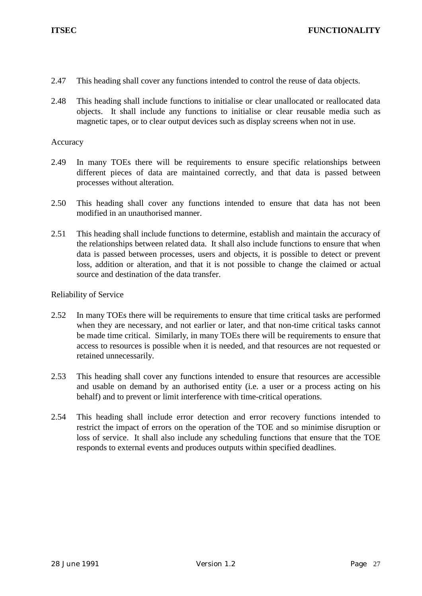- 2.47 This heading shall cover any functions intended to control the reuse of data objects.
- 2.48 This heading shall include functions to initialise or clear unallocated or reallocated data objects. It shall include any functions to initialise or clear reusable media such as magnetic tapes, or to clear output devices such as display screens when not in use.

### Accuracy

- 2.49 In many TOEs there will be requirements to ensure specific relationships between different pieces of data are maintained correctly, and that data is passed between processes without alteration.
- 2.50 This heading shall cover any functions intended to ensure that data has not been modified in an unauthorised manner.
- 2.51 This heading shall include functions to determine, establish and maintain the accuracy of the relationships between related data. It shall also include functions to ensure that when data is passed between processes, users and objects, it is possible to detect or prevent loss, addition or alteration, and that it is not possible to change the claimed or actual source and destination of the data transfer.

## Reliability of Service

- 2.52 In many TOEs there will be requirements to ensure that time critical tasks are performed when they are necessary, and not earlier or later, and that non-time critical tasks cannot be made time critical. Similarly, in many TOEs there will be requirements to ensure that access to resources is possible when it is needed, and that resources are not requested or retained unnecessarily.
- 2.53 This heading shall cover any functions intended to ensure that resources are accessible and usable on demand by an authorised entity (i.e. a user or a process acting on his behalf) and to prevent or limit interference with time-critical operations.
- 2.54 This heading shall include error detection and error recovery functions intended to restrict the impact of errors on the operation of the TOE and so minimise disruption or loss of service. It shall also include any scheduling functions that ensure that the TOE responds to external events and produces outputs within specified deadlines.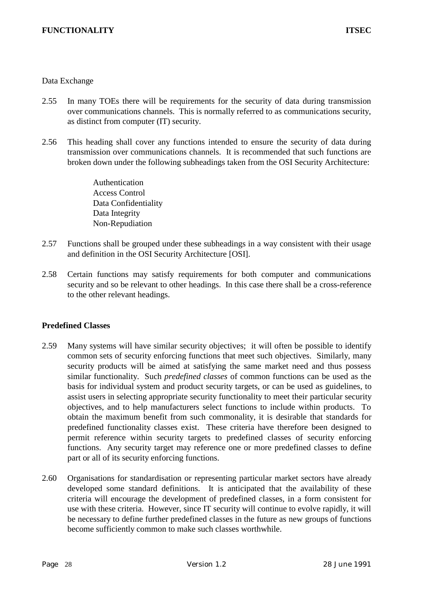### Data Exchange

- 2.55 In many TOEs there will be requirements for the security of data during transmission over communications channels. This is normally referred to as communications security, as distinct from computer (IT) security.
- 2.56 This heading shall cover any functions intended to ensure the security of data during transmission over communications channels. It is recommended that such functions are broken down under the following subheadings taken from the OSI Security Architecture:

Authentication Access Control Data Confidentiality Data Integrity Non-Repudiation

- 2.57 Functions shall be grouped under these subheadings in a way consistent with their usage and definition in the OSI Security Architecture [OSI].
- 2.58 Certain functions may satisfy requirements for both computer and communications security and so be relevant to other headings. In this case there shall be a cross-reference to the other relevant headings.

## **Predefined Classes**

- 2.59 Many systems will have similar security objectives; it will often be possible to identify common sets of security enforcing functions that meet such objectives. Similarly, many security products will be aimed at satisfying the same market need and thus possess similar functionality. Such *predefined classes* of common functions can be used as the basis for individual system and product security targets, or can be used as guidelines, to assist users in selecting appropriate security functionality to meet their particular security objectives, and to help manufacturers select functions to include within products. To obtain the maximum benefit from such commonality, it is desirable that standards for predefined functionality classes exist. These criteria have therefore been designed to permit reference within security targets to predefined classes of security enforcing functions. Any security target may reference one or more predefined classes to define part or all of its security enforcing functions.
- 2.60 Organisations for standardisation or representing particular market sectors have already developed some standard definitions. It is anticipated that the availability of these criteria will encourage the development of predefined classes, in a form consistent for use with these criteria. However, since IT security will continue to evolve rapidly, it will be necessary to define further predefined classes in the future as new groups of functions become sufficiently common to make such classes worthwhile.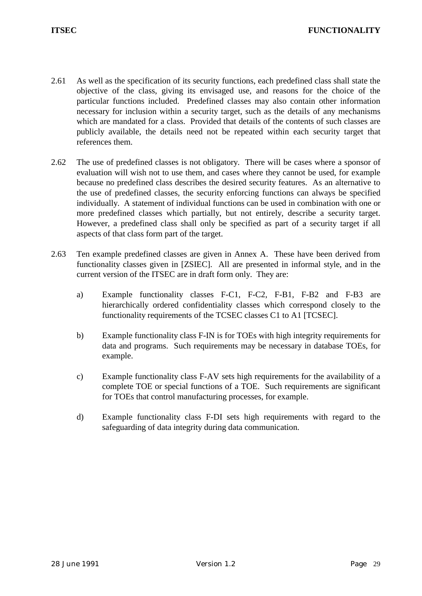- 2.61 As well as the specification of its security functions, each predefined class shall state the objective of the class, giving its envisaged use, and reasons for the choice of the particular functions included. Predefined classes may also contain other information necessary for inclusion within a security target, such as the details of any mechanisms which are mandated for a class. Provided that details of the contents of such classes are publicly available, the details need not be repeated within each security target that references them.
- 2.62 The use of predefined classes is not obligatory. There will be cases where a sponsor of evaluation will wish not to use them, and cases where they cannot be used, for example because no predefined class describes the desired security features. As an alternative to the use of predefined classes, the security enforcing functions can always be specified individually. A statement of individual functions can be used in combination with one or more predefined classes which partially, but not entirely, describe a security target. However, a predefined class shall only be specified as part of a security target if all aspects of that class form part of the target.
- 2.63 Ten example predefined classes are given in Annex A. These have been derived from functionality classes given in [ZSIEC]. All are presented in informal style, and in the current version of the ITSEC are in draft form only. They are:
	- a) Example functionality classes F-C1, F-C2, F-B1, F-B2 and F-B3 are hierarchically ordered confidentiality classes which correspond closely to the functionality requirements of the TCSEC classes C1 to A1 [TCSEC].
	- b) Example functionality class F-IN is for TOEs with high integrity requirements for data and programs. Such requirements may be necessary in database TOEs, for example.
	- c) Example functionality class F-AV sets high requirements for the availability of a complete TOE or special functions of a TOE. Such requirements are significant for TOEs that control manufacturing processes, for example.
	- d) Example functionality class F-DI sets high requirements with regard to the safeguarding of data integrity during data communication.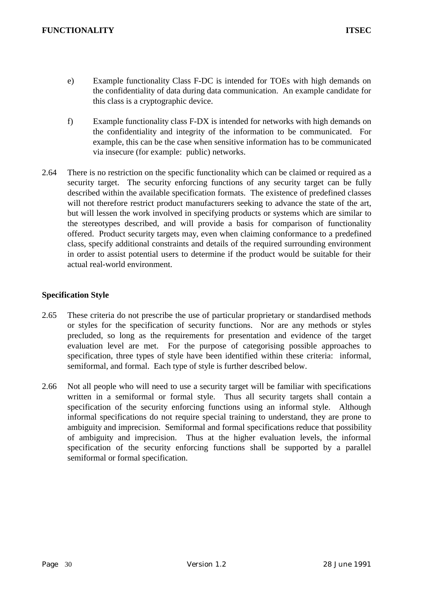- e) Example functionality Class F-DC is intended for TOEs with high demands on the confidentiality of data during data communication. An example candidate for this class is a cryptographic device.
- f) Example functionality class F-DX is intended for networks with high demands on the confidentiality and integrity of the information to be communicated. For example, this can be the case when sensitive information has to be communicated via insecure (for example: public) networks.
- 2.64 There is no restriction on the specific functionality which can be claimed or required as a security target. The security enforcing functions of any security target can be fully described within the available specification formats. The existence of predefined classes will not therefore restrict product manufacturers seeking to advance the state of the art, but will lessen the work involved in specifying products or systems which are similar to the stereotypes described, and will provide a basis for comparison of functionality offered. Product security targets may, even when claiming conformance to a predefined class, specify additional constraints and details of the required surrounding environment in order to assist potential users to determine if the product would be suitable for their actual real-world environment.

## **Specification Style**

- 2.65 These criteria do not prescribe the use of particular proprietary or standardised methods or styles for the specification of security functions. Nor are any methods or styles precluded, so long as the requirements for presentation and evidence of the target evaluation level are met. For the purpose of categorising possible approaches to specification, three types of style have been identified within these criteria: informal, semiformal, and formal. Each type of style is further described below.
- 2.66 Not all people who will need to use a security target will be familiar with specifications written in a semiformal or formal style. Thus all security targets shall contain a specification of the security enforcing functions using an informal style. Although informal specifications do not require special training to understand, they are prone to ambiguity and imprecision. Semiformal and formal specifications reduce that possibility of ambiguity and imprecision. Thus at the higher evaluation levels, the informal specification of the security enforcing functions shall be supported by a parallel semiformal or formal specification.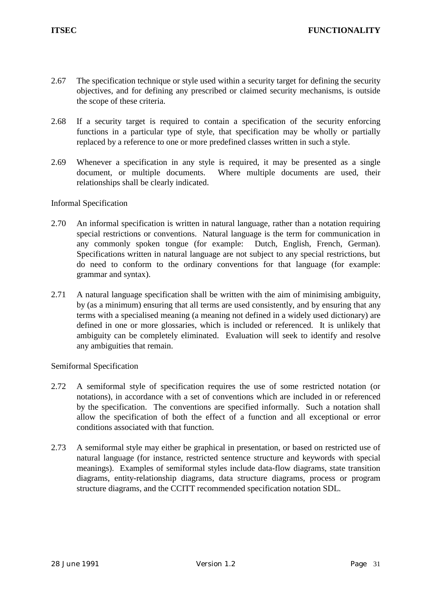- 2.67 The specification technique or style used within a security target for defining the security objectives, and for defining any prescribed or claimed security mechanisms, is outside the scope of these criteria.
- 2.68 If a security target is required to contain a specification of the security enforcing functions in a particular type of style, that specification may be wholly or partially replaced by a reference to one or more predefined classes written in such a style.
- 2.69 Whenever a specification in any style is required, it may be presented as a single document, or multiple documents. Where multiple documents are used, their relationships shall be clearly indicated.

## Informal Specification

- 2.70 An informal specification is written in natural language, rather than a notation requiring special restrictions or conventions. Natural language is the term for communication in any commonly spoken tongue (for example: Dutch, English, French, German). Specifications written in natural language are not subject to any special restrictions, but do need to conform to the ordinary conventions for that language (for example: grammar and syntax).
- 2.71 A natural language specification shall be written with the aim of minimising ambiguity, by (as a minimum) ensuring that all terms are used consistently, and by ensuring that any terms with a specialised meaning (a meaning not defined in a widely used dictionary) are defined in one or more glossaries, which is included or referenced. It is unlikely that ambiguity can be completely eliminated. Evaluation will seek to identify and resolve any ambiguities that remain.

#### Semiformal Specification

- 2.72 A semiformal style of specification requires the use of some restricted notation (or notations), in accordance with a set of conventions which are included in or referenced by the specification. The conventions are specified informally. Such a notation shall allow the specification of both the effect of a function and all exceptional or error conditions associated with that function.
- 2.73 A semiformal style may either be graphical in presentation, or based on restricted use of natural language (for instance, restricted sentence structure and keywords with special meanings). Examples of semiformal styles include data-flow diagrams, state transition diagrams, entity-relationship diagrams, data structure diagrams, process or program structure diagrams, and the CCITT recommended specification notation SDL.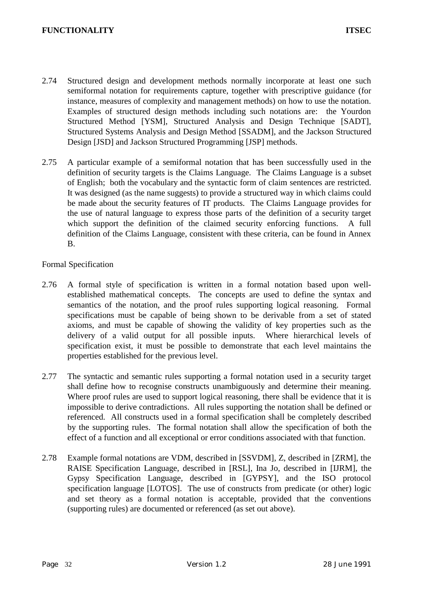- 2.74 Structured design and development methods normally incorporate at least one such semiformal notation for requirements capture, together with prescriptive guidance (for instance, measures of complexity and management methods) on how to use the notation. Examples of structured design methods including such notations are: the Yourdon Structured Method [YSM], Structured Analysis and Design Technique [SADT], Structured Systems Analysis and Design Method [SSADM], and the Jackson Structured Design [JSD] and Jackson Structured Programming [JSP] methods.
- 2.75 A particular example of a semiformal notation that has been successfully used in the definition of security targets is the Claims Language. The Claims Language is a subset of English; both the vocabulary and the syntactic form of claim sentences are restricted. It was designed (as the name suggests) to provide a structured way in which claims could be made about the security features of IT products. The Claims Language provides for the use of natural language to express those parts of the definition of a security target which support the definition of the claimed security enforcing functions. A full definition of the Claims Language, consistent with these criteria, can be found in Annex B.

## Formal Specification

- 2.76 A formal style of specification is written in a formal notation based upon wellestablished mathematical concepts. The concepts are used to define the syntax and semantics of the notation, and the proof rules supporting logical reasoning. Formal specifications must be capable of being shown to be derivable from a set of stated axioms, and must be capable of showing the validity of key properties such as the delivery of a valid output for all possible inputs. Where hierarchical levels of specification exist, it must be possible to demonstrate that each level maintains the properties established for the previous level.
- 2.77 The syntactic and semantic rules supporting a formal notation used in a security target shall define how to recognise constructs unambiguously and determine their meaning. Where proof rules are used to support logical reasoning, there shall be evidence that it is impossible to derive contradictions. All rules supporting the notation shall be defined or referenced. All constructs used in a formal specification shall be completely described by the supporting rules. The formal notation shall allow the specification of both the effect of a function and all exceptional or error conditions associated with that function.
- 2.78 Example formal notations are VDM, described in [SSVDM], Z, described in [ZRM], the RAISE Specification Language, described in [RSL], Ina Jo, described in [IJRM], the Gypsy Specification Language, described in [GYPSY], and the ISO protocol specification language [LOTOS]. The use of constructs from predicate (or other) logic and set theory as a formal notation is acceptable, provided that the conventions (supporting rules) are documented or referenced (as set out above).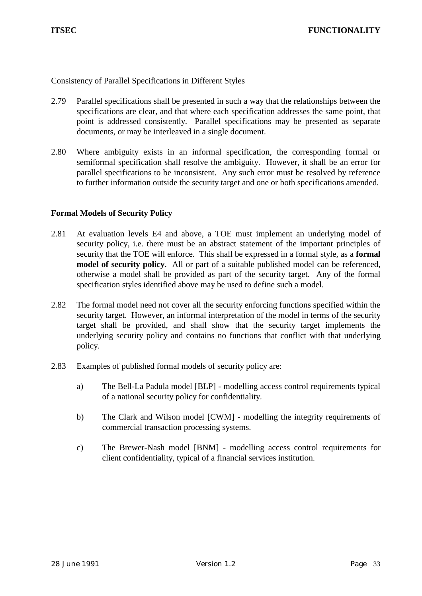Consistency of Parallel Specifications in Different Styles

- 2.79 Parallel specifications shall be presented in such a way that the relationships between the specifications are clear, and that where each specification addresses the same point, that point is addressed consistently. Parallel specifications may be presented as separate documents, or may be interleaved in a single document.
- 2.80 Where ambiguity exists in an informal specification, the corresponding formal or semiformal specification shall resolve the ambiguity. However, it shall be an error for parallel specifications to be inconsistent. Any such error must be resolved by reference to further information outside the security target and one or both specifications amended.

# **Formal Models of Security Policy**

- 2.81 At evaluation levels E4 and above, a TOE must implement an underlying model of security policy, i.e. there must be an abstract statement of the important principles of security that the TOE will enforce. This shall be expressed in a formal style, as a **formal model of security policy**. All or part of a suitable published model can be referenced, otherwise a model shall be provided as part of the security target. Any of the formal specification styles identified above may be used to define such a model.
- 2.82 The formal model need not cover all the security enforcing functions specified within the security target. However, an informal interpretation of the model in terms of the security target shall be provided, and shall show that the security target implements the underlying security policy and contains no functions that conflict with that underlying policy.
- 2.83 Examples of published formal models of security policy are:
	- a) The Bell-La Padula model [BLP] modelling access control requirements typical of a national security policy for confidentiality.
	- b) The Clark and Wilson model [CWM] modelling the integrity requirements of commercial transaction processing systems.
	- c) The Brewer-Nash model [BNM] modelling access control requirements for client confidentiality, typical of a financial services institution.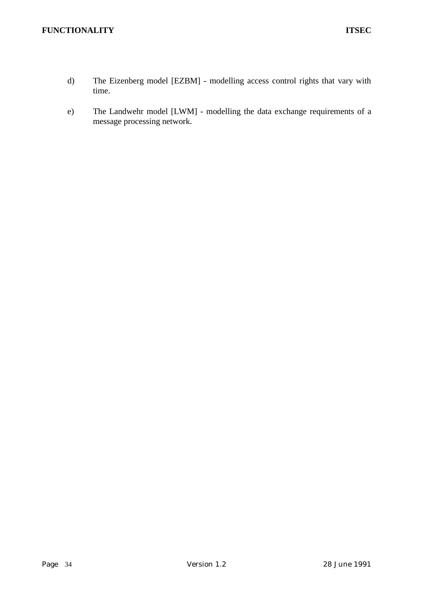## **FUNCTIONALITY** ITSEC

- d) The Eizenberg model [EZBM] modelling access control rights that vary with time.
- e) The Landwehr model [LWM] modelling the data exchange requirements of a message processing network.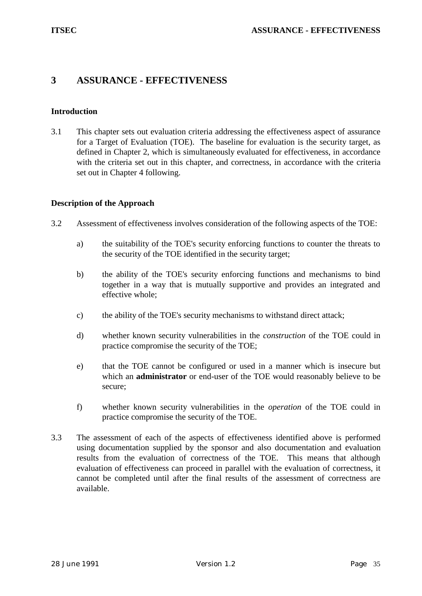# **3 ASSURANCE - EFFECTIVENESS**

## **Introduction**

3.1 This chapter sets out evaluation criteria addressing the effectiveness aspect of assurance for a Target of Evaluation (TOE). The baseline for evaluation is the security target, as defined in Chapter 2, which is simultaneously evaluated for effectiveness, in accordance with the criteria set out in this chapter, and correctness, in accordance with the criteria set out in Chapter 4 following.

## **Description of the Approach**

- 3.2 Assessment of effectiveness involves consideration of the following aspects of the TOE:
	- a) the suitability of the TOE's security enforcing functions to counter the threats to the security of the TOE identified in the security target;
	- b) the ability of the TOE's security enforcing functions and mechanisms to bind together in a way that is mutually supportive and provides an integrated and effective whole;
	- c) the ability of the TOE's security mechanisms to withstand direct attack;
	- d) whether known security vulnerabilities in the *construction* of the TOE could in practice compromise the security of the TOE;
	- e) that the TOE cannot be configured or used in a manner which is insecure but which an **administrator** or end-user of the TOE would reasonably believe to be secure;
	- f) whether known security vulnerabilities in the *operation* of the TOE could in practice compromise the security of the TOE.
- 3.3 The assessment of each of the aspects of effectiveness identified above is performed using documentation supplied by the sponsor and also documentation and evaluation results from the evaluation of correctness of the TOE. This means that although evaluation of effectiveness can proceed in parallel with the evaluation of correctness, it cannot be completed until after the final results of the assessment of correctness are available.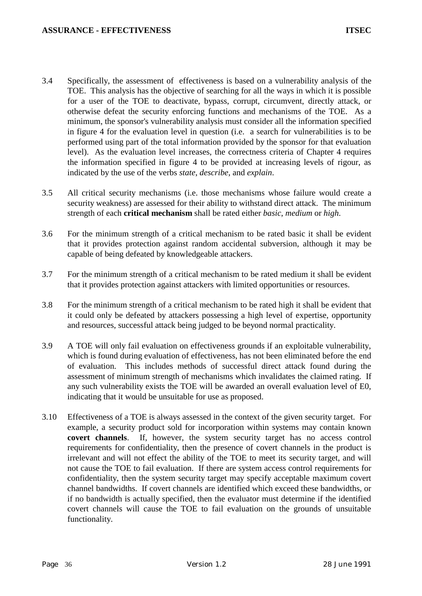- 3.4 Specifically, the assessment of effectiveness is based on a vulnerability analysis of the TOE. This analysis has the objective of searching for all the ways in which it is possible for a user of the TOE to deactivate, bypass, corrupt, circumvent, directly attack, or otherwise defeat the security enforcing functions and mechanisms of the TOE. As a minimum, the sponsor's vulnerability analysis must consider all the information specified in figure 4 for the evaluation level in question (i.e. a search for vulnerabilities is to be performed using part of the total information provided by the sponsor for that evaluation level). As the evaluation level increases, the correctness criteria of Chapter 4 requires the information specified in figure 4 to be provided at increasing levels of rigour, as indicated by the use of the verbs *state*, *describe*, and *explain*.
- 3.5 All critical security mechanisms (i.e. those mechanisms whose failure would create a security weakness) are assessed for their ability to withstand direct attack. The minimum strength of each **critical mechanism** shall be rated either *basic*, *medium* or *high*.
- 3.6 For the minimum strength of a critical mechanism to be rated basic it shall be evident that it provides protection against random accidental subversion, although it may be capable of being defeated by knowledgeable attackers.
- 3.7 For the minimum strength of a critical mechanism to be rated medium it shall be evident that it provides protection against attackers with limited opportunities or resources.
- 3.8 For the minimum strength of a critical mechanism to be rated high it shall be evident that it could only be defeated by attackers possessing a high level of expertise, opportunity and resources, successful attack being judged to be beyond normal practicality.
- 3.9 A TOE will only fail evaluation on effectiveness grounds if an exploitable vulnerability, which is found during evaluation of effectiveness, has not been eliminated before the end of evaluation. This includes methods of successful direct attack found during the assessment of minimum strength of mechanisms which invalidates the claimed rating. If any such vulnerability exists the TOE will be awarded an overall evaluation level of E0, indicating that it would be unsuitable for use as proposed.
- 3.10 Effectiveness of a TOE is always assessed in the context of the given security target. For example, a security product sold for incorporation within systems may contain known **covert channels**. If, however, the system security target has no access control requirements for confidentiality, then the presence of covert channels in the product is irrelevant and will not effect the ability of the TOE to meet its security target, and will not cause the TOE to fail evaluation. If there are system access control requirements for confidentiality, then the system security target may specify acceptable maximum covert channel bandwidths. If covert channels are identified which exceed these bandwidths, or if no bandwidth is actually specified, then the evaluator must determine if the identified covert channels will cause the TOE to fail evaluation on the grounds of unsuitable functionality.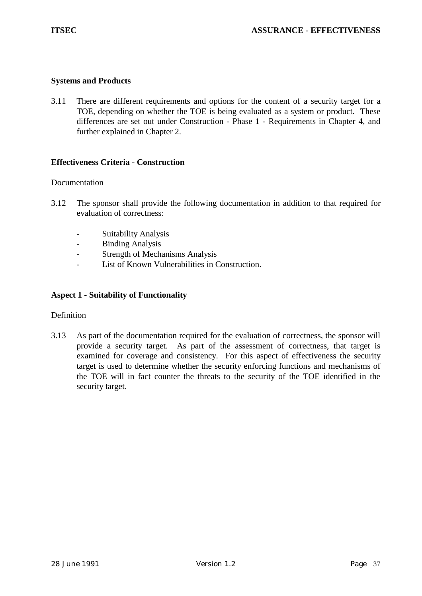## **Systems and Products**

3.11 There are different requirements and options for the content of a security target for a TOE, depending on whether the TOE is being evaluated as a system or product. These differences are set out under Construction - Phase 1 - Requirements in Chapter 4, and further explained in Chapter 2.

## **Effectiveness Criteria - Construction**

#### Documentation

- 3.12 The sponsor shall provide the following documentation in addition to that required for evaluation of correctness:
	- Suitability Analysis
	- Binding Analysis
	- Strength of Mechanisms Analysis
	- List of Known Vulnerabilities in Construction.

## **Aspect 1 - Suitability of Functionality**

#### **Definition**

3.13 As part of the documentation required for the evaluation of correctness, the sponsor will provide a security target. As part of the assessment of correctness, that target is examined for coverage and consistency. For this aspect of effectiveness the security target is used to determine whether the security enforcing functions and mechanisms of the TOE will in fact counter the threats to the security of the TOE identified in the security target.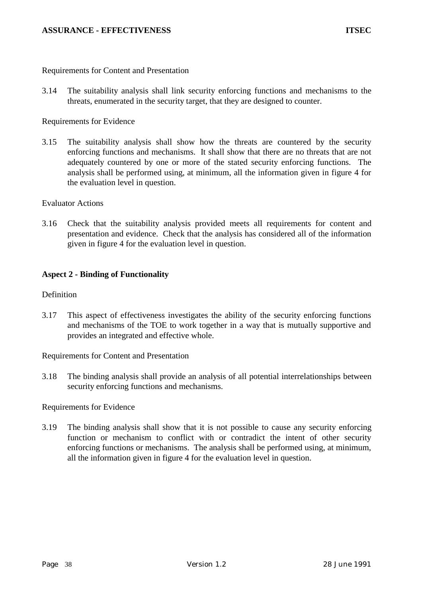Requirements for Content and Presentation

3.14 The suitability analysis shall link security enforcing functions and mechanisms to the threats, enumerated in the security target, that they are designed to counter.

Requirements for Evidence

3.15 The suitability analysis shall show how the threats are countered by the security enforcing functions and mechanisms. It shall show that there are no threats that are not adequately countered by one or more of the stated security enforcing functions. The analysis shall be performed using, at minimum, all the information given in figure 4 for the evaluation level in question.

## Evaluator Actions

3.16 Check that the suitability analysis provided meets all requirements for content and presentation and evidence. Check that the analysis has considered all of the information given in figure 4 for the evaluation level in question.

# **Aspect 2 - Binding of Functionality**

## Definition

3.17 This aspect of effectiveness investigates the ability of the security enforcing functions and mechanisms of the TOE to work together in a way that is mutually supportive and provides an integrated and effective whole.

Requirements for Content and Presentation

3.18 The binding analysis shall provide an analysis of all potential interrelationships between security enforcing functions and mechanisms.

Requirements for Evidence

3.19 The binding analysis shall show that it is not possible to cause any security enforcing function or mechanism to conflict with or contradict the intent of other security enforcing functions or mechanisms. The analysis shall be performed using, at minimum, all the information given in figure 4 for the evaluation level in question.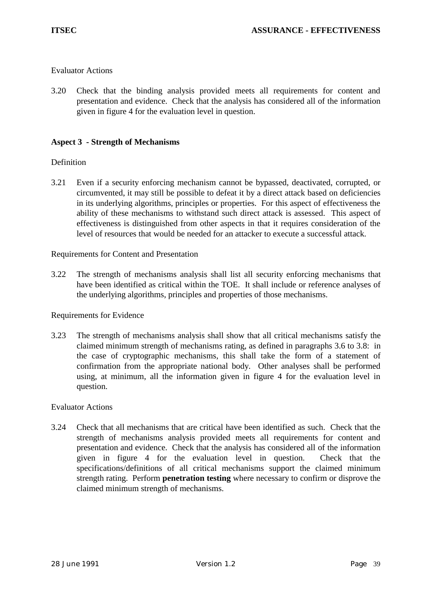# Evaluator Actions

3.20 Check that the binding analysis provided meets all requirements for content and presentation and evidence. Check that the analysis has considered all of the information given in figure 4 for the evaluation level in question.

## **Aspect 3 - Strength of Mechanisms**

## Definition

3.21 Even if a security enforcing mechanism cannot be bypassed, deactivated, corrupted, or circumvented, it may still be possible to defeat it by a direct attack based on deficiencies in its underlying algorithms, principles or properties. For this aspect of effectiveness the ability of these mechanisms to withstand such direct attack is assessed. This aspect of effectiveness is distinguished from other aspects in that it requires consideration of the level of resources that would be needed for an attacker to execute a successful attack.

#### Requirements for Content and Presentation

3.22 The strength of mechanisms analysis shall list all security enforcing mechanisms that have been identified as critical within the TOE. It shall include or reference analyses of the underlying algorithms, principles and properties of those mechanisms.

#### Requirements for Evidence

3.23 The strength of mechanisms analysis shall show that all critical mechanisms satisfy the claimed minimum strength of mechanisms rating, as defined in paragraphs 3.6 to 3.8: in the case of cryptographic mechanisms, this shall take the form of a statement of confirmation from the appropriate national body. Other analyses shall be performed using, at minimum, all the information given in figure 4 for the evaluation level in question.

#### Evaluator Actions

3.24 Check that all mechanisms that are critical have been identified as such. Check that the strength of mechanisms analysis provided meets all requirements for content and presentation and evidence. Check that the analysis has considered all of the information given in figure 4 for the evaluation level in question. Check that the specifications/definitions of all critical mechanisms support the claimed minimum strength rating. Perform **penetration testing** where necessary to confirm or disprove the claimed minimum strength of mechanisms.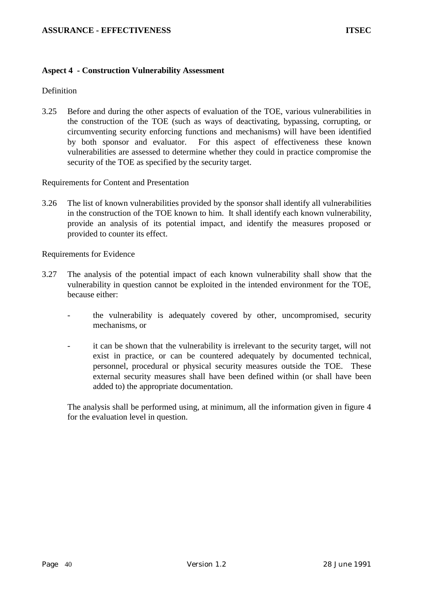#### **Aspect 4 - Construction Vulnerability Assessment**

## **Definition**

3.25 Before and during the other aspects of evaluation of the TOE, various vulnerabilities in the construction of the TOE (such as ways of deactivating, bypassing, corrupting, or circumventing security enforcing functions and mechanisms) will have been identified by both sponsor and evaluator. For this aspect of effectiveness these known vulnerabilities are assessed to determine whether they could in practice compromise the security of the TOE as specified by the security target.

#### Requirements for Content and Presentation

3.26 The list of known vulnerabilities provided by the sponsor shall identify all vulnerabilities in the construction of the TOE known to him. It shall identify each known vulnerability, provide an analysis of its potential impact, and identify the measures proposed or provided to counter its effect.

Requirements for Evidence

- 3.27 The analysis of the potential impact of each known vulnerability shall show that the vulnerability in question cannot be exploited in the intended environment for the TOE, because either:
	- the vulnerability is adequately covered by other, uncompromised, security mechanisms, or
	- it can be shown that the vulnerability is irrelevant to the security target, will not exist in practice, or can be countered adequately by documented technical, personnel, procedural or physical security measures outside the TOE. These external security measures shall have been defined within (or shall have been added to) the appropriate documentation.

The analysis shall be performed using, at minimum, all the information given in figure 4 for the evaluation level in question.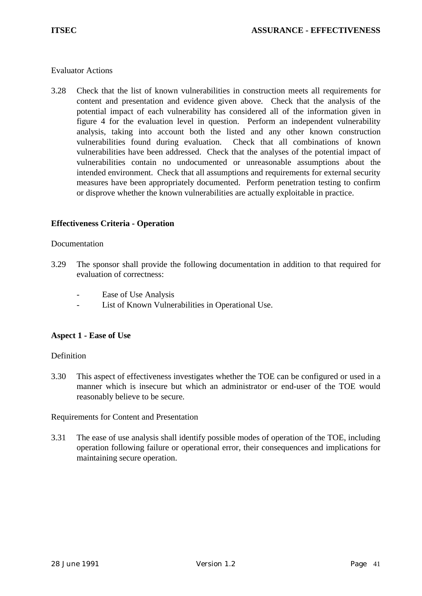## Evaluator Actions

3.28 Check that the list of known vulnerabilities in construction meets all requirements for content and presentation and evidence given above. Check that the analysis of the potential impact of each vulnerability has considered all of the information given in figure 4 for the evaluation level in question. Perform an independent vulnerability analysis, taking into account both the listed and any other known construction vulnerabilities found during evaluation. Check that all combinations of known vulnerabilities have been addressed. Check that the analyses of the potential impact of vulnerabilities contain no undocumented or unreasonable assumptions about the intended environment. Check that all assumptions and requirements for external security measures have been appropriately documented. Perform penetration testing to confirm or disprove whether the known vulnerabilities are actually exploitable in practice.

# **Effectiveness Criteria - Operation**

## Documentation

- 3.29 The sponsor shall provide the following documentation in addition to that required for evaluation of correctness:
	- Ease of Use Analysis
	- List of Known Vulnerabilities in Operational Use.

# **Aspect 1 - Ease of Use**

#### Definition

3.30 This aspect of effectiveness investigates whether the TOE can be configured or used in a manner which is insecure but which an administrator or end-user of the TOE would reasonably believe to be secure.

Requirements for Content and Presentation

3.31 The ease of use analysis shall identify possible modes of operation of the TOE, including operation following failure or operational error, their consequences and implications for maintaining secure operation.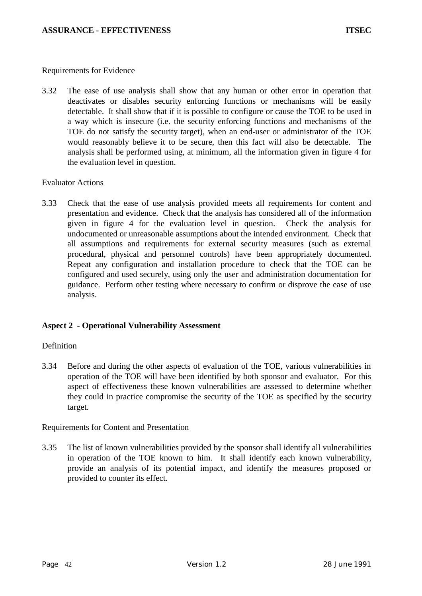#### Requirements for Evidence

3.32 The ease of use analysis shall show that any human or other error in operation that deactivates or disables security enforcing functions or mechanisms will be easily detectable. It shall show that if it is possible to configure or cause the TOE to be used in a way which is insecure (i.e. the security enforcing functions and mechanisms of the TOE do not satisfy the security target), when an end-user or administrator of the TOE would reasonably believe it to be secure, then this fact will also be detectable. The analysis shall be performed using, at minimum, all the information given in figure 4 for the evaluation level in question.

## Evaluator Actions

3.33 Check that the ease of use analysis provided meets all requirements for content and presentation and evidence. Check that the analysis has considered all of the information given in figure 4 for the evaluation level in question. Check the analysis for undocumented or unreasonable assumptions about the intended environment. Check that all assumptions and requirements for external security measures (such as external procedural, physical and personnel controls) have been appropriately documented. Repeat any configuration and installation procedure to check that the TOE can be configured and used securely, using only the user and administration documentation for guidance. Perform other testing where necessary to confirm or disprove the ease of use analysis.

# **Aspect 2 - Operational Vulnerability Assessment**

# Definition

3.34 Before and during the other aspects of evaluation of the TOE, various vulnerabilities in operation of the TOE will have been identified by both sponsor and evaluator. For this aspect of effectiveness these known vulnerabilities are assessed to determine whether they could in practice compromise the security of the TOE as specified by the security target.

# Requirements for Content and Presentation

3.35 The list of known vulnerabilities provided by the sponsor shall identify all vulnerabilities in operation of the TOE known to him. It shall identify each known vulnerability, provide an analysis of its potential impact, and identify the measures proposed or provided to counter its effect.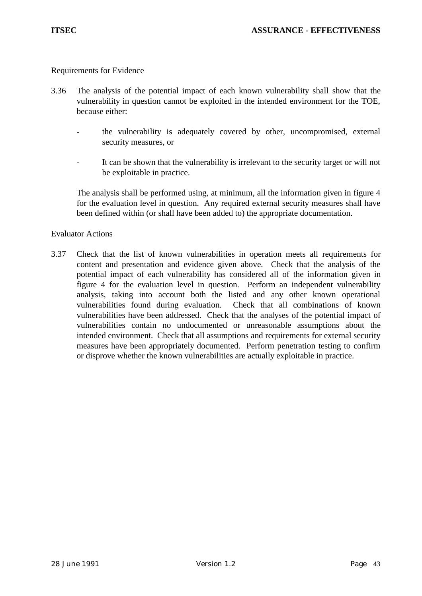#### Requirements for Evidence

- 3.36 The analysis of the potential impact of each known vulnerability shall show that the vulnerability in question cannot be exploited in the intended environment for the TOE, because either:
	- the vulnerability is adequately covered by other, uncompromised, external security measures, or
	- It can be shown that the vulnerability is irrelevant to the security target or will not be exploitable in practice.

The analysis shall be performed using, at minimum, all the information given in figure 4 for the evaluation level in question. Any required external security measures shall have been defined within (or shall have been added to) the appropriate documentation.

#### Evaluator Actions

3.37 Check that the list of known vulnerabilities in operation meets all requirements for content and presentation and evidence given above. Check that the analysis of the potential impact of each vulnerability has considered all of the information given in figure 4 for the evaluation level in question. Perform an independent vulnerability analysis, taking into account both the listed and any other known operational vulnerabilities found during evaluation. Check that all combinations of known vulnerabilities have been addressed. Check that the analyses of the potential impact of vulnerabilities contain no undocumented or unreasonable assumptions about the intended environment. Check that all assumptions and requirements for external security measures have been appropriately documented. Perform penetration testing to confirm or disprove whether the known vulnerabilities are actually exploitable in practice.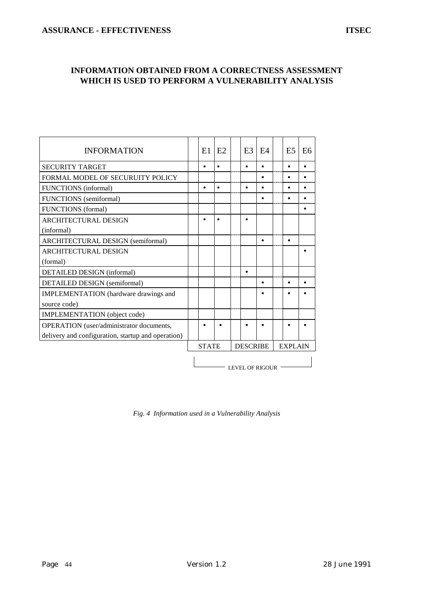# **INFORMATION OBTAINED FROM A CORRECTNESS ASSESSMENT WHICH IS USED TO PERFORM A VULNERABILITY ANALYSIS**

| <b>INFORMATION</b>                                 | E1                     | E2        |  |                 | E <sub>3</sub> | F4        |                | E <sub>5</sub> | E <sub>6</sub> |
|----------------------------------------------------|------------------------|-----------|--|-----------------|----------------|-----------|----------------|----------------|----------------|
| <b>SECURITY TARGET</b>                             |                        | $\bullet$ |  |                 |                | $\bullet$ |                |                |                |
| FORMAL MODEL OF SECURUITY POLICY                   |                        |           |  |                 |                | ٠         |                | $\bullet$      |                |
| FUNCTIONS (informal)                               | $\bullet$              | $\bullet$ |  |                 |                |           |                | $\bullet$      |                |
| FUNCTIONS (semiformal)                             |                        |           |  |                 |                |           |                |                |                |
| <b>FUNCTIONS</b> (formal)                          |                        |           |  |                 |                |           |                |                |                |
| <b>ARCHITECTURAL DESIGN</b>                        |                        | $\bullet$ |  |                 |                |           |                |                |                |
| (informal)                                         |                        |           |  |                 |                |           |                |                |                |
| ARCHITECTURAL DESIGN (semiformal)                  |                        |           |  |                 |                | $\bullet$ |                | $\bullet$      |                |
| <b>ARCHITECTURAL DESIGN</b>                        |                        |           |  |                 |                |           |                |                |                |
| (formal)                                           |                        |           |  |                 |                |           |                |                |                |
| DETAILED DESIGN (informal)                         |                        |           |  |                 |                |           |                |                |                |
| <b>DETAILED DESIGN</b> (semiformal)                |                        |           |  |                 |                | ٠         |                |                |                |
| IMPLEMENTATION (hardware drawings and              |                        |           |  |                 |                |           |                |                |                |
| source code)                                       |                        |           |  |                 |                |           |                |                |                |
| IMPLEMENTATION (object code)                       |                        |           |  |                 |                |           |                |                |                |
| OPERATION (user/administrator documents,           |                        |           |  |                 |                |           |                |                |                |
| delivery and configuration, startup and operation) |                        |           |  |                 |                |           |                |                |                |
|                                                    | <b>STATE</b>           |           |  | <b>DESCRIBE</b> |                |           | <b>EXPLAIN</b> |                |                |
|                                                    | <b>LEVEL OF RIGOUR</b> |           |  |                 |                |           |                |                |                |

*Fig. 4 Information used in a Vulnerability Analysis*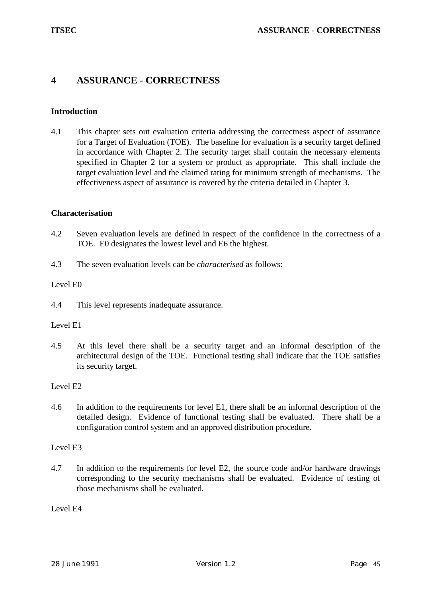# **4 ASSURANCE - CORRECTNESS**

## **Introduction**

4.1 This chapter sets out evaluation criteria addressing the correctness aspect of assurance for a Target of Evaluation (TOE). The baseline for evaluation is a security target defined in accordance with Chapter 2. The security target shall contain the necessary elements specified in Chapter 2 for a system or product as appropriate. This shall include the target evaluation level and the claimed rating for minimum strength of mechanisms. The effectiveness aspect of assurance is covered by the criteria detailed in Chapter 3.

#### **Characterisation**

- 4.2 Seven evaluation levels are defined in respect of the confidence in the correctness of a TOE. E0 designates the lowest level and E6 the highest.
- 4.3 The seven evaluation levels can be *characterised* as follows:

#### Level E0

4.4 This level represents inadequate assurance.

#### Level E1

4.5 At this level there shall be a security target and an informal description of the architectural design of the TOE. Functional testing shall indicate that the TOE satisfies its security target.

#### Level E2

4.6 In addition to the requirements for level E1, there shall be an informal description of the detailed design. Evidence of functional testing shall be evaluated. There shall be a configuration control system and an approved distribution procedure.

#### Level E3

4.7 In addition to the requirements for level E2, the source code and/or hardware drawings corresponding to the security mechanisms shall be evaluated. Evidence of testing of those mechanisms shall be evaluated.

Level E4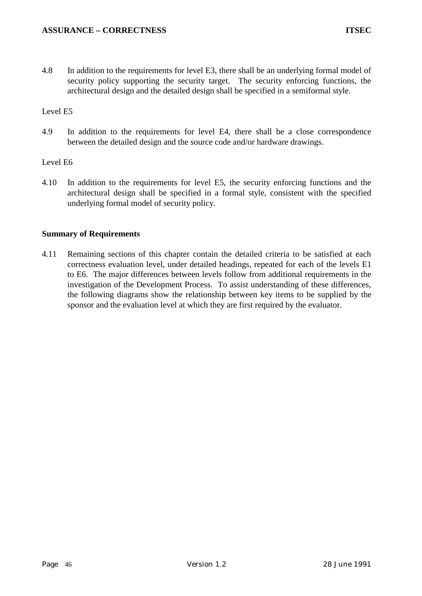4.8 In addition to the requirements for level E3, there shall be an underlying formal model of security policy supporting the security target. The security enforcing functions, the architectural design and the detailed design shall be specified in a semiformal style.

# Level E5

4.9 In addition to the requirements for level E4, there shall be a close correspondence between the detailed design and the source code and/or hardware drawings.

# Level E6

4.10 In addition to the requirements for level E5, the security enforcing functions and the architectural design shall be specified in a formal style, consistent with the specified underlying formal model of security policy.

# **Summary of Requirements**

4.11 Remaining sections of this chapter contain the detailed criteria to be satisfied at each correctness evaluation level, under detailed headings, repeated for each of the levels E1 to E6. The major differences between levels follow from additional requirements in the investigation of the Development Process. To assist understanding of these differences, the following diagrams show the relationship between key items to be supplied by the sponsor and the evaluation level at which they are first required by the evaluator.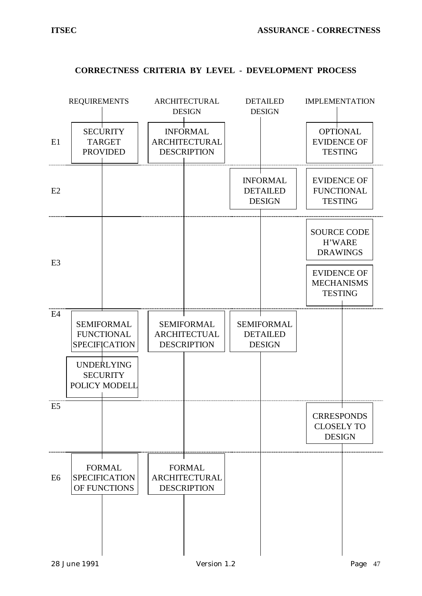

## **CORRECTNESS CRITERIA BY LEVEL - DEVELOPMENT PROCESS**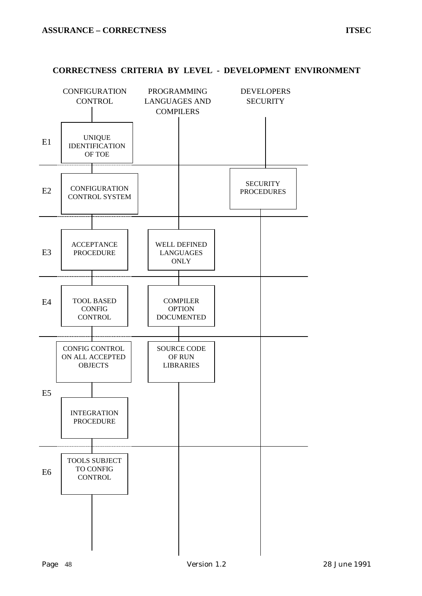#### **CORRECTNESS CRITERIA BY LEVEL - DEVELOPMENT ENVIRONMENT**

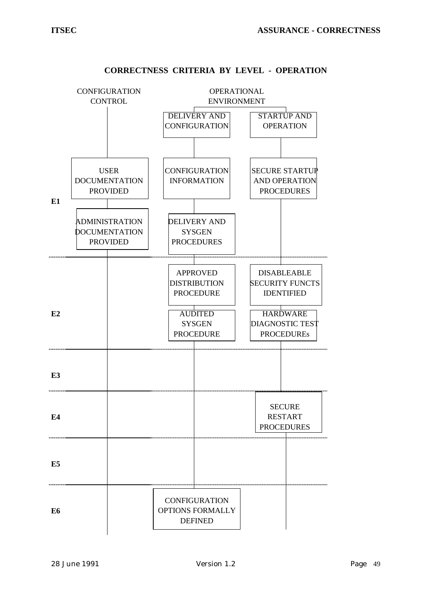

## **CORRECTNESS CRITERIA BY LEVEL - OPERATION**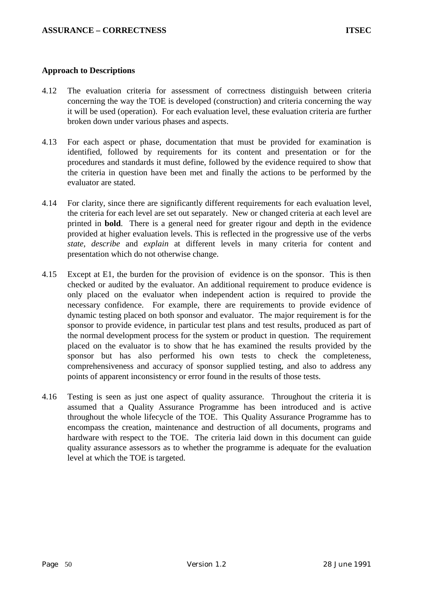#### **Approach to Descriptions**

- 4.12 The evaluation criteria for assessment of correctness distinguish between criteria concerning the way the TOE is developed (construction) and criteria concerning the way it will be used (operation). For each evaluation level, these evaluation criteria are further broken down under various phases and aspects.
- 4.13 For each aspect or phase, documentation that must be provided for examination is identified, followed by requirements for its content and presentation or for the procedures and standards it must define, followed by the evidence required to show that the criteria in question have been met and finally the actions to be performed by the evaluator are stated.
- 4.14 For clarity, since there are significantly different requirements for each evaluation level, the criteria for each level are set out separately. New or changed criteria at each level are printed in **bold**. There is a general need for greater rigour and depth in the evidence provided at higher evaluation levels. This is reflected in the progressive use of the verbs *state*, *describe* and *explain* at different levels in many criteria for content and presentation which do not otherwise change.
- 4.15 Except at E1, the burden for the provision of evidence is on the sponsor. This is then checked or audited by the evaluator. An additional requirement to produce evidence is only placed on the evaluator when independent action is required to provide the necessary confidence. For example, there are requirements to provide evidence of dynamic testing placed on both sponsor and evaluator. The major requirement is for the sponsor to provide evidence, in particular test plans and test results, produced as part of the normal development process for the system or product in question. The requirement placed on the evaluator is to show that he has examined the results provided by the sponsor but has also performed his own tests to check the completeness, comprehensiveness and accuracy of sponsor supplied testing, and also to address any points of apparent inconsistency or error found in the results of those tests.
- 4.16 Testing is seen as just one aspect of quality assurance. Throughout the criteria it is assumed that a Quality Assurance Programme has been introduced and is active throughout the whole lifecycle of the TOE. This Quality Assurance Programme has to encompass the creation, maintenance and destruction of all documents, programs and hardware with respect to the TOE. The criteria laid down in this document can guide quality assurance assessors as to whether the programme is adequate for the evaluation level at which the TOE is targeted.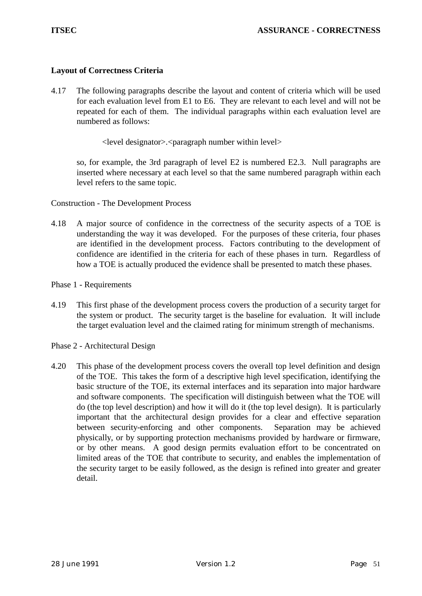## **Layout of Correctness Criteria**

- 4.17 The following paragraphs describe the layout and content of criteria which will be used for each evaluation level from E1 to E6. They are relevant to each level and will not be repeated for each of them. The individual paragraphs within each evaluation level are numbered as follows:
	- <level designator>.<paragraph number within level>

so, for example, the 3rd paragraph of level E2 is numbered E2.3. Null paragraphs are inserted where necessary at each level so that the same numbered paragraph within each level refers to the same topic.

Construction - The Development Process

- 4.18 A major source of confidence in the correctness of the security aspects of a TOE is understanding the way it was developed. For the purposes of these criteria, four phases are identified in the development process. Factors contributing to the development of confidence are identified in the criteria for each of these phases in turn. Regardless of how a TOE is actually produced the evidence shall be presented to match these phases.
- Phase 1 Requirements
- 4.19 This first phase of the development process covers the production of a security target for the system or product. The security target is the baseline for evaluation. It will include the target evaluation level and the claimed rating for minimum strength of mechanisms.

Phase 2 - Architectural Design

4.20 This phase of the development process covers the overall top level definition and design of the TOE. This takes the form of a descriptive high level specification, identifying the basic structure of the TOE, its external interfaces and its separation into major hardware and software components. The specification will distinguish between what the TOE will do (the top level description) and how it will do it (the top level design). It is particularly important that the architectural design provides for a clear and effective separation between security-enforcing and other components. Separation may be achieved physically, or by supporting protection mechanisms provided by hardware or firmware, or by other means. A good design permits evaluation effort to be concentrated on limited areas of the TOE that contribute to security, and enables the implementation of the security target to be easily followed, as the design is refined into greater and greater detail.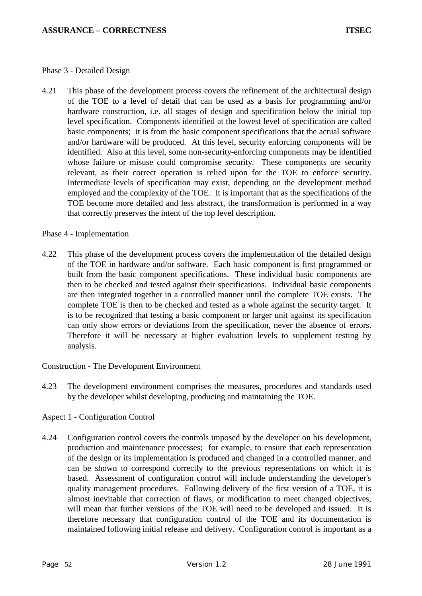#### Phase 3 - Detailed Design

4.21 This phase of the development process covers the refinement of the architectural design of the TOE to a level of detail that can be used as a basis for programming and/or hardware construction, i.e. all stages of design and specification below the initial top level specification. Components identified at the lowest level of specification are called basic components; it is from the basic component specifications that the actual software and/or hardware will be produced. At this level, security enforcing components will be identified. Also at this level, some non-security-enforcing components may be identified whose failure or misuse could compromise security. These components are security relevant, as their correct operation is relied upon for the TOE to enforce security. Intermediate levels of specification may exist, depending on the development method employed and the complexity of the TOE. It is important that as the specifications of the TOE become more detailed and less abstract, the transformation is performed in a way that correctly preserves the intent of the top level description.

#### Phase 4 - Implementation

4.22 This phase of the development process covers the implementation of the detailed design of the TOE in hardware and/or software. Each basic component is first programmed or built from the basic component specifications. These individual basic components are then to be checked and tested against their specifications. Individual basic components are then integrated together in a controlled manner until the complete TOE exists. The complete TOE is then to be checked and tested as a whole against the security target. It is to be recognized that testing a basic component or larger unit against its specification can only show errors or deviations from the specification, never the absence of errors. Therefore it will be necessary at higher evaluation levels to supplement testing by analysis.

Construction - The Development Environment

4.23 The development environment comprises the measures, procedures and standards used by the developer whilst developing, producing and maintaining the TOE.

# Aspect 1 - Configuration Control

4.24 Configuration control covers the controls imposed by the developer on his development, production and maintenance processes; for example, to ensure that each representation of the design or its implementation is produced and changed in a controlled manner, and can be shown to correspond correctly to the previous representations on which it is based. Assessment of configuration control will include understanding the developer's quality management procedures. Following delivery of the first version of a TOE, it is almost inevitable that correction of flaws, or modification to meet changed objectives, will mean that further versions of the TOE will need to be developed and issued. It is therefore necessary that configuration control of the TOE and its documentation is maintained following initial release and delivery. Configuration control is important as a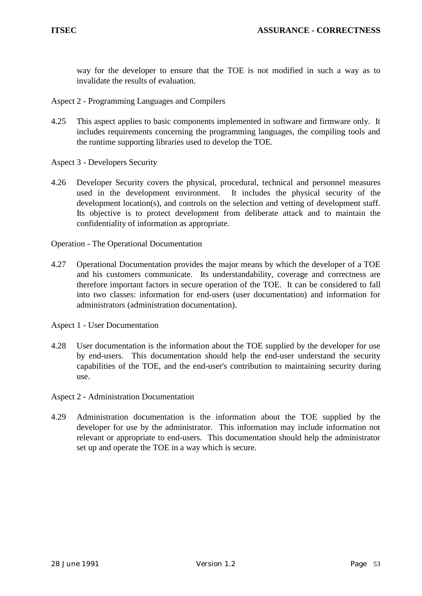way for the developer to ensure that the TOE is not modified in such a way as to invalidate the results of evaluation.

Aspect 2 - Programming Languages and Compilers

- 4.25 This aspect applies to basic components implemented in software and firmware only. It includes requirements concerning the programming languages, the compiling tools and the runtime supporting libraries used to develop the TOE.
- Aspect 3 Developers Security
- 4.26 Developer Security covers the physical, procedural, technical and personnel measures used in the development environment. It includes the physical security of the development location(s), and controls on the selection and vetting of development staff. Its objective is to protect development from deliberate attack and to maintain the confidentiality of information as appropriate.

Operation - The Operational Documentation

4.27 Operational Documentation provides the major means by which the developer of a TOE and his customers communicate. Its understandability, coverage and correctness are therefore important factors in secure operation of the TOE. It can be considered to fall into two classes: information for end-users (user documentation) and information for administrators (administration documentation).

Aspect 1 - User Documentation

4.28 User documentation is the information about the TOE supplied by the developer for use by end-users. This documentation should help the end-user understand the security capabilities of the TOE, and the end-user's contribution to maintaining security during use.

#### Aspect 2 - Administration Documentation

4.29 Administration documentation is the information about the TOE supplied by the developer for use by the administrator. This information may include information not relevant or appropriate to end-users. This documentation should help the administrator set up and operate the TOE in a way which is secure.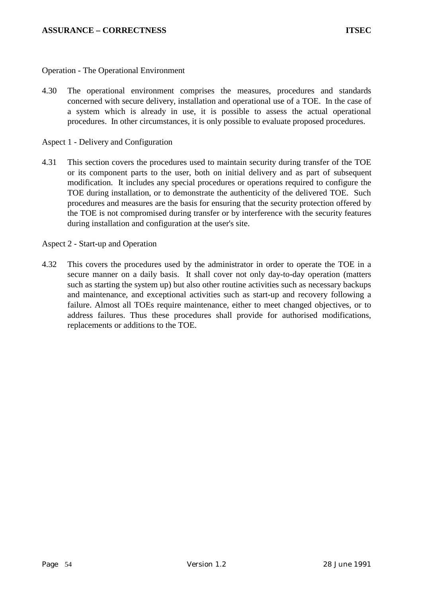Operation - The Operational Environment

4.30 The operational environment comprises the measures, procedures and standards concerned with secure delivery, installation and operational use of a TOE. In the case of a system which is already in use, it is possible to assess the actual operational procedures. In other circumstances, it is only possible to evaluate proposed procedures.

#### Aspect 1 - Delivery and Configuration

4.31 This section covers the procedures used to maintain security during transfer of the TOE or its component parts to the user, both on initial delivery and as part of subsequent modification. It includes any special procedures or operations required to configure the TOE during installation, or to demonstrate the authenticity of the delivered TOE. Such procedures and measures are the basis for ensuring that the security protection offered by the TOE is not compromised during transfer or by interference with the security features during installation and configuration at the user's site.

## Aspect 2 - Start-up and Operation

4.32 This covers the procedures used by the administrator in order to operate the TOE in a secure manner on a daily basis. It shall cover not only day-to-day operation (matters such as starting the system up) but also other routine activities such as necessary backups and maintenance, and exceptional activities such as start-up and recovery following a failure. Almost all TOEs require maintenance, either to meet changed objectives, or to address failures. Thus these procedures shall provide for authorised modifications, replacements or additions to the TOE.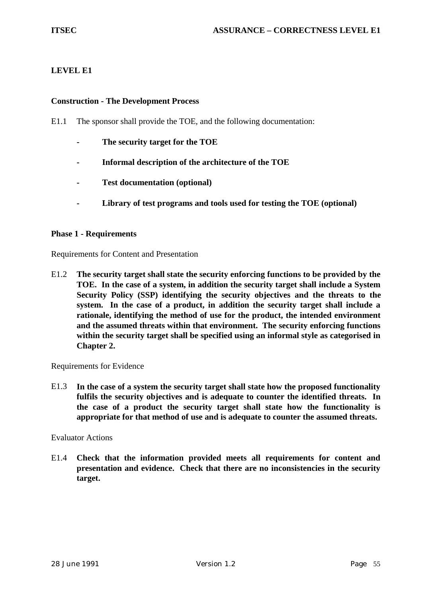# **LEVEL E1**

## **Construction - The Development Process**

E1.1 The sponsor shall provide the TOE, and the following documentation:

- **The security target for the TOE**
- **Informal description of the architecture of the TOE**
- **Test documentation (optional)**
- **Library of test programs and tools used for testing the TOE (optional)**

#### **Phase 1 - Requirements**

Requirements for Content and Presentation

E1.2 **The security target shall state the security enforcing functions to be provided by the TOE. In the case of a system, in addition the security target shall include a System Security Policy (SSP) identifying the security objectives and the threats to the system. In the case of a product, in addition the security target shall include a rationale, identifying the method of use for the product, the intended environment and the assumed threats within that environment. The security enforcing functions within the security target shall be specified using an informal style as categorised in Chapter 2.**

Requirements for Evidence

E1.3 **In the case of a system the security target shall state how the proposed functionality fulfils the security objectives and is adequate to counter the identified threats. In the case of a product the security target shall state how the functionality is appropriate for that method of use and is adequate to counter the assumed threats.**

#### Evaluator Actions

E1.4 **Check that the information provided meets all requirements for content and presentation and evidence. Check that there are no inconsistencies in the security target.**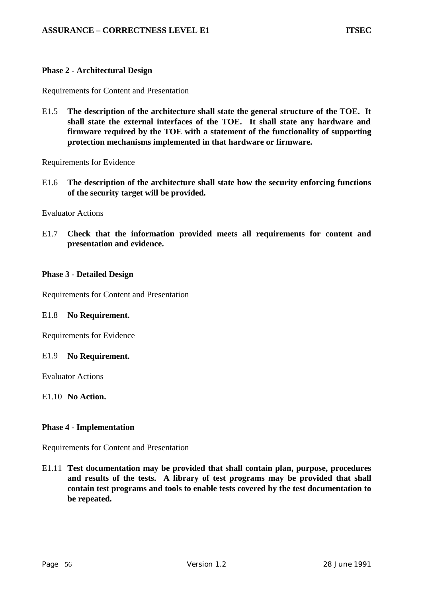#### **Phase 2 - Architectural Design**

Requirements for Content and Presentation

E1.5 **The description of the architecture shall state the general structure of the TOE. It shall state the external interfaces of the TOE. It shall state any hardware and firmware required by the TOE with a statement of the functionality of supporting protection mechanisms implemented in that hardware or firmware.**

Requirements for Evidence

E1.6 **The description of the architecture shall state how the security enforcing functions of the security target will be provided.**

Evaluator Actions

E1.7 **Check that the information provided meets all requirements for content and presentation and evidence.**

#### **Phase 3 - Detailed Design**

Requirements for Content and Presentation

#### E1.8 **No Requirement.**

Requirements for Evidence

#### E1.9 **No Requirement.**

Evaluator Actions

E1.10 **No Action.**

#### **Phase 4 - Implementation**

Requirements for Content and Presentation

E1.11 **Test documentation may be provided that shall contain plan, purpose, procedures and results of the tests. A library of test programs may be provided that shall contain test programs and tools to enable tests covered by the test documentation to be repeated.**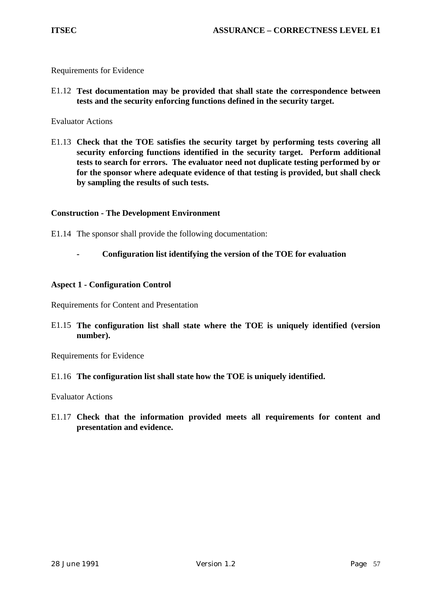Requirements for Evidence

E1.12 **Test documentation may be provided that shall state the correspondence between tests and the security enforcing functions defined in the security target.**

Evaluator Actions

E1.13 **Check that the TOE satisfies the security target by performing tests covering all security enforcing functions identified in the security target. Perform additional tests to search for errors. The evaluator need not duplicate testing performed by or for the sponsor where adequate evidence of that testing is provided, but shall check by sampling the results of such tests.**

## **Construction - The Development Environment**

- E1.14 The sponsor shall provide the following documentation:
	- **Configuration list identifying the version of the TOE for evaluation**

## **Aspect 1 - Configuration Control**

Requirements for Content and Presentation

E1.15 **The configuration list shall state where the TOE is uniquely identified (version number).**

Requirements for Evidence

E1.16 **The configuration list shall state how the TOE is uniquely identified.**

Evaluator Actions

E1.17 **Check that the information provided meets all requirements for content and presentation and evidence.**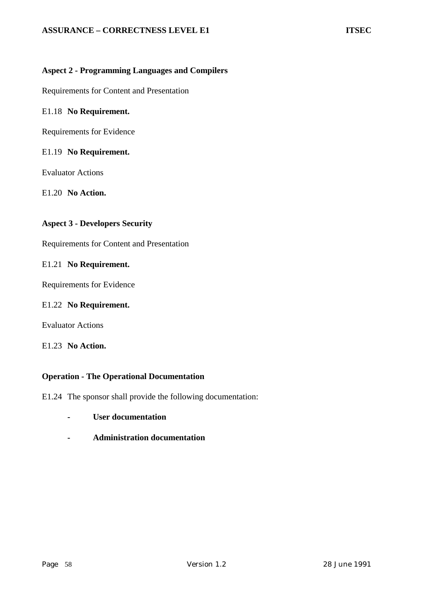## **Aspect 2 - Programming Languages and Compilers**

Requirements for Content and Presentation

#### E1.18 **No Requirement.**

Requirements for Evidence

#### E1.19 **No Requirement.**

Evaluator Actions

E1.20 **No Action.**

#### **Aspect 3 - Developers Security**

Requirements for Content and Presentation

#### E1.21 **No Requirement.**

Requirements for Evidence

#### E1.22 **No Requirement.**

Evaluator Actions

# E1.23 **No Action.**

#### **Operation - The Operational Documentation**

- E1.24 The sponsor shall provide the following documentation:
	- **User documentation**
	- **Administration documentation**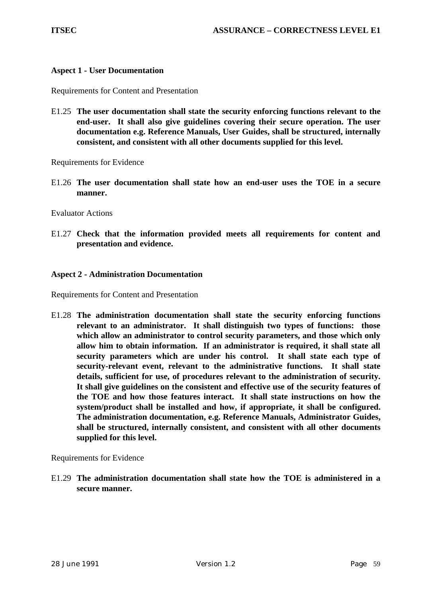#### **Aspect 1 - User Documentation**

Requirements for Content and Presentation

E1.25 **The user documentation shall state the security enforcing functions relevant to the end-user. It shall also give guidelines covering their secure operation. The user documentation e.g. Reference Manuals, User Guides, shall be structured, internally consistent, and consistent with all other documents supplied for this level.**

Requirements for Evidence

E1.26 **The user documentation shall state how an end-user uses the TOE in a secure manner.**

Evaluator Actions

E1.27 **Check that the information provided meets all requirements for content and presentation and evidence.**

#### **Aspect 2 - Administration Documentation**

Requirements for Content and Presentation

E1.28 **The administration documentation shall state the security enforcing functions relevant to an administrator. It shall distinguish two types of functions: those which allow an administrator to control security parameters, and those which only allow him to obtain information. If an administrator is required, it shall state all security parameters which are under his control. It shall state each type of security-relevant event, relevant to the administrative functions. It shall state details, sufficient for use, of procedures relevant to the administration of security. It shall give guidelines on the consistent and effective use of the security features of the TOE and how those features interact. It shall state instructions on how the system/product shall be installed and how, if appropriate, it shall be configured. The administration documentation, e.g. Reference Manuals, Administrator Guides, shall be structured, internally consistent, and consistent with all other documents supplied for this level.**

Requirements for Evidence

E1.29 **The administration documentation shall state how the TOE is administered in a secure manner.**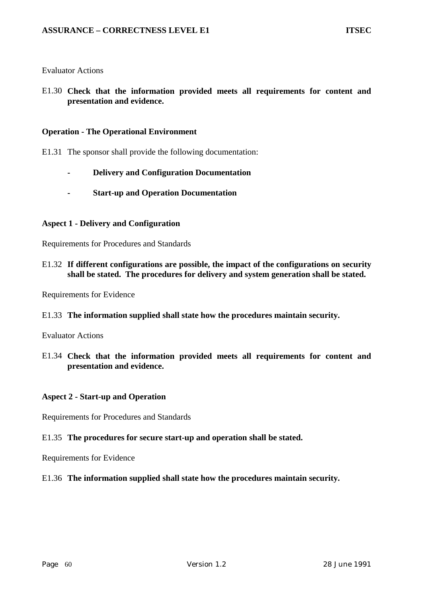#### Evaluator Actions

E1.30 **Check that the information provided meets all requirements for content and presentation and evidence.**

#### **Operation - The Operational Environment**

- E1.31 The sponsor shall provide the following documentation:
	- **Delivery and Configuration Documentation**
	- **Start-up and Operation Documentation**

#### **Aspect 1 - Delivery and Configuration**

Requirements for Procedures and Standards

E1.32 **If different configurations are possible, the impact of the configurations on security shall be stated. The procedures for delivery and system generation shall be stated.**

Requirements for Evidence

E1.33 **The information supplied shall state how the procedures maintain security.**

Evaluator Actions

E1.34 **Check that the information provided meets all requirements for content and presentation and evidence.**

#### **Aspect 2 - Start-up and Operation**

Requirements for Procedures and Standards

#### E1.35 **The procedures for secure start-up and operation shall be stated.**

Requirements for Evidence

#### E1.36 **The information supplied shall state how the procedures maintain security.**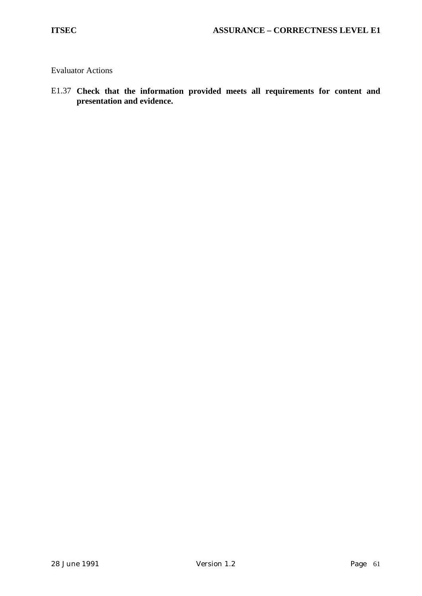Evaluator Actions

E1.37 **Check that the information provided meets all requirements for content and presentation and evidence.**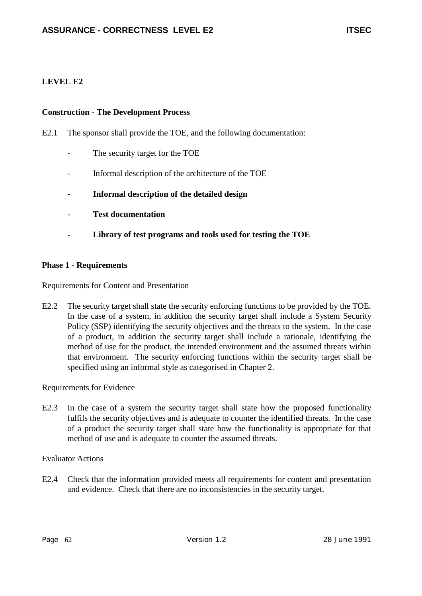# **LEVEL E2**

## **Construction - The Development Process**

E2.1 The sponsor shall provide the TOE, and the following documentation:

- The security target for the TOE
- Informal description of the architecture of the TOE
- **Informal description of the detailed design**
- **Test documentation**
- **Library of test programs and tools used for testing the TOE**

## **Phase 1 - Requirements**

Requirements for Content and Presentation

E2.2 The security target shall state the security enforcing functions to be provided by the TOE. In the case of a system, in addition the security target shall include a System Security Policy (SSP) identifying the security objectives and the threats to the system. In the case of a product, in addition the security target shall include a rationale, identifying the method of use for the product, the intended environment and the assumed threats within that environment. The security enforcing functions within the security target shall be specified using an informal style as categorised in Chapter 2.

Requirements for Evidence

E2.3 In the case of a system the security target shall state how the proposed functionality fulfils the security objectives and is adequate to counter the identified threats. In the case of a product the security target shall state how the functionality is appropriate for that method of use and is adequate to counter the assumed threats.

Evaluator Actions

E2.4 Check that the information provided meets all requirements for content and presentation and evidence. Check that there are no inconsistencies in the security target.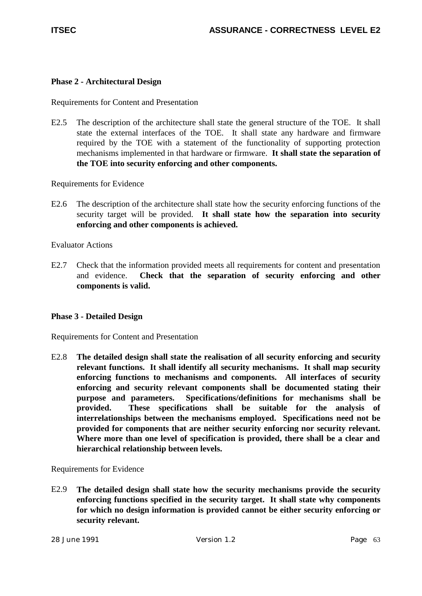# **Phase 2 - Architectural Design**

Requirements for Content and Presentation

E2.5 The description of the architecture shall state the general structure of the TOE. It shall state the external interfaces of the TOE. It shall state any hardware and firmware required by the TOE with a statement of the functionality of supporting protection mechanisms implemented in that hardware or firmware. **It shall state the separation of the TOE into security enforcing and other components.**

Requirements for Evidence

E2.6 The description of the architecture shall state how the security enforcing functions of the security target will be provided. **It shall state how the separation into security enforcing and other components is achieved.**

Evaluator Actions

E2.7 Check that the information provided meets all requirements for content and presentation and evidence. **Check that the separation of security enforcing and other components is valid.**

# **Phase 3 - Detailed Design**

Requirements for Content and Presentation

E2.8 **The detailed design shall state the realisation of all security enforcing and security relevant functions. It shall identify all security mechanisms. It shall map security enforcing functions to mechanisms and components. All interfaces of security enforcing and security relevant components shall be documented stating their purpose and parameters. Specifications/definitions for mechanisms shall be provided. These specifications shall be suitable for the analysis of interrelationships between the mechanisms employed. Specifications need not be provided for components that are neither security enforcing nor security relevant. Where more than one level of specification is provided, there shall be a clear and hierarchical relationship between levels.**

Requirements for Evidence

E2.9 **The detailed design shall state how the security mechanisms provide the security enforcing functions specified in the security target. It shall state why components for which no design information is provided cannot be either security enforcing or security relevant.**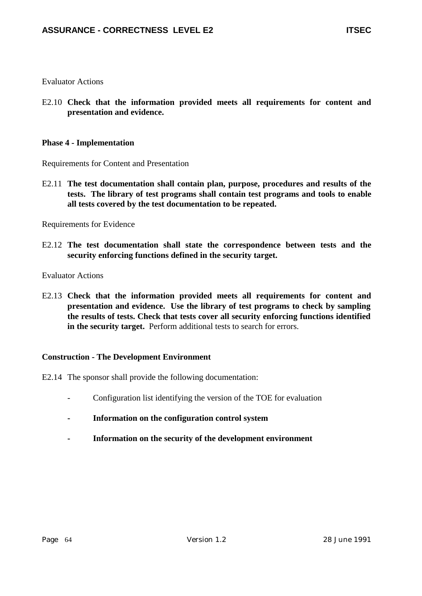Evaluator Actions

E2.10 **Check that the information provided meets all requirements for content and presentation and evidence.**

## **Phase 4 - Implementation**

Requirements for Content and Presentation

E2.11 **The test documentation shall contain plan, purpose, procedures and results of the tests. The library of test programs shall contain test programs and tools to enable all tests covered by the test documentation to be repeated.**

Requirements for Evidence

E2.12 **The test documentation shall state the correspondence between tests and the security enforcing functions defined in the security target.**

Evaluator Actions

E2.13 **Check that the information provided meets all requirements for content and presentation and evidence. Use the library of test programs to check by sampling the results of tests. Check that tests cover all security enforcing functions identified in the security target.** Perform additional tests to search for errors.

# **Construction - The Development Environment**

- E2.14 The sponsor shall provide the following documentation:
	- Configuration list identifying the version of the TOE for evaluation
	- **Information on the configuration control system**
	- **Information on the security of the development environment**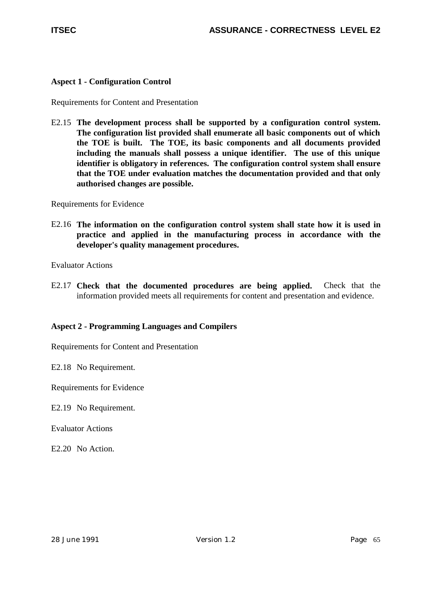# **Aspect 1 - Configuration Control**

Requirements for Content and Presentation

E2.15 **The development process shall be supported by a configuration control system. The configuration list provided shall enumerate all basic components out of which the TOE is built. The TOE, its basic components and all documents provided including the manuals shall possess a unique identifier. The use of this unique identifier is obligatory in references. The configuration control system shall ensure that the TOE under evaluation matches the documentation provided and that only authorised changes are possible.**

Requirements for Evidence

E2.16 **The information on the configuration control system shall state how it is used in practice and applied in the manufacturing process in accordance with the developer's quality management procedures.**

Evaluator Actions

E2.17 **Check that the documented procedures are being applied.** Check that the information provided meets all requirements for content and presentation and evidence.

# **Aspect 2 - Programming Languages and Compilers**

Requirements for Content and Presentation

E2.18 No Requirement.

Requirements for Evidence

E2.19 No Requirement.

Evaluator Actions

E2.20 No Action.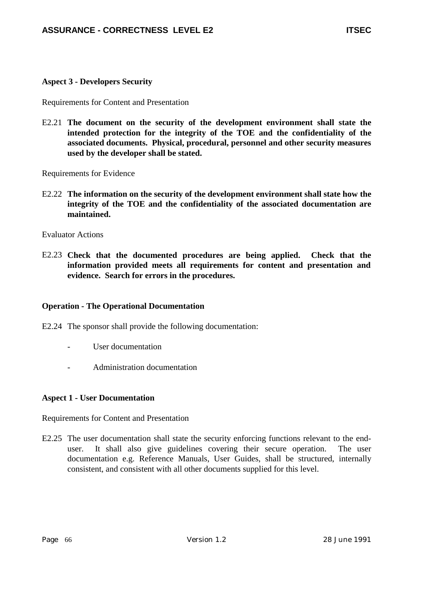# **Aspect 3 - Developers Security**

Requirements for Content and Presentation

E2.21 **The document on the security of the development environment shall state the intended protection for the integrity of the TOE and the confidentiality of the associated documents. Physical, procedural, personnel and other security measures used by the developer shall be stated.**

Requirements for Evidence

E2.22 **The information on the security of the development environment shall state how the integrity of the TOE and the confidentiality of the associated documentation are maintained.**

Evaluator Actions

E2.23 **Check that the documented procedures are being applied. Check that the information provided meets all requirements for content and presentation and evidence. Search for errors in the procedures.**

# **Operation - The Operational Documentation**

E2.24 The sponsor shall provide the following documentation:

- User documentation
- Administration documentation

#### **Aspect 1 - User Documentation**

Requirements for Content and Presentation

E2.25 The user documentation shall state the security enforcing functions relevant to the enduser. It shall also give guidelines covering their secure operation. The user documentation e.g. Reference Manuals, User Guides, shall be structured, internally consistent, and consistent with all other documents supplied for this level.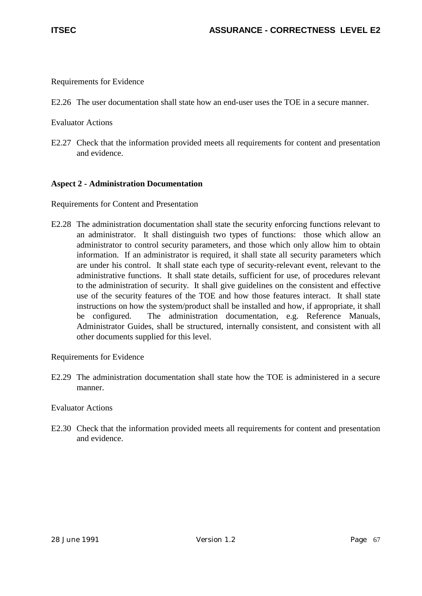Requirements for Evidence

E2.26 The user documentation shall state how an end-user uses the TOE in a secure manner.

Evaluator Actions

E2.27 Check that the information provided meets all requirements for content and presentation and evidence.

# **Aspect 2 - Administration Documentation**

Requirements for Content and Presentation

E2.28 The administration documentation shall state the security enforcing functions relevant to an administrator. It shall distinguish two types of functions: those which allow an administrator to control security parameters, and those which only allow him to obtain information. If an administrator is required, it shall state all security parameters which are under his control. It shall state each type of security-relevant event, relevant to the administrative functions. It shall state details, sufficient for use, of procedures relevant to the administration of security. It shall give guidelines on the consistent and effective use of the security features of the TOE and how those features interact. It shall state instructions on how the system/product shall be installed and how, if appropriate, it shall be configured. The administration documentation, e.g. Reference Manuals, Administrator Guides, shall be structured, internally consistent, and consistent with all other documents supplied for this level.

Requirements for Evidence

E2.29 The administration documentation shall state how the TOE is administered in a secure manner.

Evaluator Actions

E2.30 Check that the information provided meets all requirements for content and presentation and evidence.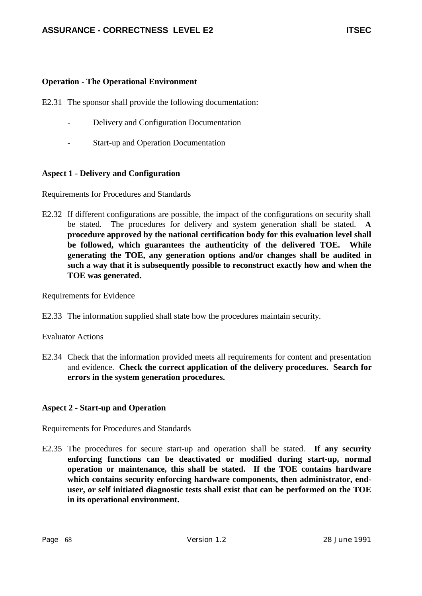# **Operation - The Operational Environment**

- E2.31 The sponsor shall provide the following documentation:
	- Delivery and Configuration Documentation
	- Start-up and Operation Documentation

# **Aspect 1 - Delivery and Configuration**

Requirements for Procedures and Standards

E2.32 If different configurations are possible, the impact of the configurations on security shall be stated. The procedures for delivery and system generation shall be stated. **A procedure approved by the national certification body for this evaluation level shall be followed, which guarantees the authenticity of the delivered TOE. While generating the TOE, any generation options and/or changes shall be audited in such a way that it is subsequently possible to reconstruct exactly how and when the TOE was generated.**

Requirements for Evidence

E2.33 The information supplied shall state how the procedures maintain security.

# Evaluator Actions

E2.34 Check that the information provided meets all requirements for content and presentation and evidence. **Check the correct application of the delivery procedures. Search for errors in the system generation procedures.**

# **Aspect 2 - Start-up and Operation**

Requirements for Procedures and Standards

E2.35 The procedures for secure start-up and operation shall be stated. **If any security enforcing functions can be deactivated or modified during start-up, normal operation or maintenance, this shall be stated. If the TOE contains hardware which contains security enforcing hardware components, then administrator, enduser, or self initiated diagnostic tests shall exist that can be performed on the TOE in its operational environment.**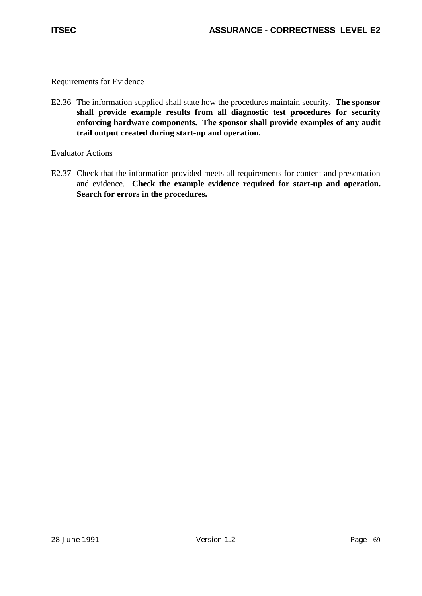E2.36 The information supplied shall state how the procedures maintain security. **The sponsor shall provide example results from all diagnostic test procedures for security enforcing hardware components. The sponsor shall provide examples of any audit trail output created during start-up and operation.**

Evaluator Actions

E2.37 Check that the information provided meets all requirements for content and presentation and evidence. **Check the example evidence required for start-up and operation. Search for errors in the procedures.**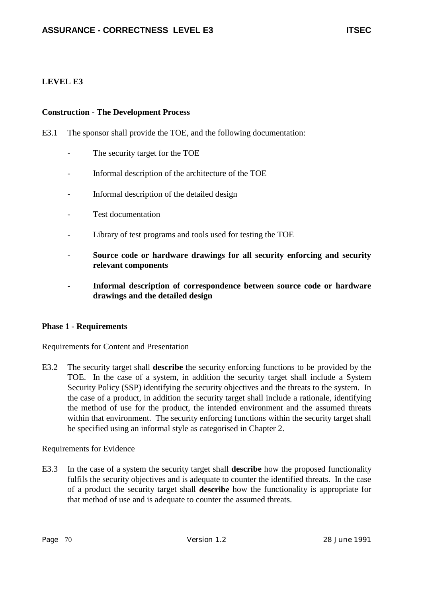# **LEVEL E3**

### **Construction - The Development Process**

- E3.1 The sponsor shall provide the TOE, and the following documentation:
	- The security target for the TOE
	- Informal description of the architecture of the TOE
	- Informal description of the detailed design
	- Test documentation
	- Library of test programs and tools used for testing the TOE
	- **Source code or hardware drawings for all security enforcing and security relevant components**
	- **Informal description of correspondence between source code or hardware drawings and the detailed design**

## **Phase 1 - Requirements**

Requirements for Content and Presentation

E3.2 The security target shall **describe** the security enforcing functions to be provided by the TOE. In the case of a system, in addition the security target shall include a System Security Policy (SSP) identifying the security objectives and the threats to the system. In the case of a product, in addition the security target shall include a rationale, identifying the method of use for the product, the intended environment and the assumed threats within that environment. The security enforcing functions within the security target shall be specified using an informal style as categorised in Chapter 2.

Requirements for Evidence

E3.3 In the case of a system the security target shall **describe** how the proposed functionality fulfils the security objectives and is adequate to counter the identified threats. In the case of a product the security target shall **describe** how the functionality is appropriate for that method of use and is adequate to counter the assumed threats.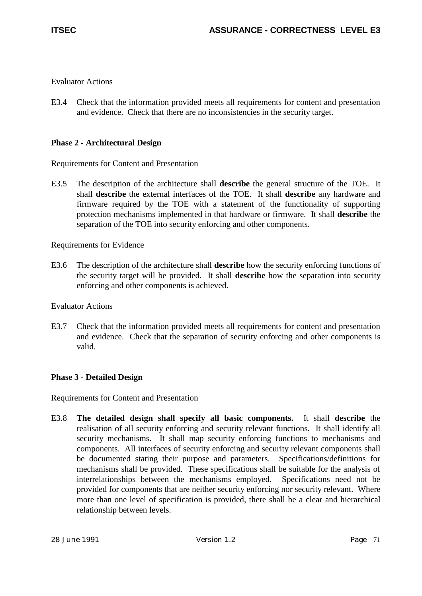E3.4 Check that the information provided meets all requirements for content and presentation and evidence. Check that there are no inconsistencies in the security target.

# **Phase 2 - Architectural Design**

Requirements for Content and Presentation

E3.5 The description of the architecture shall **describe** the general structure of the TOE. It shall **describe** the external interfaces of the TOE. It shall **describe** any hardware and firmware required by the TOE with a statement of the functionality of supporting protection mechanisms implemented in that hardware or firmware. It shall **describe** the separation of the TOE into security enforcing and other components.

Requirements for Evidence

E3.6 The description of the architecture shall **describe** how the security enforcing functions of the security target will be provided. It shall **describe** how the separation into security enforcing and other components is achieved.

Evaluator Actions

E3.7 Check that the information provided meets all requirements for content and presentation and evidence. Check that the separation of security enforcing and other components is valid.

# **Phase 3 - Detailed Design**

Requirements for Content and Presentation

E3.8 **The detailed design shall specify all basic components.** It shall **describe** the realisation of all security enforcing and security relevant functions. It shall identify all security mechanisms. It shall map security enforcing functions to mechanisms and components. All interfaces of security enforcing and security relevant components shall be documented stating their purpose and parameters. Specifications/definitions for mechanisms shall be provided. These specifications shall be suitable for the analysis of interrelationships between the mechanisms employed. Specifications need not be provided for components that are neither security enforcing nor security relevant. Where more than one level of specification is provided, there shall be a clear and hierarchical relationship between levels.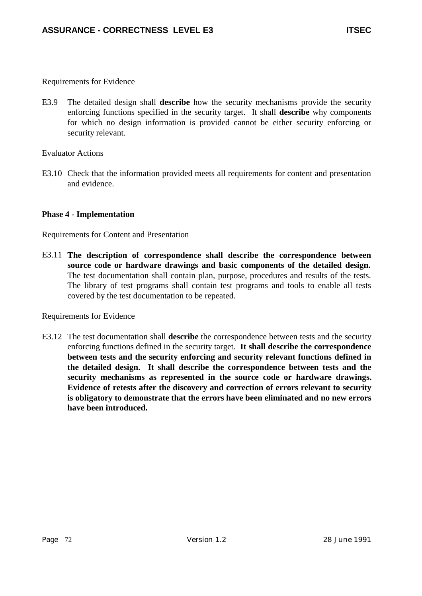E3.9 The detailed design shall **describe** how the security mechanisms provide the security enforcing functions specified in the security target. It shall **describe** why components for which no design information is provided cannot be either security enforcing or security relevant.

### Evaluator Actions

E3.10 Check that the information provided meets all requirements for content and presentation and evidence.

### **Phase 4 - Implementation**

Requirements for Content and Presentation

E3.11 **The description of correspondence shall describe the correspondence between source code or hardware drawings and basic components of the detailed design.** The test documentation shall contain plan, purpose, procedures and results of the tests. The library of test programs shall contain test programs and tools to enable all tests covered by the test documentation to be repeated.

Requirements for Evidence

E3.12 The test documentation shall **describe** the correspondence between tests and the security enforcing functions defined in the security target. **It shall describe the correspondence between tests and the security enforcing and security relevant functions defined in the detailed design. It shall describe the correspondence between tests and the security mechanisms as represented in the source code or hardware drawings. Evidence of retests after the discovery and correction of errors relevant to security is obligatory to demonstrate that the errors have been eliminated and no new errors have been introduced.**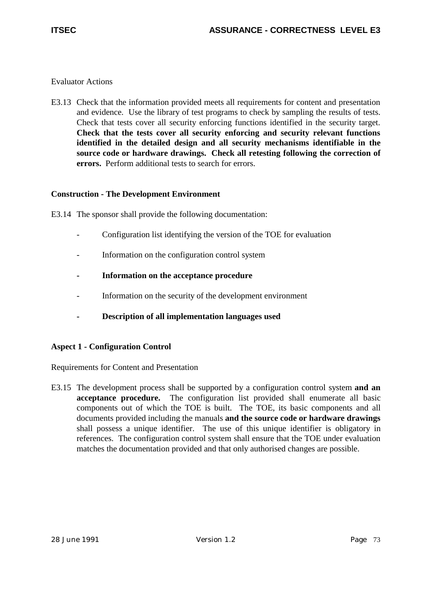E3.13 Check that the information provided meets all requirements for content and presentation and evidence. Use the library of test programs to check by sampling the results of tests. Check that tests cover all security enforcing functions identified in the security target. **Check that the tests cover all security enforcing and security relevant functions identified in the detailed design and all security mechanisms identifiable in the source code or hardware drawings. Check all retesting following the correction of errors.** Perform additional tests to search for errors.

## **Construction - The Development Environment**

E3.14 The sponsor shall provide the following documentation:

- Configuration list identifying the version of the TOE for evaluation
- Information on the configuration control system
- **Information on the acceptance procedure**
- Information on the security of the development environment
- **Description of all implementation languages used**

## **Aspect 1 - Configuration Control**

Requirements for Content and Presentation

E3.15 The development process shall be supported by a configuration control system **and an acceptance procedure.** The configuration list provided shall enumerate all basic components out of which the TOE is built. The TOE, its basic components and all documents provided including the manuals **and the source code or hardware drawings** shall possess a unique identifier. The use of this unique identifier is obligatory in references. The configuration control system shall ensure that the TOE under evaluation matches the documentation provided and that only authorised changes are possible.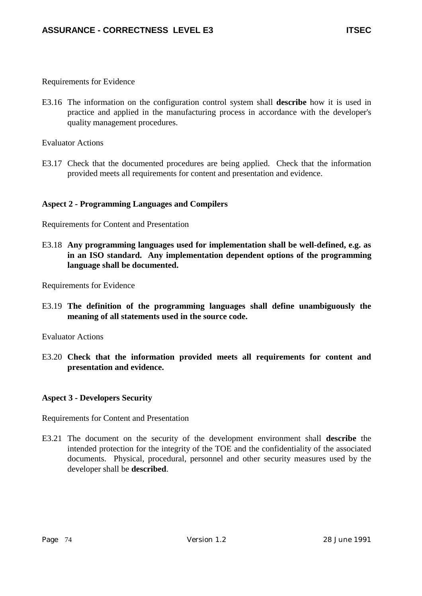E3.16 The information on the configuration control system shall **describe** how it is used in practice and applied in the manufacturing process in accordance with the developer's quality management procedures.

Evaluator Actions

E3.17 Check that the documented procedures are being applied. Check that the information provided meets all requirements for content and presentation and evidence.

## **Aspect 2 - Programming Languages and Compilers**

Requirements for Content and Presentation

E3.18 **Any programming languages used for implementation shall be well-defined, e.g. as in an ISO standard. Any implementation dependent options of the programming language shall be documented.**

Requirements for Evidence

E3.19 **The definition of the programming languages shall define unambiguously the meaning of all statements used in the source code.**

Evaluator Actions

E3.20 **Check that the information provided meets all requirements for content and presentation and evidence.**

## **Aspect 3 - Developers Security**

Requirements for Content and Presentation

E3.21 The document on the security of the development environment shall **describe** the intended protection for the integrity of the TOE and the confidentiality of the associated documents. Physical, procedural, personnel and other security measures used by the developer shall be **described**.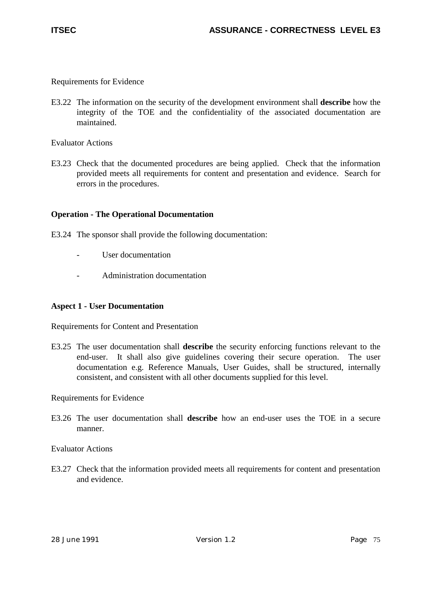E3.22 The information on the security of the development environment shall **describe** how the integrity of the TOE and the confidentiality of the associated documentation are maintained.

Evaluator Actions

E3.23 Check that the documented procedures are being applied. Check that the information provided meets all requirements for content and presentation and evidence. Search for errors in the procedures.

### **Operation - The Operational Documentation**

- E3.24 The sponsor shall provide the following documentation:
	- User documentation
	- Administration documentation

### **Aspect 1 - User Documentation**

Requirements for Content and Presentation

E3.25 The user documentation shall **describe** the security enforcing functions relevant to the end-user. It shall also give guidelines covering their secure operation. The user documentation e.g. Reference Manuals, User Guides, shall be structured, internally consistent, and consistent with all other documents supplied for this level.

Requirements for Evidence

E3.26 The user documentation shall **describe** how an end-user uses the TOE in a secure manner.

Evaluator Actions

E3.27 Check that the information provided meets all requirements for content and presentation and evidence.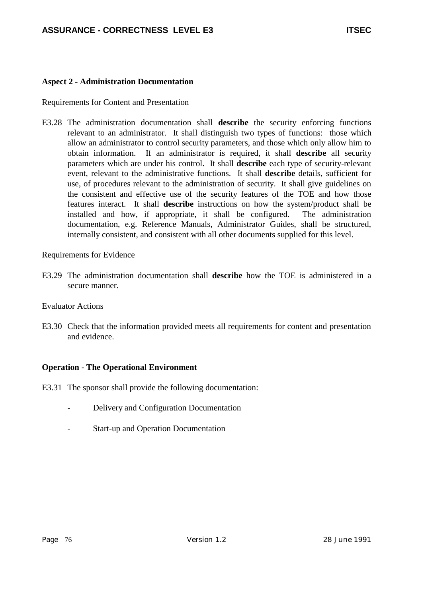## **Aspect 2 - Administration Documentation**

Requirements for Content and Presentation

E3.28 The administration documentation shall **describe** the security enforcing functions relevant to an administrator. It shall distinguish two types of functions: those which allow an administrator to control security parameters, and those which only allow him to obtain information. If an administrator is required, it shall **describe** all security parameters which are under his control. It shall **describe** each type of security-relevant event, relevant to the administrative functions. It shall **describe** details, sufficient for use, of procedures relevant to the administration of security. It shall give guidelines on the consistent and effective use of the security features of the TOE and how those features interact. It shall **describe** instructions on how the system/product shall be installed and how, if appropriate, it shall be configured. The administration documentation, e.g. Reference Manuals, Administrator Guides, shall be structured, internally consistent, and consistent with all other documents supplied for this level.

Requirements for Evidence

E3.29 The administration documentation shall **describe** how the TOE is administered in a secure manner.

Evaluator Actions

E3.30 Check that the information provided meets all requirements for content and presentation and evidence.

## **Operation - The Operational Environment**

- E3.31 The sponsor shall provide the following documentation:
	- Delivery and Configuration Documentation
	- Start-up and Operation Documentation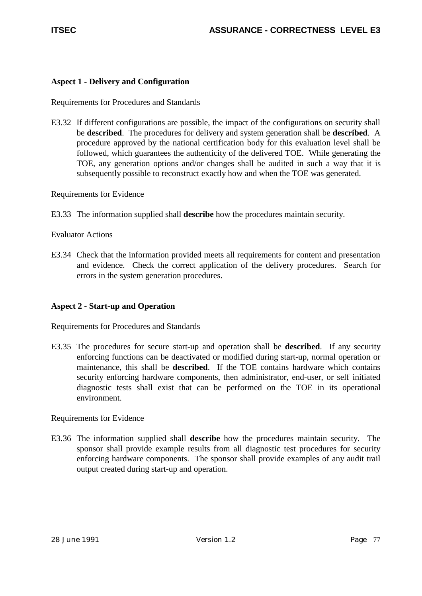# **Aspect 1 - Delivery and Configuration**

Requirements for Procedures and Standards

E3.32 If different configurations are possible, the impact of the configurations on security shall be **described**. The procedures for delivery and system generation shall be **described**. A procedure approved by the national certification body for this evaluation level shall be followed, which guarantees the authenticity of the delivered TOE. While generating the TOE, any generation options and/or changes shall be audited in such a way that it is subsequently possible to reconstruct exactly how and when the TOE was generated.

Requirements for Evidence

E3.33 The information supplied shall **describe** how the procedures maintain security.

Evaluator Actions

E3.34 Check that the information provided meets all requirements for content and presentation and evidence. Check the correct application of the delivery procedures. Search for errors in the system generation procedures.

## **Aspect 2 - Start-up and Operation**

Requirements for Procedures and Standards

E3.35 The procedures for secure start-up and operation shall be **described**. If any security enforcing functions can be deactivated or modified during start-up, normal operation or maintenance, this shall be **described**. If the TOE contains hardware which contains security enforcing hardware components, then administrator, end-user, or self initiated diagnostic tests shall exist that can be performed on the TOE in its operational environment.

Requirements for Evidence

E3.36 The information supplied shall **describe** how the procedures maintain security. The sponsor shall provide example results from all diagnostic test procedures for security enforcing hardware components. The sponsor shall provide examples of any audit trail output created during start-up and operation.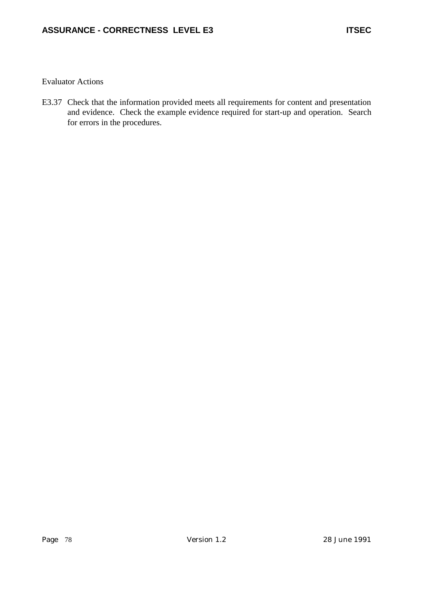E3.37 Check that the information provided meets all requirements for content and presentation and evidence. Check the example evidence required for start-up and operation. Search for errors in the procedures.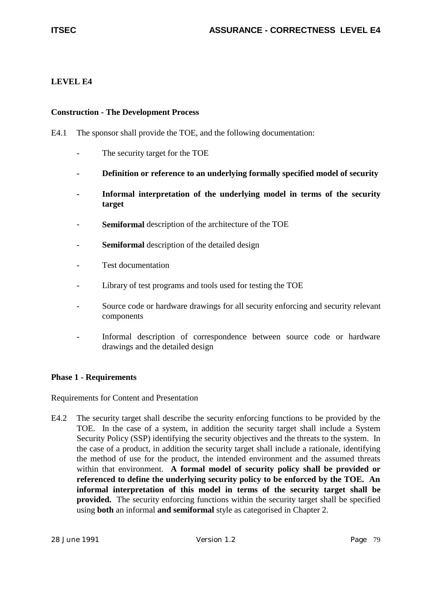# **LEVEL E4**

## **Construction - The Development Process**

- E4.1 The sponsor shall provide the TOE, and the following documentation:
	- The security target for the TOE
	- **Definition or reference to an underlying formally specified model of security**
	- Informal interpretation of the underlying model in terms of the security **target**
	- Semiformal description of the architecture of the TOE
	- **Semiformal** description of the detailed design
	- Test documentation
	- Library of test programs and tools used for testing the TOE
	- Source code or hardware drawings for all security enforcing and security relevant components
	- Informal description of correspondence between source code or hardware drawings and the detailed design

## **Phase 1 - Requirements**

Requirements for Content and Presentation

E4.2 The security target shall describe the security enforcing functions to be provided by the TOE. In the case of a system, in addition the security target shall include a System Security Policy (SSP) identifying the security objectives and the threats to the system. In the case of a product, in addition the security target shall include a rationale, identifying the method of use for the product, the intended environment and the assumed threats within that environment. **A formal model of security policy shall be provided or referenced to define the underlying security policy to be enforced by the TOE. An informal interpretation of this model in terms of the security target shall be provided.** The security enforcing functions within the security target shall be specified using **both** an informal **and semiformal** style as categorised in Chapter 2.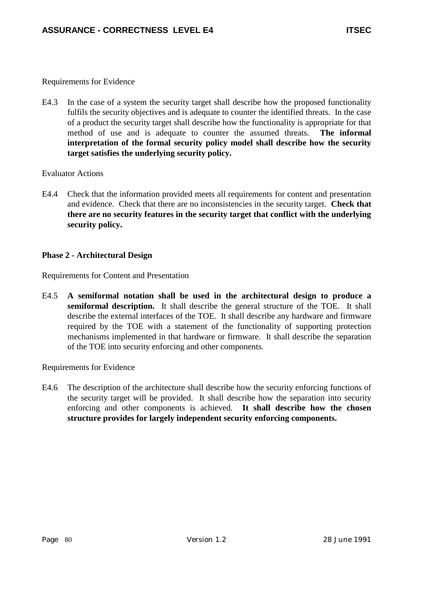E4.3 In the case of a system the security target shall describe how the proposed functionality fulfils the security objectives and is adequate to counter the identified threats. In the case of a product the security target shall describe how the functionality is appropriate for that method of use and is adequate to counter the assumed threats. **The informal interpretation of the formal security policy model shall describe how the security target satisfies the underlying security policy.**

### Evaluator Actions

E4.4 Check that the information provided meets all requirements for content and presentation and evidence. Check that there are no inconsistencies in the security target. **Check that there are no security features in the security target that conflict with the underlying security policy.**

## **Phase 2 - Architectural Design**

Requirements for Content and Presentation

E4.5 **A semiformal notation shall be used in the architectural design to produce a semiformal description.** It shall describe the general structure of the TOE. It shall describe the external interfaces of the TOE. It shall describe any hardware and firmware required by the TOE with a statement of the functionality of supporting protection mechanisms implemented in that hardware or firmware. It shall describe the separation of the TOE into security enforcing and other components.

Requirements for Evidence

E4.6 The description of the architecture shall describe how the security enforcing functions of the security target will be provided. It shall describe how the separation into security enforcing and other components is achieved. **It shall describe how the chosen structure provides for largely independent security enforcing components.**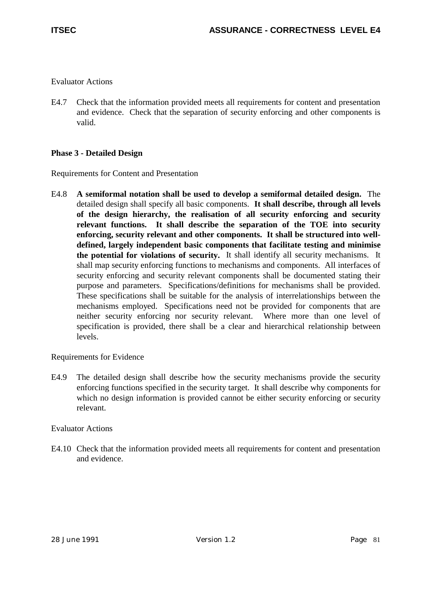E4.7 Check that the information provided meets all requirements for content and presentation and evidence. Check that the separation of security enforcing and other components is valid.

# **Phase 3 - Detailed Design**

Requirements for Content and Presentation

E4.8 **A semiformal notation shall be used to develop a semiformal detailed design.** The detailed design shall specify all basic components. **It shall describe, through all levels of the design hierarchy, the realisation of all security enforcing and security relevant functions. It shall describe the separation of the TOE into security enforcing, security relevant and other components. It shall be structured into welldefined, largely independent basic components that facilitate testing and minimise the potential for violations of security.** It shall identify all security mechanisms. It shall map security enforcing functions to mechanisms and components. All interfaces of security enforcing and security relevant components shall be documented stating their purpose and parameters. Specifications/definitions for mechanisms shall be provided. These specifications shall be suitable for the analysis of interrelationships between the mechanisms employed. Specifications need not be provided for components that are neither security enforcing nor security relevant. Where more than one level of specification is provided, there shall be a clear and hierarchical relationship between levels.

## Requirements for Evidence

E4.9 The detailed design shall describe how the security mechanisms provide the security enforcing functions specified in the security target. It shall describe why components for which no design information is provided cannot be either security enforcing or security relevant.

## Evaluator Actions

E4.10 Check that the information provided meets all requirements for content and presentation and evidence.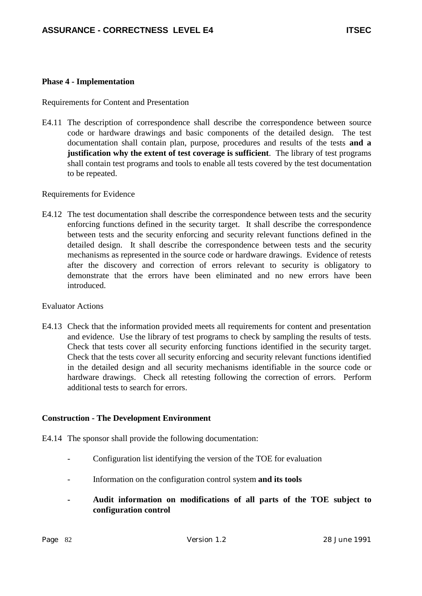### **Phase 4 - Implementation**

Requirements for Content and Presentation

E4.11 The description of correspondence shall describe the correspondence between source code or hardware drawings and basic components of the detailed design. The test documentation shall contain plan, purpose, procedures and results of the tests **and a justification why the extent of test coverage is sufficient**. The library of test programs shall contain test programs and tools to enable all tests covered by the test documentation to be repeated.

Requirements for Evidence

E4.12 The test documentation shall describe the correspondence between tests and the security enforcing functions defined in the security target. It shall describe the correspondence between tests and the security enforcing and security relevant functions defined in the detailed design. It shall describe the correspondence between tests and the security mechanisms as represented in the source code or hardware drawings. Evidence of retests after the discovery and correction of errors relevant to security is obligatory to demonstrate that the errors have been eliminated and no new errors have been **introduced** 

### Evaluator Actions

E4.13 Check that the information provided meets all requirements for content and presentation and evidence. Use the library of test programs to check by sampling the results of tests. Check that tests cover all security enforcing functions identified in the security target. Check that the tests cover all security enforcing and security relevant functions identified in the detailed design and all security mechanisms identifiable in the source code or hardware drawings. Check all retesting following the correction of errors. Perform additional tests to search for errors.

### **Construction - The Development Environment**

E4.14 The sponsor shall provide the following documentation:

- Configuration list identifying the version of the TOE for evaluation
- Information on the configuration control system **and its tools**
- **Audit information on modifications of all parts of the TOE subject to configuration control**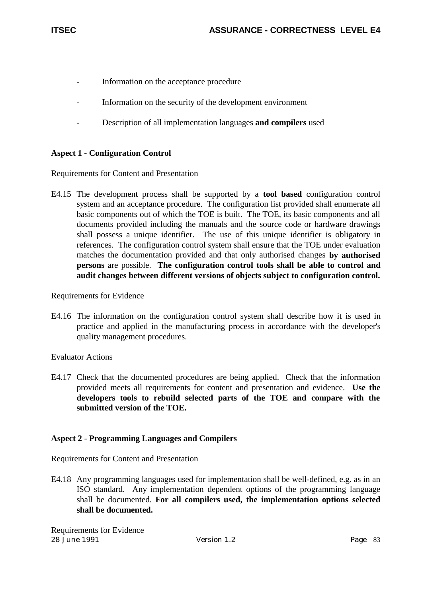- Information on the acceptance procedure
- Information on the security of the development environment
- Description of all implementation languages **and compilers** used

# **Aspect 1 - Configuration Control**

Requirements for Content and Presentation

E4.15 The development process shall be supported by a **tool based** configuration control system and an acceptance procedure. The configuration list provided shall enumerate all basic components out of which the TOE is built. The TOE, its basic components and all documents provided including the manuals and the source code or hardware drawings shall possess a unique identifier. The use of this unique identifier is obligatory in references. The configuration control system shall ensure that the TOE under evaluation matches the documentation provided and that only authorised changes **by authorised persons** are possible. **The configuration control tools shall be able to control and audit changes between different versions of objects subject to configuration control.**

Requirements for Evidence

E4.16 The information on the configuration control system shall describe how it is used in practice and applied in the manufacturing process in accordance with the developer's quality management procedures.

Evaluator Actions

E4.17 Check that the documented procedures are being applied. Check that the information provided meets all requirements for content and presentation and evidence. **Use the developers tools to rebuild selected parts of the TOE and compare with the submitted version of the TOE.**

## **Aspect 2 - Programming Languages and Compilers**

Requirements for Content and Presentation

E4.18 Any programming languages used for implementation shall be well-defined, e.g. as in an ISO standard. Any implementation dependent options of the programming language shall be documented. **For all compilers used, the implementation options selected shall be documented.**

28 June 1991 Version 1.2 Page 83 Requirements for Evidence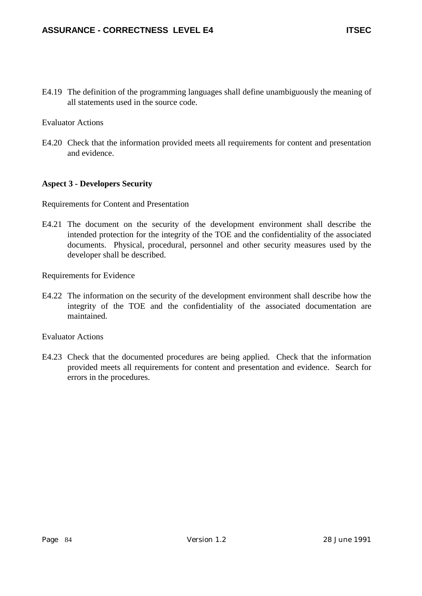E4.19 The definition of the programming languages shall define unambiguously the meaning of all statements used in the source code.

Evaluator Actions

E4.20 Check that the information provided meets all requirements for content and presentation and evidence.

## **Aspect 3 - Developers Security**

Requirements for Content and Presentation

E4.21 The document on the security of the development environment shall describe the intended protection for the integrity of the TOE and the confidentiality of the associated documents. Physical, procedural, personnel and other security measures used by the developer shall be described.

Requirements for Evidence

E4.22 The information on the security of the development environment shall describe how the integrity of the TOE and the confidentiality of the associated documentation are maintained.

Evaluator Actions

E4.23 Check that the documented procedures are being applied. Check that the information provided meets all requirements for content and presentation and evidence. Search for errors in the procedures.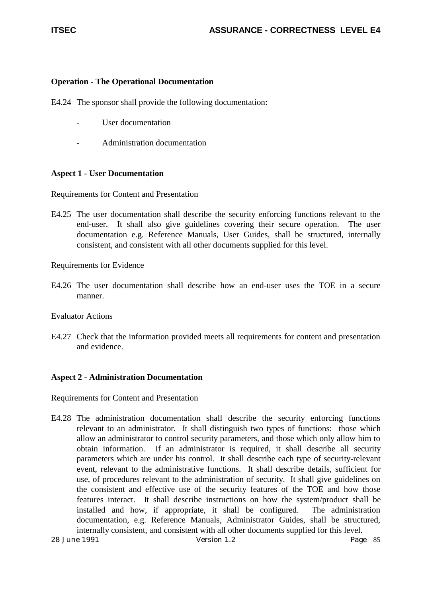## **Operation - The Operational Documentation**

E4.24 The sponsor shall provide the following documentation:

- User documentation
- Administration documentation

### **Aspect 1 - User Documentation**

Requirements for Content and Presentation

E4.25 The user documentation shall describe the security enforcing functions relevant to the end-user. It shall also give guidelines covering their secure operation. The user documentation e.g. Reference Manuals, User Guides, shall be structured, internally consistent, and consistent with all other documents supplied for this level.

Requirements for Evidence

E4.26 The user documentation shall describe how an end-user uses the TOE in a secure manner.

Evaluator Actions

E4.27 Check that the information provided meets all requirements for content and presentation and evidence.

## **Aspect 2 - Administration Documentation**

Requirements for Content and Presentation

E4.28 The administration documentation shall describe the security enforcing functions relevant to an administrator. It shall distinguish two types of functions: those which allow an administrator to control security parameters, and those which only allow him to obtain information. If an administrator is required, it shall describe all security parameters which are under his control. It shall describe each type of security-relevant event, relevant to the administrative functions. It shall describe details, sufficient for use, of procedures relevant to the administration of security. It shall give guidelines on the consistent and effective use of the security features of the TOE and how those features interact. It shall describe instructions on how the system/product shall be installed and how, if appropriate, it shall be configured. The administration documentation, e.g. Reference Manuals, Administrator Guides, shall be structured, internally consistent, and consistent with all other documents supplied for this level.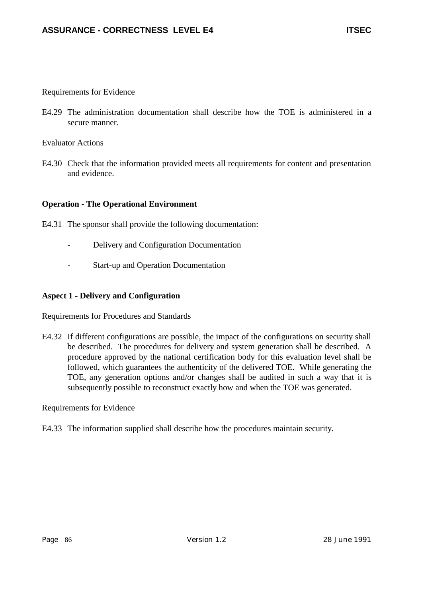E4.29 The administration documentation shall describe how the TOE is administered in a secure manner.

Evaluator Actions

E4.30 Check that the information provided meets all requirements for content and presentation and evidence.

## **Operation - The Operational Environment**

- E4.31 The sponsor shall provide the following documentation:
	- Delivery and Configuration Documentation
	- Start-up and Operation Documentation

### **Aspect 1 - Delivery and Configuration**

Requirements for Procedures and Standards

E4.32 If different configurations are possible, the impact of the configurations on security shall be described. The procedures for delivery and system generation shall be described. A procedure approved by the national certification body for this evaluation level shall be followed, which guarantees the authenticity of the delivered TOE. While generating the TOE, any generation options and/or changes shall be audited in such a way that it is subsequently possible to reconstruct exactly how and when the TOE was generated.

Requirements for Evidence

E4.33 The information supplied shall describe how the procedures maintain security.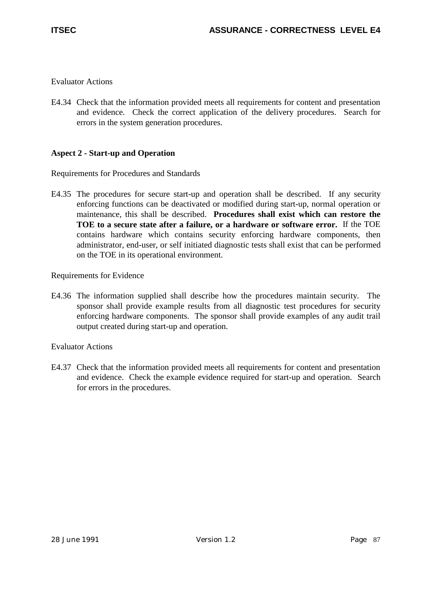E4.34 Check that the information provided meets all requirements for content and presentation and evidence. Check the correct application of the delivery procedures. Search for errors in the system generation procedures.

# **Aspect 2 - Start-up and Operation**

Requirements for Procedures and Standards

E4.35 The procedures for secure start-up and operation shall be described. If any security enforcing functions can be deactivated or modified during start-up, normal operation or maintenance, this shall be described. **Procedures shall exist which can restore the TOE to a secure state after a failure, or a hardware or software error.** If the TOE contains hardware which contains security enforcing hardware components, then administrator, end-user, or self initiated diagnostic tests shall exist that can be performed on the TOE in its operational environment.

Requirements for Evidence

E4.36 The information supplied shall describe how the procedures maintain security. The sponsor shall provide example results from all diagnostic test procedures for security enforcing hardware components. The sponsor shall provide examples of any audit trail output created during start-up and operation.

## Evaluator Actions

E4.37 Check that the information provided meets all requirements for content and presentation and evidence. Check the example evidence required for start-up and operation. Search for errors in the procedures.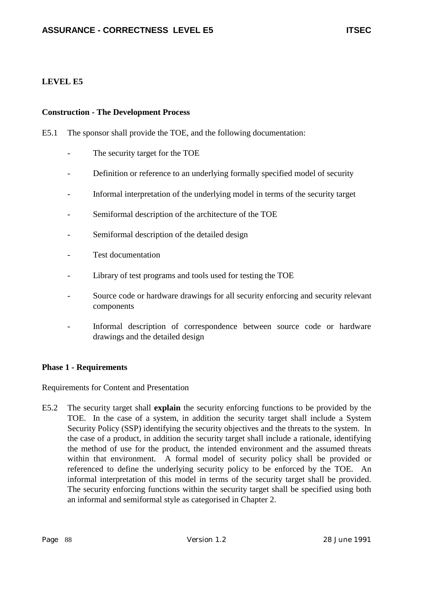# **LEVEL E5**

### **Construction - The Development Process**

- E5.1 The sponsor shall provide the TOE, and the following documentation:
	- The security target for the TOE
	- Definition or reference to an underlying formally specified model of security
	- Informal interpretation of the underlying model in terms of the security target
	- Semiformal description of the architecture of the TOE
	- Semiformal description of the detailed design
	- Test documentation
	- Library of test programs and tools used for testing the TOE
	- Source code or hardware drawings for all security enforcing and security relevant components
	- Informal description of correspondence between source code or hardware drawings and the detailed design

## **Phase 1 - Requirements**

Requirements for Content and Presentation

E5.2 The security target shall **explain** the security enforcing functions to be provided by the TOE. In the case of a system, in addition the security target shall include a System Security Policy (SSP) identifying the security objectives and the threats to the system. In the case of a product, in addition the security target shall include a rationale, identifying the method of use for the product, the intended environment and the assumed threats within that environment. A formal model of security policy shall be provided or referenced to define the underlying security policy to be enforced by the TOE. An informal interpretation of this model in terms of the security target shall be provided. The security enforcing functions within the security target shall be specified using both an informal and semiformal style as categorised in Chapter 2.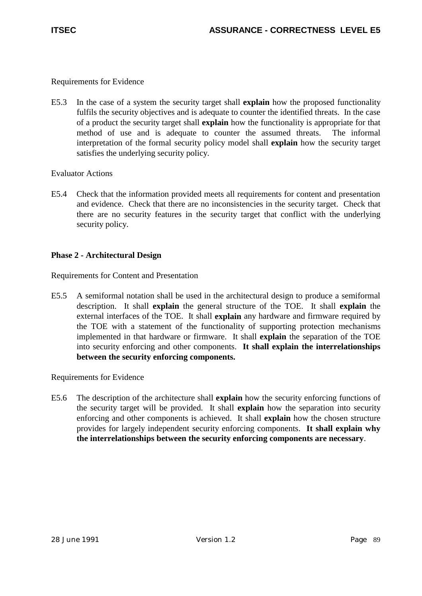E5.3 In the case of a system the security target shall **explain** how the proposed functionality fulfils the security objectives and is adequate to counter the identified threats. In the case of a product the security target shall **explain** how the functionality is appropriate for that method of use and is adequate to counter the assumed threats. The informal interpretation of the formal security policy model shall **explain** how the security target satisfies the underlying security policy.

# Evaluator Actions

E5.4 Check that the information provided meets all requirements for content and presentation and evidence. Check that there are no inconsistencies in the security target. Check that there are no security features in the security target that conflict with the underlying security policy.

# **Phase 2 - Architectural Design**

Requirements for Content and Presentation

E5.5 A semiformal notation shall be used in the architectural design to produce a semiformal description. It shall **explain** the general structure of the TOE. It shall **explain** the external interfaces of the TOE. It shall **explain** any hardware and firmware required by the TOE with a statement of the functionality of supporting protection mechanisms implemented in that hardware or firmware. It shall **explain** the separation of the TOE into security enforcing and other components. **It shall explain the interrelationships between the security enforcing components.**

Requirements for Evidence

E5.6 The description of the architecture shall **explain** how the security enforcing functions of the security target will be provided. It shall **explain** how the separation into security enforcing and other components is achieved. It shall **explain** how the chosen structure provides for largely independent security enforcing components. **It shall explain why the interrelationships between the security enforcing components are necessary**.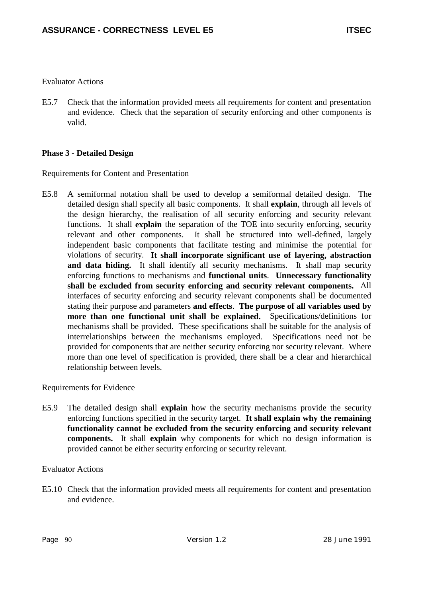E5.7 Check that the information provided meets all requirements for content and presentation and evidence. Check that the separation of security enforcing and other components is valid.

## **Phase 3 - Detailed Design**

Requirements for Content and Presentation

E5.8 A semiformal notation shall be used to develop a semiformal detailed design. The detailed design shall specify all basic components. It shall **explain**, through all levels of the design hierarchy, the realisation of all security enforcing and security relevant functions. It shall **explain** the separation of the TOE into security enforcing, security relevant and other components. It shall be structured into well-defined, largely independent basic components that facilitate testing and minimise the potential for violations of security. **It shall incorporate significant use of layering, abstraction** and data hiding. It shall identify all security mechanisms. It shall map security enforcing functions to mechanisms and **functional units**. **Unnecessary functionality shall be excluded from security enforcing and security relevant components.** All interfaces of security enforcing and security relevant components shall be documented stating their purpose and parameters **and effects**. **The purpose of all variables used by more than one functional unit shall be explained.** Specifications/definitions for mechanisms shall be provided. These specifications shall be suitable for the analysis of interrelationships between the mechanisms employed. Specifications need not be provided for components that are neither security enforcing nor security relevant. Where more than one level of specification is provided, there shall be a clear and hierarchical relationship between levels.

### Requirements for Evidence

E5.9 The detailed design shall **explain** how the security mechanisms provide the security enforcing functions specified in the security target. **It shall explain why the remaining functionality cannot be excluded from the security enforcing and security relevant components.** It shall **explain** why components for which no design information is provided cannot be either security enforcing or security relevant.

## Evaluator Actions

E5.10 Check that the information provided meets all requirements for content and presentation and evidence.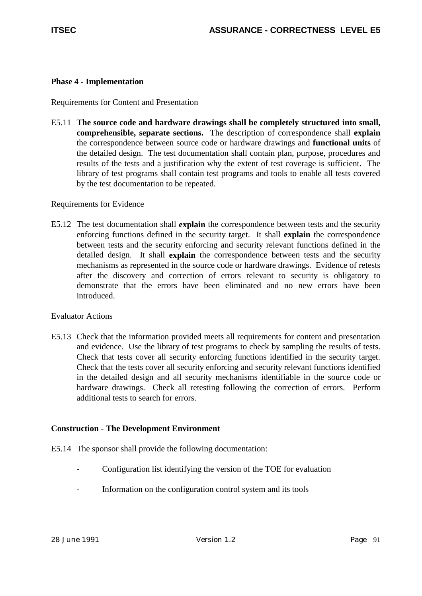## **Phase 4 - Implementation**

Requirements for Content and Presentation

E5.11 **The source code and hardware drawings shall be completely structured into small, comprehensible, separate sections.** The description of correspondence shall **explain** the correspondence between source code or hardware drawings and **functional units** of the detailed design. The test documentation shall contain plan, purpose, procedures and results of the tests and a justification why the extent of test coverage is sufficient. The library of test programs shall contain test programs and tools to enable all tests covered by the test documentation to be repeated.

## Requirements for Evidence

E5.12 The test documentation shall **explain** the correspondence between tests and the security enforcing functions defined in the security target. It shall **explain** the correspondence between tests and the security enforcing and security relevant functions defined in the detailed design. It shall **explain** the correspondence between tests and the security mechanisms as represented in the source code or hardware drawings. Evidence of retests after the discovery and correction of errors relevant to security is obligatory to demonstrate that the errors have been eliminated and no new errors have been introduced.

### Evaluator Actions

E5.13 Check that the information provided meets all requirements for content and presentation and evidence. Use the library of test programs to check by sampling the results of tests. Check that tests cover all security enforcing functions identified in the security target. Check that the tests cover all security enforcing and security relevant functions identified in the detailed design and all security mechanisms identifiable in the source code or hardware drawings. Check all retesting following the correction of errors. Perform additional tests to search for errors.

### **Construction - The Development Environment**

- E5.14 The sponsor shall provide the following documentation:
	- Configuration list identifying the version of the TOE for evaluation
	- Information on the configuration control system and its tools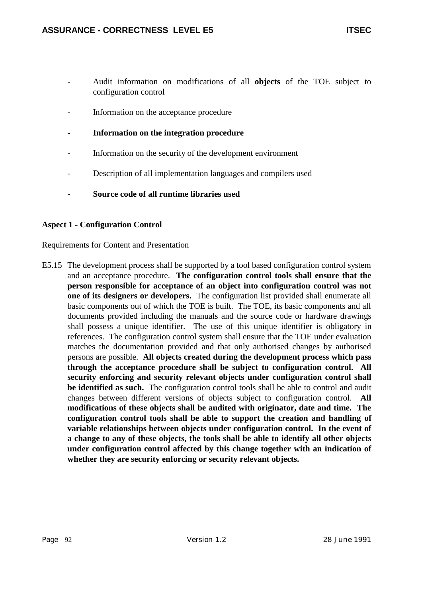- Audit information on modifications of all **objects** of the TOE subject to configuration control
- Information on the acceptance procedure
- **Information on the integration procedure**
- Information on the security of the development environment
- Description of all implementation languages and compilers used
- **Source code of all runtime libraries used**

## **Aspect 1 - Configuration Control**

Requirements for Content and Presentation

E5.15 The development process shall be supported by a tool based configuration control system and an acceptance procedure. **The configuration control tools shall ensure that the person responsible for acceptance of an object into configuration control was not one of its designers or developers.** The configuration list provided shall enumerate all basic components out of which the TOE is built. The TOE, its basic components and all documents provided including the manuals and the source code or hardware drawings shall possess a unique identifier. The use of this unique identifier is obligatory in references. The configuration control system shall ensure that the TOE under evaluation matches the documentation provided and that only authorised changes by authorised persons are possible. **All objects created during the development process which pass through the acceptance procedure shall be subject to configuration control. All security enforcing and security relevant objects under configuration control shall be identified as such.** The configuration control tools shall be able to control and audit changes between different versions of objects subject to configuration control. **All modifications of these objects shall be audited with originator, date and time. The configuration control tools shall be able to support the creation and handling of variable relationships between objects under configuration control. In the event of a change to any of these objects, the tools shall be able to identify all other objects under configuration control affected by this change together with an indication of whether they are security enforcing or security relevant objects.**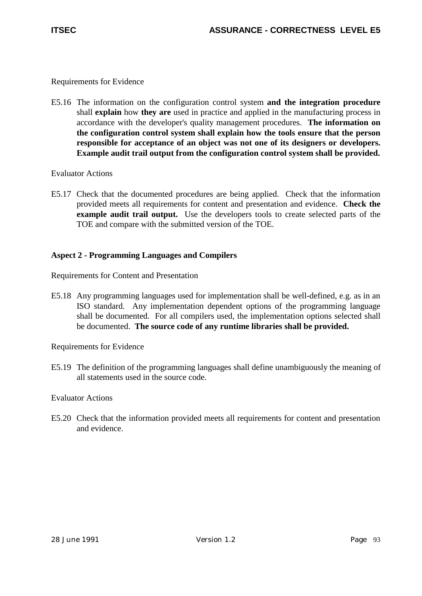E5.16 The information on the configuration control system **and the integration procedure** shall **explain** how **they are** used in practice and applied in the manufacturing process in accordance with the developer's quality management procedures. **The information on the configuration control system shall explain how the tools ensure that the person responsible for acceptance of an object was not one of its designers or developers. Example audit trail output from the configuration control system shall be provided.**

Evaluator Actions

E5.17 Check that the documented procedures are being applied. Check that the information provided meets all requirements for content and presentation and evidence. **Check the example audit trail output.** Use the developers tools to create selected parts of the TOE and compare with the submitted version of the TOE.

# **Aspect 2 - Programming Languages and Compilers**

Requirements for Content and Presentation

E5.18 Any programming languages used for implementation shall be well-defined, e.g. as in an ISO standard. Any implementation dependent options of the programming language shall be documented. For all compilers used, the implementation options selected shall be documented. **The source code of any runtime libraries shall be provided.**

Requirements for Evidence

E5.19 The definition of the programming languages shall define unambiguously the meaning of all statements used in the source code.

Evaluator Actions

E5.20 Check that the information provided meets all requirements for content and presentation and evidence.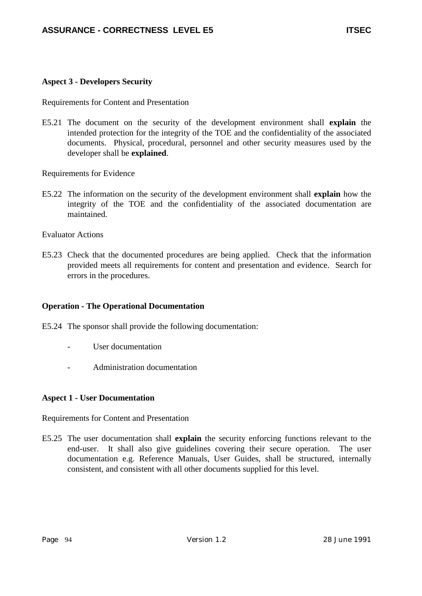## **Aspect 3 - Developers Security**

Requirements for Content and Presentation

E5.21 The document on the security of the development environment shall **explain** the intended protection for the integrity of the TOE and the confidentiality of the associated documents. Physical, procedural, personnel and other security measures used by the developer shall be **explained**.

Requirements for Evidence

E5.22 The information on the security of the development environment shall **explain** how the integrity of the TOE and the confidentiality of the associated documentation are maintained.

Evaluator Actions

E5.23 Check that the documented procedures are being applied. Check that the information provided meets all requirements for content and presentation and evidence. Search for errors in the procedures.

## **Operation - The Operational Documentation**

E5.24 The sponsor shall provide the following documentation:

- User documentation
- Administration documentation

### **Aspect 1 - User Documentation**

Requirements for Content and Presentation

E5.25 The user documentation shall **explain** the security enforcing functions relevant to the end-user. It shall also give guidelines covering their secure operation. The user documentation e.g. Reference Manuals, User Guides, shall be structured, internally consistent, and consistent with all other documents supplied for this level.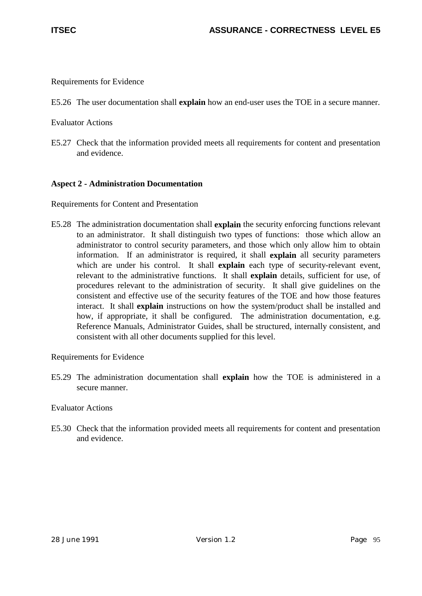E5.26 The user documentation shall **explain** how an end-user uses the TOE in a secure manner.

Evaluator Actions

E5.27 Check that the information provided meets all requirements for content and presentation and evidence.

## **Aspect 2 - Administration Documentation**

Requirements for Content and Presentation

E5.28 The administration documentation shall **explain** the security enforcing functions relevant to an administrator. It shall distinguish two types of functions: those which allow an administrator to control security parameters, and those which only allow him to obtain information. If an administrator is required, it shall **explain** all security parameters which are under his control. It shall **explain** each type of security-relevant event, relevant to the administrative functions. It shall **explain** details, sufficient for use, of procedures relevant to the administration of security. It shall give guidelines on the consistent and effective use of the security features of the TOE and how those features interact. It shall **explain** instructions on how the system/product shall be installed and how, if appropriate, it shall be configured. The administration documentation, e.g. Reference Manuals, Administrator Guides, shall be structured, internally consistent, and consistent with all other documents supplied for this level.

Requirements for Evidence

E5.29 The administration documentation shall **explain** how the TOE is administered in a secure manner.

Evaluator Actions

E5.30 Check that the information provided meets all requirements for content and presentation and evidence.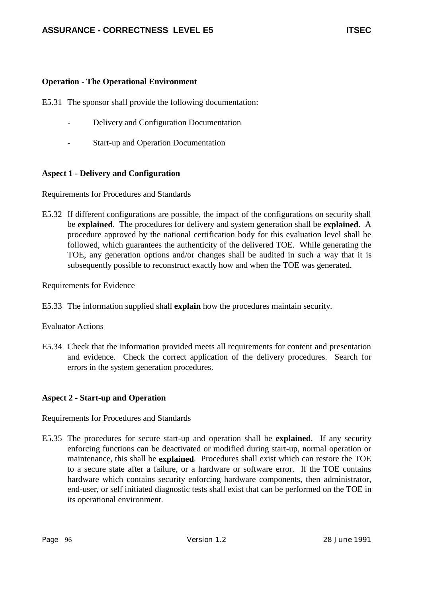## **Operation - The Operational Environment**

- E5.31 The sponsor shall provide the following documentation:
	- Delivery and Configuration Documentation
	- Start-up and Operation Documentation

# **Aspect 1 - Delivery and Configuration**

Requirements for Procedures and Standards

E5.32 If different configurations are possible, the impact of the configurations on security shall be **explained**. The procedures for delivery and system generation shall be **explained**. A procedure approved by the national certification body for this evaluation level shall be followed, which guarantees the authenticity of the delivered TOE. While generating the TOE, any generation options and/or changes shall be audited in such a way that it is subsequently possible to reconstruct exactly how and when the TOE was generated.

Requirements for Evidence

E5.33 The information supplied shall **explain** how the procedures maintain security.

## Evaluator Actions

E5.34 Check that the information provided meets all requirements for content and presentation and evidence. Check the correct application of the delivery procedures. Search for errors in the system generation procedures.

## **Aspect 2 - Start-up and Operation**

Requirements for Procedures and Standards

E5.35 The procedures for secure start-up and operation shall be **explained**. If any security enforcing functions can be deactivated or modified during start-up, normal operation or maintenance, this shall be **explained**. Procedures shall exist which can restore the TOE to a secure state after a failure, or a hardware or software error. If the TOE contains hardware which contains security enforcing hardware components, then administrator, end-user, or self initiated diagnostic tests shall exist that can be performed on the TOE in its operational environment.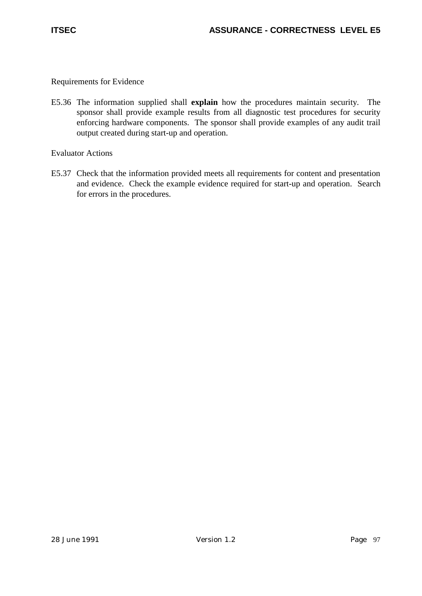E5.36 The information supplied shall **explain** how the procedures maintain security. The sponsor shall provide example results from all diagnostic test procedures for security enforcing hardware components. The sponsor shall provide examples of any audit trail output created during start-up and operation.

Evaluator Actions

E5.37 Check that the information provided meets all requirements for content and presentation and evidence. Check the example evidence required for start-up and operation. Search for errors in the procedures.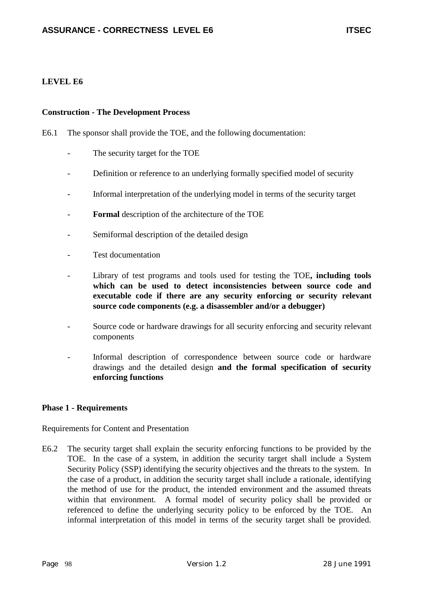## **LEVEL E6**

#### **Construction - The Development Process**

E6.1 The sponsor shall provide the TOE, and the following documentation:

- The security target for the TOE
- Definition or reference to an underlying formally specified model of security
- Informal interpretation of the underlying model in terms of the security target
- **Formal** description of the architecture of the TOE
- Semiformal description of the detailed design
- Test documentation
- Library of test programs and tools used for testing the TOE, **including tools which can be used to detect inconsistencies between source code and executable code if there are any security enforcing or security relevant source code components (e.g. a disassembler and/or a debugger)**
- Source code or hardware drawings for all security enforcing and security relevant components
- Informal description of correspondence between source code or hardware drawings and the detailed design **and the formal specification of security enforcing functions**

### **Phase 1 - Requirements**

Requirements for Content and Presentation

E6.2 The security target shall explain the security enforcing functions to be provided by the TOE. In the case of a system, in addition the security target shall include a System Security Policy (SSP) identifying the security objectives and the threats to the system. In the case of a product, in addition the security target shall include a rationale, identifying the method of use for the product, the intended environment and the assumed threats within that environment. A formal model of security policy shall be provided or referenced to define the underlying security policy to be enforced by the TOE. An informal interpretation of this model in terms of the security target shall be provided.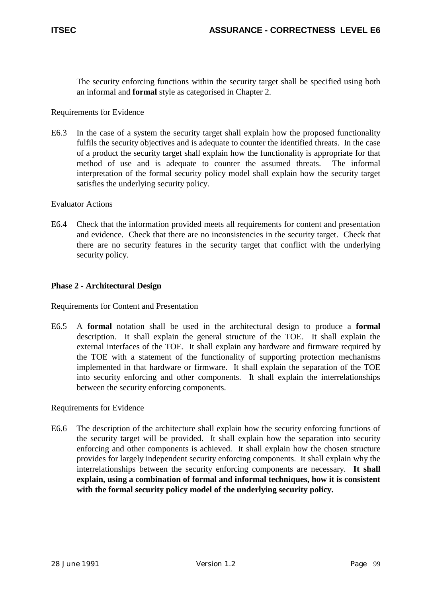The security enforcing functions within the security target shall be specified using both an informal and **formal** style as categorised in Chapter 2.

### Requirements for Evidence

E6.3 In the case of a system the security target shall explain how the proposed functionality fulfils the security objectives and is adequate to counter the identified threats. In the case of a product the security target shall explain how the functionality is appropriate for that method of use and is adequate to counter the assumed threats. The informal interpretation of the formal security policy model shall explain how the security target satisfies the underlying security policy.

### Evaluator Actions

E6.4 Check that the information provided meets all requirements for content and presentation and evidence. Check that there are no inconsistencies in the security target. Check that there are no security features in the security target that conflict with the underlying security policy.

### **Phase 2 - Architectural Design**

Requirements for Content and Presentation

E6.5 A **formal** notation shall be used in the architectural design to produce a **formal** description. It shall explain the general structure of the TOE. It shall explain the external interfaces of the TOE. It shall explain any hardware and firmware required by the TOE with a statement of the functionality of supporting protection mechanisms implemented in that hardware or firmware. It shall explain the separation of the TOE into security enforcing and other components. It shall explain the interrelationships between the security enforcing components.

Requirements for Evidence

E6.6 The description of the architecture shall explain how the security enforcing functions of the security target will be provided. It shall explain how the separation into security enforcing and other components is achieved. It shall explain how the chosen structure provides for largely independent security enforcing components. It shall explain why the interrelationships between the security enforcing components are necessary. **It shall explain, using a combination of formal and informal techniques, how it is consistent with the formal security policy model of the underlying security policy.**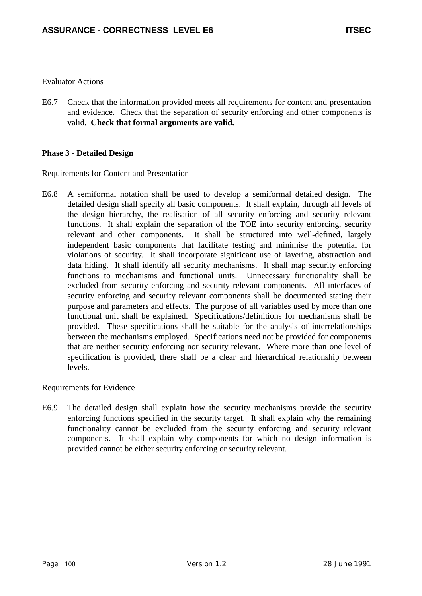E6.7 Check that the information provided meets all requirements for content and presentation and evidence. Check that the separation of security enforcing and other components is valid. **Check that formal arguments are valid.**

## **Phase 3 - Detailed Design**

Requirements for Content and Presentation

E6.8 A semiformal notation shall be used to develop a semiformal detailed design. The detailed design shall specify all basic components. It shall explain, through all levels of the design hierarchy, the realisation of all security enforcing and security relevant functions. It shall explain the separation of the TOE into security enforcing, security relevant and other components. It shall be structured into well-defined, largely independent basic components that facilitate testing and minimise the potential for violations of security. It shall incorporate significant use of layering, abstraction and data hiding. It shall identify all security mechanisms. It shall map security enforcing functions to mechanisms and functional units. Unnecessary functionality shall be excluded from security enforcing and security relevant components. All interfaces of security enforcing and security relevant components shall be documented stating their purpose and parameters and effects. The purpose of all variables used by more than one functional unit shall be explained. Specifications/definitions for mechanisms shall be provided. These specifications shall be suitable for the analysis of interrelationships between the mechanisms employed. Specifications need not be provided for components that are neither security enforcing nor security relevant. Where more than one level of specification is provided, there shall be a clear and hierarchical relationship between levels.

Requirements for Evidence

E6.9 The detailed design shall explain how the security mechanisms provide the security enforcing functions specified in the security target. It shall explain why the remaining functionality cannot be excluded from the security enforcing and security relevant components. It shall explain why components for which no design information is provided cannot be either security enforcing or security relevant.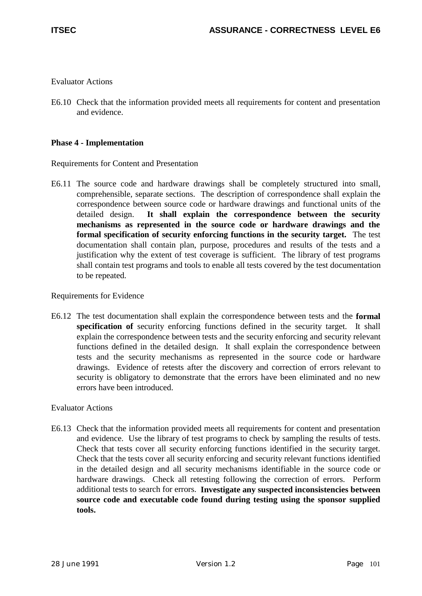E6.10 Check that the information provided meets all requirements for content and presentation and evidence.

### **Phase 4 - Implementation**

Requirements for Content and Presentation

E6.11 The source code and hardware drawings shall be completely structured into small, comprehensible, separate sections. The description of correspondence shall explain the correspondence between source code or hardware drawings and functional units of the detailed design. **It shall explain the correspondence between the security mechanisms as represented in the source code or hardware drawings and the formal specification of security enforcing functions in the security target.** The test documentation shall contain plan, purpose, procedures and results of the tests and a justification why the extent of test coverage is sufficient. The library of test programs shall contain test programs and tools to enable all tests covered by the test documentation to be repeated.

Requirements for Evidence

E6.12 The test documentation shall explain the correspondence between tests and the **formal specification of** security enforcing functions defined in the security target. It shall explain the correspondence between tests and the security enforcing and security relevant functions defined in the detailed design. It shall explain the correspondence between tests and the security mechanisms as represented in the source code or hardware drawings. Evidence of retests after the discovery and correction of errors relevant to security is obligatory to demonstrate that the errors have been eliminated and no new errors have been introduced.

### Evaluator Actions

E6.13 Check that the information provided meets all requirements for content and presentation and evidence. Use the library of test programs to check by sampling the results of tests. Check that tests cover all security enforcing functions identified in the security target. Check that the tests cover all security enforcing and security relevant functions identified in the detailed design and all security mechanisms identifiable in the source code or hardware drawings. Check all retesting following the correction of errors. Perform additional tests to search for errors. **Investigate any suspected inconsistencies between source code and executable code found during testing using the sponsor supplied tools.**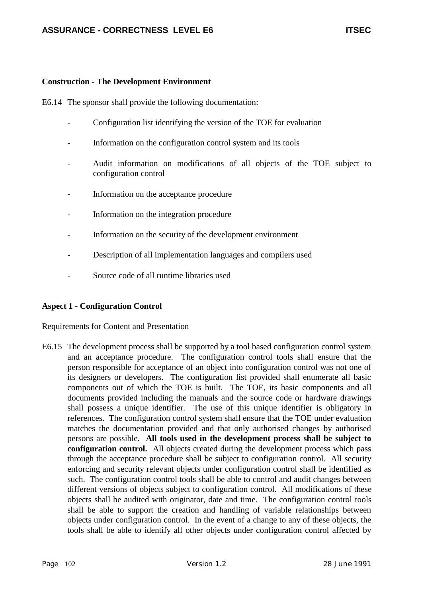E6.14 The sponsor shall provide the following documentation:

- Configuration list identifying the version of the TOE for evaluation
- Information on the configuration control system and its tools
- Audit information on modifications of all objects of the TOE subject to configuration control
- Information on the acceptance procedure
- Information on the integration procedure
- Information on the security of the development environment
- Description of all implementation languages and compilers used
- Source code of all runtime libraries used

### **Aspect 1 - Configuration Control**

Requirements for Content and Presentation

E6.15 The development process shall be supported by a tool based configuration control system and an acceptance procedure. The configuration control tools shall ensure that the person responsible for acceptance of an object into configuration control was not one of its designers or developers. The configuration list provided shall enumerate all basic components out of which the TOE is built. The TOE, its basic components and all documents provided including the manuals and the source code or hardware drawings shall possess a unique identifier. The use of this unique identifier is obligatory in references. The configuration control system shall ensure that the TOE under evaluation matches the documentation provided and that only authorised changes by authorised persons are possible. **All tools used in the development process shall be subject to configuration control.** All objects created during the development process which pass through the acceptance procedure shall be subject to configuration control. All security enforcing and security relevant objects under configuration control shall be identified as such. The configuration control tools shall be able to control and audit changes between different versions of objects subject to configuration control. All modifications of these objects shall be audited with originator, date and time. The configuration control tools shall be able to support the creation and handling of variable relationships between objects under configuration control. In the event of a change to any of these objects, the tools shall be able to identify all other objects under configuration control affected by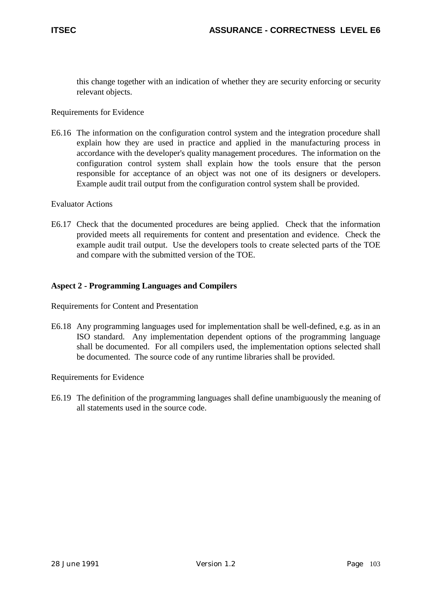this change together with an indication of whether they are security enforcing or security relevant objects.

### Requirements for Evidence

E6.16 The information on the configuration control system and the integration procedure shall explain how they are used in practice and applied in the manufacturing process in accordance with the developer's quality management procedures. The information on the configuration control system shall explain how the tools ensure that the person responsible for acceptance of an object was not one of its designers or developers. Example audit trail output from the configuration control system shall be provided.

### Evaluator Actions

E6.17 Check that the documented procedures are being applied. Check that the information provided meets all requirements for content and presentation and evidence. Check the example audit trail output. Use the developers tools to create selected parts of the TOE and compare with the submitted version of the TOE.

### **Aspect 2 - Programming Languages and Compilers**

Requirements for Content and Presentation

E6.18 Any programming languages used for implementation shall be well-defined, e.g. as in an ISO standard. Any implementation dependent options of the programming language shall be documented. For all compilers used, the implementation options selected shall be documented. The source code of any runtime libraries shall be provided.

Requirements for Evidence

E6.19 The definition of the programming languages shall define unambiguously the meaning of all statements used in the source code.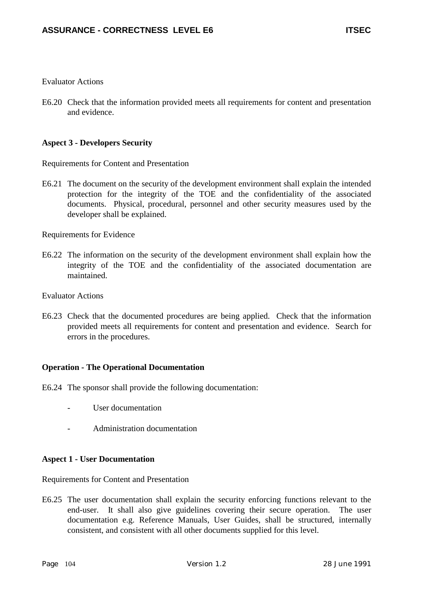E6.20 Check that the information provided meets all requirements for content and presentation and evidence.

### **Aspect 3 - Developers Security**

Requirements for Content and Presentation

E6.21 The document on the security of the development environment shall explain the intended protection for the integrity of the TOE and the confidentiality of the associated documents. Physical, procedural, personnel and other security measures used by the developer shall be explained.

Requirements for Evidence

E6.22 The information on the security of the development environment shall explain how the integrity of the TOE and the confidentiality of the associated documentation are maintained.

Evaluator Actions

E6.23 Check that the documented procedures are being applied. Check that the information provided meets all requirements for content and presentation and evidence. Search for errors in the procedures.

### **Operation - The Operational Documentation**

- E6.24 The sponsor shall provide the following documentation:
	- User documentation
	- Administration documentation

### **Aspect 1 - User Documentation**

Requirements for Content and Presentation

E6.25 The user documentation shall explain the security enforcing functions relevant to the end-user. It shall also give guidelines covering their secure operation. The user documentation e.g. Reference Manuals, User Guides, shall be structured, internally consistent, and consistent with all other documents supplied for this level.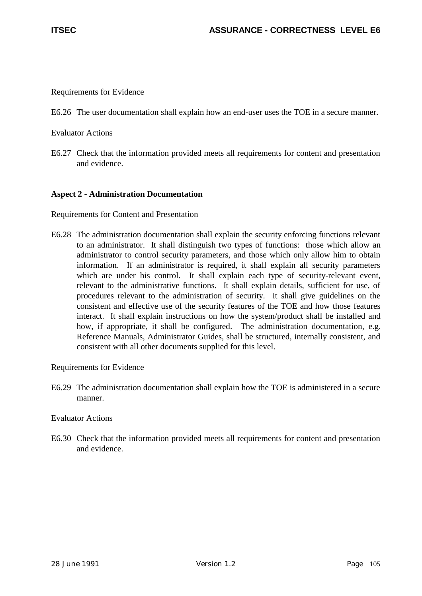Requirements for Evidence

E6.26 The user documentation shall explain how an end-user uses the TOE in a secure manner.

Evaluator Actions

E6.27 Check that the information provided meets all requirements for content and presentation and evidence.

#### **Aspect 2 - Administration Documentation**

Requirements for Content and Presentation

E6.28 The administration documentation shall explain the security enforcing functions relevant to an administrator. It shall distinguish two types of functions: those which allow an administrator to control security parameters, and those which only allow him to obtain information. If an administrator is required, it shall explain all security parameters which are under his control. It shall explain each type of security-relevant event, relevant to the administrative functions. It shall explain details, sufficient for use, of procedures relevant to the administration of security. It shall give guidelines on the consistent and effective use of the security features of the TOE and how those features interact. It shall explain instructions on how the system/product shall be installed and how, if appropriate, it shall be configured. The administration documentation, e.g. Reference Manuals, Administrator Guides, shall be structured, internally consistent, and consistent with all other documents supplied for this level.

Requirements for Evidence

E6.29 The administration documentation shall explain how the TOE is administered in a secure manner.

#### Evaluator Actions

E6.30 Check that the information provided meets all requirements for content and presentation and evidence.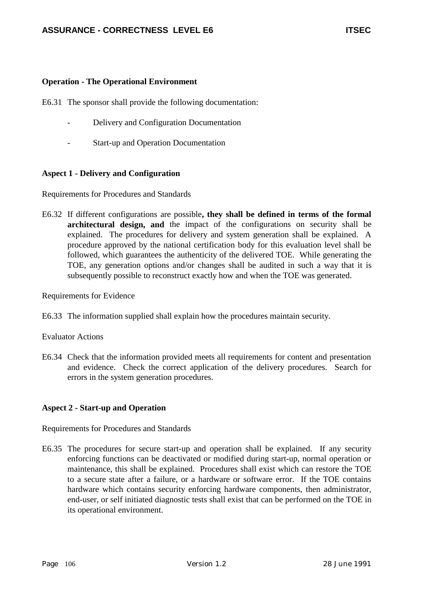#### **Operation - The Operational Environment**

E6.31 The sponsor shall provide the following documentation:

- Delivery and Configuration Documentation
- Start-up and Operation Documentation

#### **Aspect 1 - Delivery and Configuration**

Requirements for Procedures and Standards

E6.32 If different configurations are possible**, they shall be defined in terms of the formal architectural design, and** the impact of the configurations on security shall be explained. The procedures for delivery and system generation shall be explained. A procedure approved by the national certification body for this evaluation level shall be followed, which guarantees the authenticity of the delivered TOE. While generating the TOE, any generation options and/or changes shall be audited in such a way that it is subsequently possible to reconstruct exactly how and when the TOE was generated.

Requirements for Evidence

E6.33 The information supplied shall explain how the procedures maintain security.

Evaluator Actions

E6.34 Check that the information provided meets all requirements for content and presentation and evidence. Check the correct application of the delivery procedures. Search for errors in the system generation procedures.

# **Aspect 2 - Start-up and Operation**

Requirements for Procedures and Standards

E6.35 The procedures for secure start-up and operation shall be explained. If any security enforcing functions can be deactivated or modified during start-up, normal operation or maintenance, this shall be explained. Procedures shall exist which can restore the TOE to a secure state after a failure, or a hardware or software error. If the TOE contains hardware which contains security enforcing hardware components, then administrator, end-user, or self initiated diagnostic tests shall exist that can be performed on the TOE in its operational environment.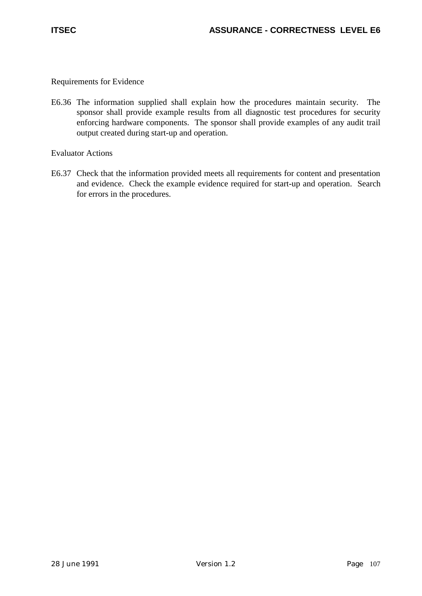Requirements for Evidence

E6.36 The information supplied shall explain how the procedures maintain security. The sponsor shall provide example results from all diagnostic test procedures for security enforcing hardware components. The sponsor shall provide examples of any audit trail output created during start-up and operation.

Evaluator Actions

E6.37 Check that the information provided meets all requirements for content and presentation and evidence. Check the example evidence required for start-up and operation. Search for errors in the procedures.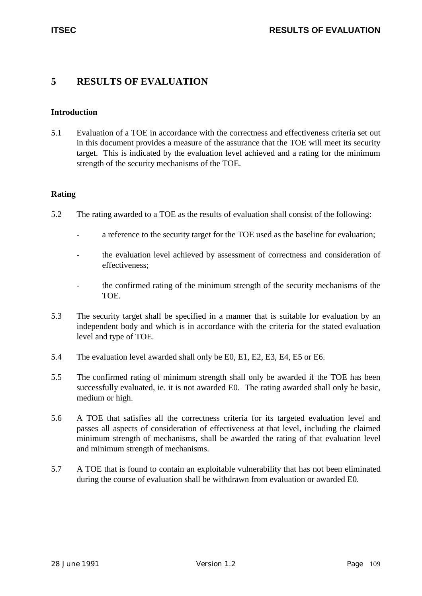# **5 RESULTS OF EVALUATION**

# **Introduction**

5.1 Evaluation of a TOE in accordance with the correctness and effectiveness criteria set out in this document provides a measure of the assurance that the TOE will meet its security target. This is indicated by the evaluation level achieved and a rating for the minimum strength of the security mechanisms of the TOE.

#### **Rating**

- 5.2 The rating awarded to a TOE as the results of evaluation shall consist of the following:
	- a reference to the security target for the TOE used as the baseline for evaluation;
	- the evaluation level achieved by assessment of correctness and consideration of effectiveness;
	- the confirmed rating of the minimum strength of the security mechanisms of the TOE.
- 5.3 The security target shall be specified in a manner that is suitable for evaluation by an independent body and which is in accordance with the criteria for the stated evaluation level and type of TOE.
- 5.4 The evaluation level awarded shall only be E0, E1, E2, E3, E4, E5 or E6.
- 5.5 The confirmed rating of minimum strength shall only be awarded if the TOE has been successfully evaluated, ie. it is not awarded E0. The rating awarded shall only be basic, medium or high.
- 5.6 A TOE that satisfies all the correctness criteria for its targeted evaluation level and passes all aspects of consideration of effectiveness at that level, including the claimed minimum strength of mechanisms, shall be awarded the rating of that evaluation level and minimum strength of mechanisms.
- 5.7 A TOE that is found to contain an exploitable vulnerability that has not been eliminated during the course of evaluation shall be withdrawn from evaluation or awarded E0.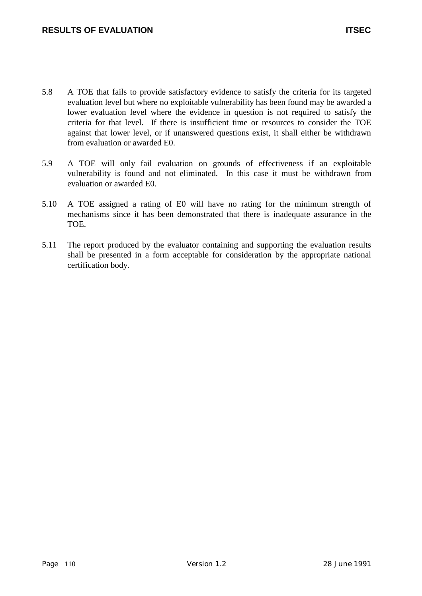- 5.8 A TOE that fails to provide satisfactory evidence to satisfy the criteria for its targeted evaluation level but where no exploitable vulnerability has been found may be awarded a lower evaluation level where the evidence in question is not required to satisfy the criteria for that level. If there is insufficient time or resources to consider the TOE against that lower level, or if unanswered questions exist, it shall either be withdrawn from evaluation or awarded E0.
- 5.9 A TOE will only fail evaluation on grounds of effectiveness if an exploitable vulnerability is found and not eliminated. In this case it must be withdrawn from evaluation or awarded E0.
- 5.10 A TOE assigned a rating of E0 will have no rating for the minimum strength of mechanisms since it has been demonstrated that there is inadequate assurance in the TOE.
- 5.11 The report produced by the evaluator containing and supporting the evaluation results shall be presented in a form acceptable for consideration by the appropriate national certification body.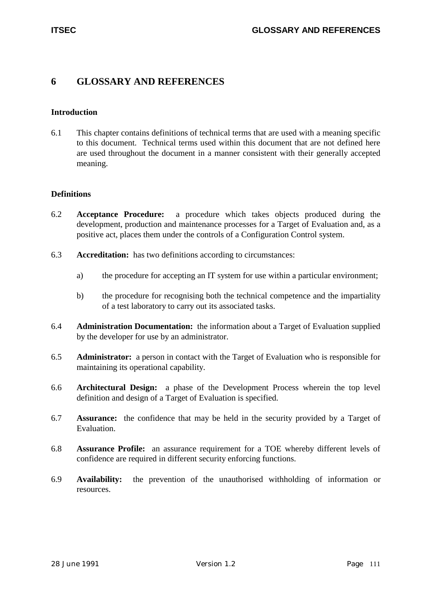# **6 GLOSSARY AND REFERENCES**

#### **Introduction**

6.1 This chapter contains definitions of technical terms that are used with a meaning specific to this document. Technical terms used within this document that are not defined here are used throughout the document in a manner consistent with their generally accepted meaning.

#### **Definitions**

- 6.2 **Acceptance Procedure:** a procedure which takes objects produced during the development, production and maintenance processes for a Target of Evaluation and, as a positive act, places them under the controls of a Configuration Control system.
- 6.3 **Accreditation:** has two definitions according to circumstances:
	- a) the procedure for accepting an IT system for use within a particular environment;
	- b) the procedure for recognising both the technical competence and the impartiality of a test laboratory to carry out its associated tasks.
- 6.4 **Administration Documentation:** the information about a Target of Evaluation supplied by the developer for use by an administrator.
- 6.5 **Administrator:** a person in contact with the Target of Evaluation who is responsible for maintaining its operational capability.
- 6.6 **Architectural Design:** a phase of the Development Process wherein the top level definition and design of a Target of Evaluation is specified.
- 6.7 **Assurance:** the confidence that may be held in the security provided by a Target of Evaluation.
- 6.8 **Assurance Profile:** an assurance requirement for a TOE whereby different levels of confidence are required in different security enforcing functions.
- 6.9 **Availability:** the prevention of the unauthorised withholding of information or resources.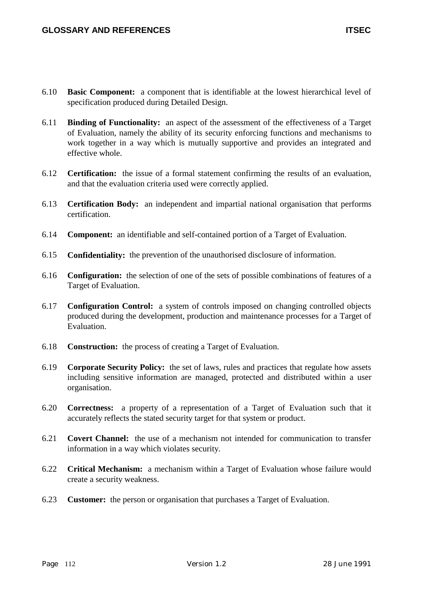- 6.11 **Binding of Functionality:** an aspect of the assessment of the effectiveness of a Target of Evaluation, namely the ability of its security enforcing functions and mechanisms to work together in a way which is mutually supportive and provides an integrated and effective whole.
- 6.12 **Certification:** the issue of a formal statement confirming the results of an evaluation, and that the evaluation criteria used were correctly applied.
- 6.13 **Certification Body:** an independent and impartial national organisation that performs certification.
- 6.14 **Component:** an identifiable and self-contained portion of a Target of Evaluation.
- 6.15 **Confidentiality:** the prevention of the unauthorised disclosure of information.
- 6.16 **Configuration:** the selection of one of the sets of possible combinations of features of a Target of Evaluation.
- 6.17 **Configuration Control:** a system of controls imposed on changing controlled objects produced during the development, production and maintenance processes for a Target of Evaluation.
- 6.18 **Construction:** the process of creating a Target of Evaluation.
- 6.19 **Corporate Security Policy:** the set of laws, rules and practices that regulate how assets including sensitive information are managed, protected and distributed within a user organisation.
- 6.20 **Correctness:** a property of a representation of a Target of Evaluation such that it accurately reflects the stated security target for that system or product.
- 6.21 **Covert Channel:** the use of a mechanism not intended for communication to transfer information in a way which violates security.
- 6.22 **Critical Mechanism:** a mechanism within a Target of Evaluation whose failure would create a security weakness.
- 6.23 **Customer:** the person or organisation that purchases a Target of Evaluation.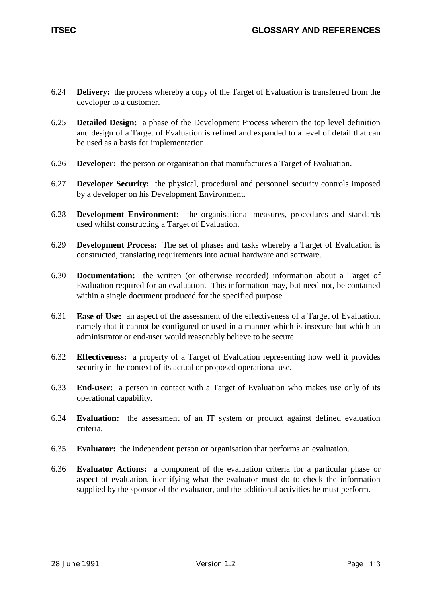- 6.24 **Delivery:** the process whereby a copy of the Target of Evaluation is transferred from the developer to a customer.
- 6.25 **Detailed Design:** a phase of the Development Process wherein the top level definition and design of a Target of Evaluation is refined and expanded to a level of detail that can be used as a basis for implementation.
- 6.26 **Developer:** the person or organisation that manufactures a Target of Evaluation.
- 6.27 **Developer Security:** the physical, procedural and personnel security controls imposed by a developer on his Development Environment.
- 6.28 **Development Environment:** the organisational measures, procedures and standards used whilst constructing a Target of Evaluation.
- 6.29 **Development Process:** The set of phases and tasks whereby a Target of Evaluation is constructed, translating requirements into actual hardware and software.
- 6.30 **Documentation:** the written (or otherwise recorded) information about a Target of Evaluation required for an evaluation. This information may, but need not, be contained within a single document produced for the specified purpose.
- 6.31 **Ease of Use:** an aspect of the assessment of the effectiveness of a Target of Evaluation, namely that it cannot be configured or used in a manner which is insecure but which an administrator or end-user would reasonably believe to be secure.
- 6.32 **Effectiveness:** a property of a Target of Evaluation representing how well it provides security in the context of its actual or proposed operational use.
- 6.33 **End-user:** a person in contact with a Target of Evaluation who makes use only of its operational capability.
- 6.34 **Evaluation:** the assessment of an IT system or product against defined evaluation criteria.
- 6.35 **Evaluator:** the independent person or organisation that performs an evaluation.
- 6.36 **Evaluator Actions:** a component of the evaluation criteria for a particular phase or aspect of evaluation, identifying what the evaluator must do to check the information supplied by the sponsor of the evaluator, and the additional activities he must perform.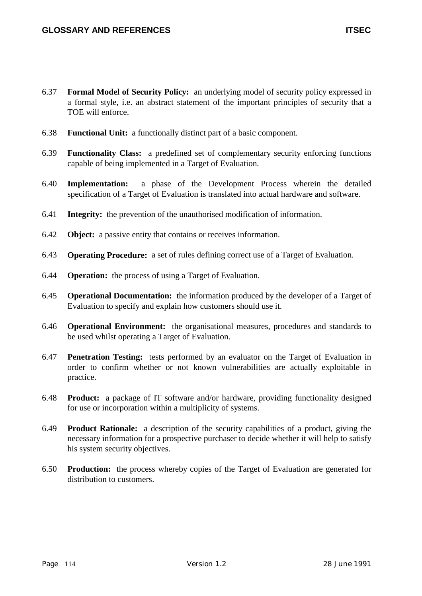- 6.37 **Formal Model of Security Policy:** an underlying model of security policy expressed in a formal style, i.e. an abstract statement of the important principles of security that a TOE will enforce.
- 6.38 **Functional Unit:** a functionally distinct part of a basic component.
- 6.39 **Functionality Class:** a predefined set of complementary security enforcing functions capable of being implemented in a Target of Evaluation.
- 6.40 **Implementation:** a phase of the Development Process wherein the detailed specification of a Target of Evaluation is translated into actual hardware and software.
- 6.41 **Integrity:** the prevention of the unauthorised modification of information.
- 6.42 **Object:** a passive entity that contains or receives information.
- 6.43 **Operating Procedure:** a set of rules defining correct use of a Target of Evaluation.
- 6.44 **Operation:** the process of using a Target of Evaluation.
- 6.45 **Operational Documentation:** the information produced by the developer of a Target of Evaluation to specify and explain how customers should use it.
- 6.46 **Operational Environment:** the organisational measures, procedures and standards to be used whilst operating a Target of Evaluation.
- 6.47 **Penetration Testing:** tests performed by an evaluator on the Target of Evaluation in order to confirm whether or not known vulnerabilities are actually exploitable in practice.
- 6.48 **Product:** a package of IT software and/or hardware, providing functionality designed for use or incorporation within a multiplicity of systems.
- 6.49 **Product Rationale:** a description of the security capabilities of a product, giving the necessary information for a prospective purchaser to decide whether it will help to satisfy his system security objectives.
- 6.50 **Production:** the process whereby copies of the Target of Evaluation are generated for distribution to customers.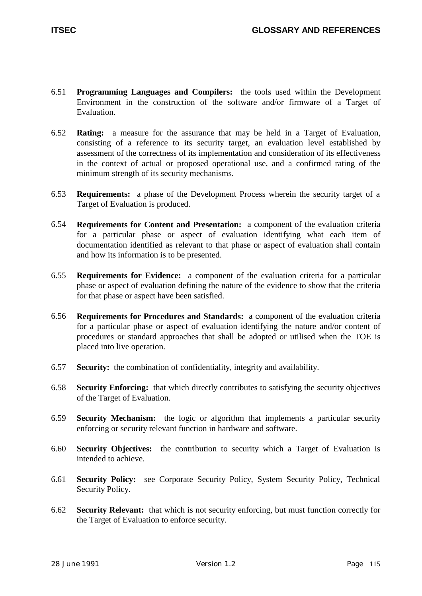- 6.51 **Programming Languages and Compilers:** the tools used within the Development Environment in the construction of the software and/or firmware of a Target of Evaluation.
- 6.52 **Rating:** a measure for the assurance that may be held in a Target of Evaluation, consisting of a reference to its security target, an evaluation level established by assessment of the correctness of its implementation and consideration of its effectiveness in the context of actual or proposed operational use, and a confirmed rating of the minimum strength of its security mechanisms.
- 6.53 **Requirements:** a phase of the Development Process wherein the security target of a Target of Evaluation is produced.
- 6.54 **Requirements for Content and Presentation:** a component of the evaluation criteria for a particular phase or aspect of evaluation identifying what each item of documentation identified as relevant to that phase or aspect of evaluation shall contain and how its information is to be presented.
- 6.55 **Requirements for Evidence:** a component of the evaluation criteria for a particular phase or aspect of evaluation defining the nature of the evidence to show that the criteria for that phase or aspect have been satisfied.
- 6.56 **Requirements for Procedures and Standards:** a component of the evaluation criteria for a particular phase or aspect of evaluation identifying the nature and/or content of procedures or standard approaches that shall be adopted or utilised when the TOE is placed into live operation.
- 6.57 **Security:** the combination of confidentiality, integrity and availability.
- 6.58 **Security Enforcing:** that which directly contributes to satisfying the security objectives of the Target of Evaluation.
- 6.59 **Security Mechanism:** the logic or algorithm that implements a particular security enforcing or security relevant function in hardware and software.
- 6.60 **Security Objectives:** the contribution to security which a Target of Evaluation is intended to achieve.
- 6.61 **Security Policy:** see Corporate Security Policy, System Security Policy, Technical Security Policy.
- 6.62 **Security Relevant:** that which is not security enforcing, but must function correctly for the Target of Evaluation to enforce security.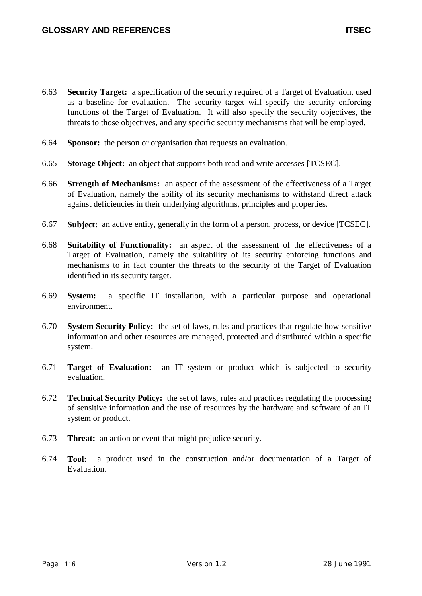- 6.63 **Security Target:** a specification of the security required of a Target of Evaluation, used as a baseline for evaluation. The security target will specify the security enforcing functions of the Target of Evaluation. It will also specify the security objectives, the threats to those objectives, and any specific security mechanisms that will be employed.
- 6.64 **Sponsor:** the person or organisation that requests an evaluation.
- 6.65 **Storage Object:** an object that supports both read and write accesses [TCSEC].
- 6.66 **Strength of Mechanisms:** an aspect of the assessment of the effectiveness of a Target of Evaluation, namely the ability of its security mechanisms to withstand direct attack against deficiencies in their underlying algorithms, principles and properties.
- 6.67 **Subject:** an active entity, generally in the form of a person, process, or device [TCSEC].
- 6.68 **Suitability of Functionality:** an aspect of the assessment of the effectiveness of a Target of Evaluation, namely the suitability of its security enforcing functions and mechanisms to in fact counter the threats to the security of the Target of Evaluation identified in its security target.
- 6.69 **System:** a specific IT installation, with a particular purpose and operational environment.
- 6.70 **System Security Policy:** the set of laws, rules and practices that regulate how sensitive information and other resources are managed, protected and distributed within a specific system.
- 6.71 **Target of Evaluation:** an IT system or product which is subjected to security evaluation.
- 6.72 **Technical Security Policy:** the set of laws, rules and practices regulating the processing of sensitive information and the use of resources by the hardware and software of an IT system or product.
- 6.73 **Threat:** an action or event that might prejudice security.
- 6.74 **Tool:** a product used in the construction and/or documentation of a Target of Evaluation.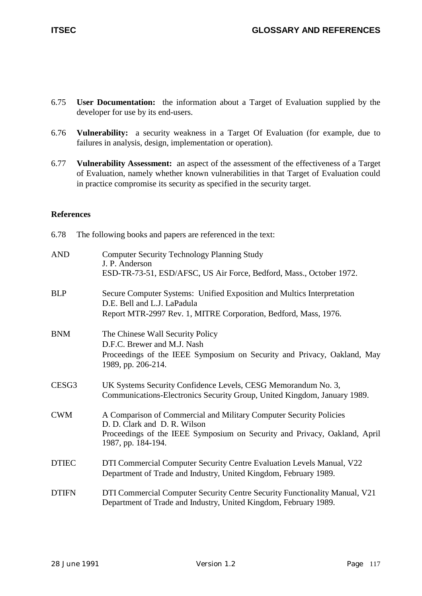- 6.75 **User Documentation:** the information about a Target of Evaluation supplied by the developer for use by its end-users.
- 6.76 **Vulnerability:** a security weakness in a Target Of Evaluation (for example, due to failures in analysis, design, implementation or operation).
- 6.77 **Vulnerability Assessment:** an aspect of the assessment of the effectiveness of a Target of Evaluation, namely whether known vulnerabilities in that Target of Evaluation could in practice compromise its security as specified in the security target.

# **References**

6.78 The following books and papers are referenced in the text:

| <b>AND</b>        | <b>Computer Security Technology Planning Study</b><br>J. P. Anderson<br>ESD-TR-73-51, ESD/AFSC, US Air Force, Bedford, Mass., October 1972.                                                           |
|-------------------|-------------------------------------------------------------------------------------------------------------------------------------------------------------------------------------------------------|
| <b>BLP</b>        | Secure Computer Systems: Unified Exposition and Multics Interpretation<br>D.E. Bell and L.J. LaPadula<br>Report MTR-2997 Rev. 1, MITRE Corporation, Bedford, Mass, 1976.                              |
| <b>BNM</b>        | The Chinese Wall Security Policy<br>D.F.C. Brewer and M.J. Nash<br>Proceedings of the IEEE Symposium on Security and Privacy, Oakland, May<br>1989, pp. 206-214.                                      |
| CESG <sub>3</sub> | UK Systems Security Confidence Levels, CESG Memorandum No. 3,<br>Communications-Electronics Security Group, United Kingdom, January 1989.                                                             |
| <b>CWM</b>        | A Comparison of Commercial and Military Computer Security Policies<br>D. D. Clark and D. R. Wilson<br>Proceedings of the IEEE Symposium on Security and Privacy, Oakland, April<br>1987, pp. 184-194. |
| <b>DTIEC</b>      | DTI Commercial Computer Security Centre Evaluation Levels Manual, V22<br>Department of Trade and Industry, United Kingdom, February 1989.                                                             |
| <b>DTIFN</b>      | DTI Commercial Computer Security Centre Security Functionality Manual, V21<br>Department of Trade and Industry, United Kingdom, February 1989.                                                        |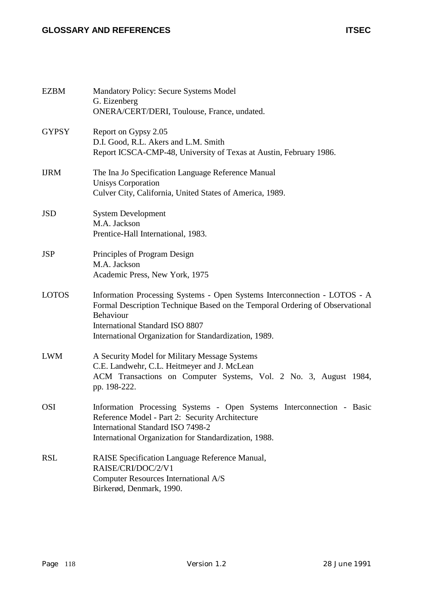# **GLOSSARY AND REFERENCES ITSEC**

| <b>EZBM</b>  | <b>Mandatory Policy: Secure Systems Model</b><br>G. Eizenberg<br>ONERA/CERT/DERI, Toulouse, France, undated.                                                                                                                                                              |
|--------------|---------------------------------------------------------------------------------------------------------------------------------------------------------------------------------------------------------------------------------------------------------------------------|
| <b>GYPSY</b> | Report on Gypsy 2.05<br>D.I. Good, R.L. Akers and L.M. Smith<br>Report ICSCA-CMP-48, University of Texas at Austin, February 1986.                                                                                                                                        |
| <b>IJRM</b>  | The Ina Jo Specification Language Reference Manual<br><b>Unisys Corporation</b><br>Culver City, California, United States of America, 1989.                                                                                                                               |
| <b>JSD</b>   | <b>System Development</b><br>M.A. Jackson<br>Prentice-Hall International, 1983.                                                                                                                                                                                           |
| <b>JSP</b>   | Principles of Program Design<br>M.A. Jackson<br>Academic Press, New York, 1975                                                                                                                                                                                            |
| <b>LOTOS</b> | Information Processing Systems - Open Systems Interconnection - LOTOS - A<br>Formal Description Technique Based on the Temporal Ordering of Observational<br>Behaviour<br><b>International Standard ISO 8807</b><br>International Organization for Standardization, 1989. |
| <b>LWM</b>   | A Security Model for Military Message Systems<br>C.E. Landwehr, C.L. Heitmeyer and J. McLean<br>ACM Transactions on Computer Systems, Vol. 2 No. 3, August 1984,<br>pp. 198-222.                                                                                          |
| <b>OSI</b>   | Information Processing Systems - Open Systems Interconnection - Basic<br>Reference Model - Part 2: Security Architecture<br><b>International Standard ISO 7498-2</b><br>International Organization for Standardization, 1988.                                             |
| <b>RSL</b>   | RAISE Specification Language Reference Manual,<br>RAISE/CRI/DOC/2/V1<br><b>Computer Resources International A/S</b><br>Birkerød, Denmark, 1990.                                                                                                                           |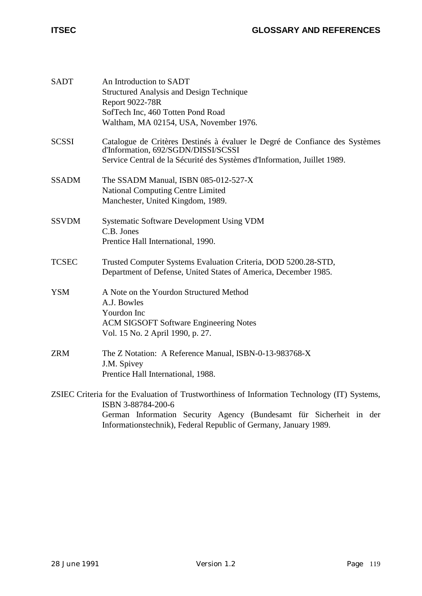| <b>SADT</b>  | An Introduction to SADT                                                                                            |
|--------------|--------------------------------------------------------------------------------------------------------------------|
|              | <b>Structured Analysis and Design Technique</b>                                                                    |
|              | <b>Report 9022-78R</b>                                                                                             |
|              | SofTech Inc, 460 Totten Pond Road                                                                                  |
|              | Waltham, MA 02154, USA, November 1976.                                                                             |
|              |                                                                                                                    |
| <b>SCSSI</b> | Catalogue de Critères Destinés à évaluer le Degré de Confiance des Systèmes<br>d'Information, 692/SGDN/DISSI/SCSSI |
|              | Service Central de la Sécurité des Systèmes d'Information, Juillet 1989.                                           |
| <b>SSADM</b> | The SSADM Manual, ISBN 085-012-527-X                                                                               |
|              | <b>National Computing Centre Limited</b>                                                                           |
|              | Manchester, United Kingdom, 1989.                                                                                  |
| <b>SSVDM</b> | <b>Systematic Software Development Using VDM</b>                                                                   |
|              | C.B. Jones                                                                                                         |
|              | Prentice Hall International, 1990.                                                                                 |
| <b>TCSEC</b> | Trusted Computer Systems Evaluation Criteria, DOD 5200.28-STD,                                                     |
|              | Department of Defense, United States of America, December 1985.                                                    |
| <b>YSM</b>   | A Note on the Yourdon Structured Method                                                                            |
|              | A.J. Bowles                                                                                                        |
|              | Yourdon Inc                                                                                                        |
|              | <b>ACM SIGSOFT Software Engineering Notes</b>                                                                      |
|              | Vol. 15 No. 2 April 1990, p. 27.                                                                                   |
| <b>ZRM</b>   | The Z Notation: A Reference Manual, ISBN-0-13-983768-X                                                             |
|              | J.M. Spivey                                                                                                        |
|              | Prentice Hall International, 1988.                                                                                 |
|              | ZSIEC Criteria for the Evaluation of Trustworthiness of Information Technology (IT) Systems,                       |
|              | ISBN 3-88784-200-6                                                                                                 |
|              | German Information Security Agency (Bundesamt für Sicherheit in der                                                |
|              | Informationstechnik), Federal Republic of Germany, January 1989.                                                   |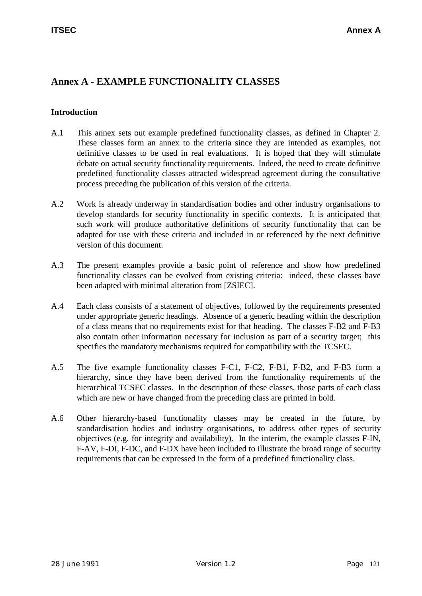# **Annex A - EXAMPLE FUNCTIONALITY CLASSES**

# **Introduction**

- A.1 This annex sets out example predefined functionality classes, as defined in Chapter 2. These classes form an annex to the criteria since they are intended as examples, not definitive classes to be used in real evaluations. It is hoped that they will stimulate debate on actual security functionality requirements. Indeed, the need to create definitive predefined functionality classes attracted widespread agreement during the consultative process preceding the publication of this version of the criteria.
- A.2 Work is already underway in standardisation bodies and other industry organisations to develop standards for security functionality in specific contexts. It is anticipated that such work will produce authoritative definitions of security functionality that can be adapted for use with these criteria and included in or referenced by the next definitive version of this document.
- A.3 The present examples provide a basic point of reference and show how predefined functionality classes can be evolved from existing criteria: indeed, these classes have been adapted with minimal alteration from [ZSIEC].
- A.4 Each class consists of a statement of objectives, followed by the requirements presented under appropriate generic headings. Absence of a generic heading within the description of a class means that no requirements exist for that heading. The classes F-B2 and F-B3 also contain other information necessary for inclusion as part of a security target; this specifies the mandatory mechanisms required for compatibility with the TCSEC.
- A.5 The five example functionality classes F-C1, F-C2, F-B1, F-B2, and F-B3 form a hierarchy, since they have been derived from the functionality requirements of the hierarchical TCSEC classes. In the description of these classes, those parts of each class which are new or have changed from the preceding class are printed in bold.
- A.6 Other hierarchy-based functionality classes may be created in the future, by standardisation bodies and industry organisations, to address other types of security objectives (e.g. for integrity and availability). In the interim, the example classes F-IN, F-AV, F-DI, F-DC, and F-DX have been included to illustrate the broad range of security requirements that can be expressed in the form of a predefined functionality class.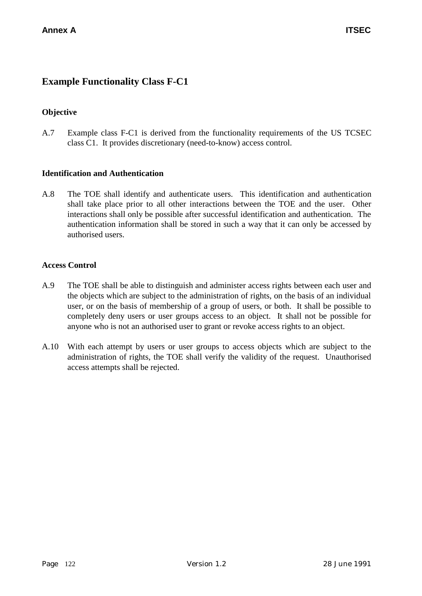# **Example Functionality Class F-C1**

# **Objective**

A.7 Example class F-C1 is derived from the functionality requirements of the US TCSEC class C1. It provides discretionary (need-to-know) access control.

# **Identification and Authentication**

A.8 The TOE shall identify and authenticate users. This identification and authentication shall take place prior to all other interactions between the TOE and the user. Other interactions shall only be possible after successful identification and authentication. The authentication information shall be stored in such a way that it can only be accessed by authorised users.

#### **Access Control**

- A.9 The TOE shall be able to distinguish and administer access rights between each user and the objects which are subject to the administration of rights, on the basis of an individual user, or on the basis of membership of a group of users, or both. It shall be possible to completely deny users or user groups access to an object. It shall not be possible for anyone who is not an authorised user to grant or revoke access rights to an object.
- A.10 With each attempt by users or user groups to access objects which are subject to the administration of rights, the TOE shall verify the validity of the request. Unauthorised access attempts shall be rejected.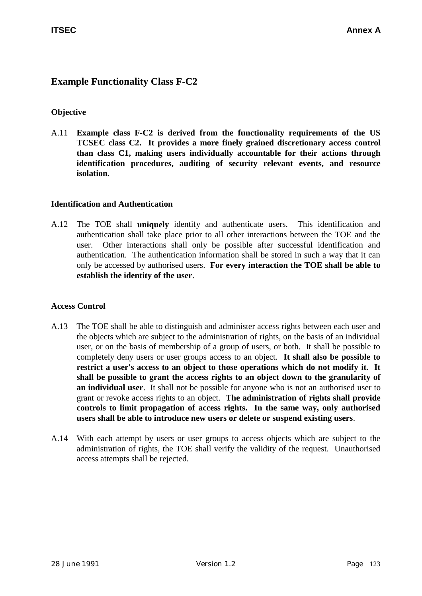# **Example Functionality Class F-C2**

# **Objective**

A.11 **Example class F-C2 is derived from the functionality requirements of the US TCSEC class C2. It provides a more finely grained discretionary access control than class C1, making users individually accountable for their actions through identification procedures, auditing of security relevant events, and resource isolation.**

# **Identification and Authentication**

A.12 The TOE shall **uniquely** identify and authenticate users. This identification and authentication shall take place prior to all other interactions between the TOE and the user. Other interactions shall only be possible after successful identification and authentication. The authentication information shall be stored in such a way that it can only be accessed by authorised users. **For every interaction the TOE shall be able to establish the identity of the user**.

# **Access Control**

- A.13 The TOE shall be able to distinguish and administer access rights between each user and the objects which are subject to the administration of rights, on the basis of an individual user, or on the basis of membership of a group of users, or both. It shall be possible to completely deny users or user groups access to an object. **It shall also be possible to restrict a user's access to an object to those operations which do not modify it. It shall be possible to grant the access rights to an object down to the granularity of an individual user**. It shall not be possible for anyone who is not an authorised user to grant or revoke access rights to an object. **The administration of rights shall provide controls to limit propagation of access rights. In the same way, only authorised users shall be able to introduce new users or delete or suspend existing users**.
- A.14 With each attempt by users or user groups to access objects which are subject to the administration of rights, the TOE shall verify the validity of the request. Unauthorised access attempts shall be rejected.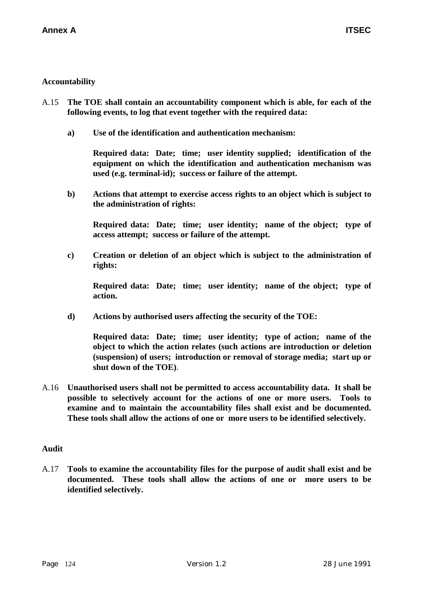# **Accountability**

- A.15 **The TOE shall contain an accountability component which is able, for each of the following events, to log that event together with the required data:**
	- **a) Use of the identification and authentication mechanism:**

**Required data: Date; time; user identity supplied; identification of the equipment on which the identification and authentication mechanism was used (e.g. terminal-id); success or failure of the attempt.**

**b) Actions that attempt to exercise access rights to an object which is subject to the administration of rights:**

**Required data: Date; time; user identity; name of the object; type of access attempt; success or failure of the attempt.**

**c) Creation or deletion of an object which is subject to the administration of rights:**

**Required data: Date; time; user identity; name of the object; type of action.**

**d) Actions by authorised users affecting the security of the TOE:**

**Required data: Date; time; user identity; type of action; name of the object to which the action relates (such actions are introduction or deletion (suspension) of users; introduction or removal of storage media; start up or shut down of the TOE)**.

A.16 **Unauthorised users shall not be permitted to access accountability data. It shall be possible to selectively account for the actions of one or more users. Tools to examine and to maintain the accountability files shall exist and be documented. These tools shall allow the actions of one or more users to be identified selectively.**

#### **Audit**

A.17 **Tools to examine the accountability files for the purpose of audit shall exist and be documented. These tools shall allow the actions of one or more users to be identified selectively.**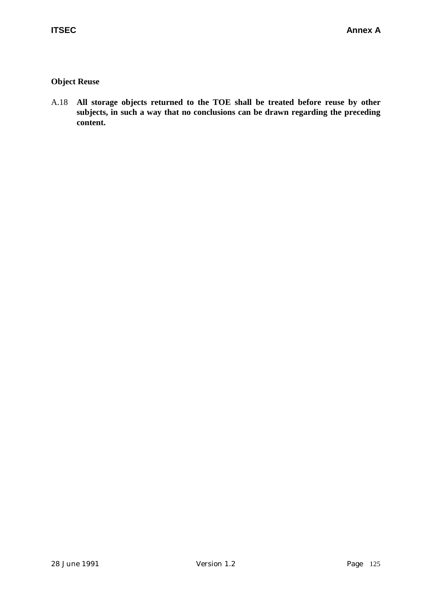# **Object Reuse**

A.18 **All storage objects returned to the TOE shall be treated before reuse by other subjects, in such a way that no conclusions can be drawn regarding the preceding content.**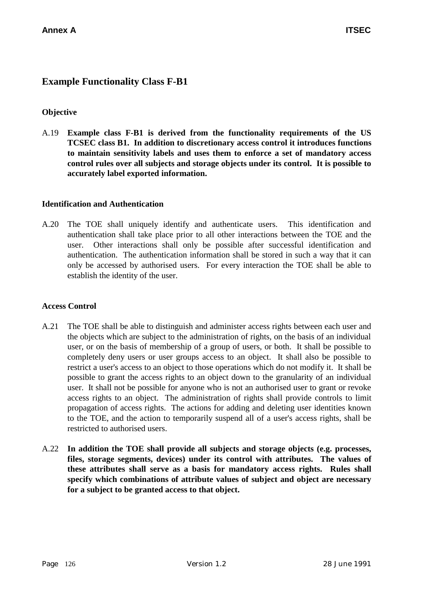# **Example Functionality Class F-B1**

### **Objective**

A.19 **Example class F-B1 is derived from the functionality requirements of the US TCSEC class B1. In addition to discretionary access control it introduces functions to maintain sensitivity labels and uses them to enforce a set of mandatory access control rules over all subjects and storage objects under its control. It is possible to accurately label exported information.**

#### **Identification and Authentication**

A.20 The TOE shall uniquely identify and authenticate users. This identification and authentication shall take place prior to all other interactions between the TOE and the user. Other interactions shall only be possible after successful identification and authentication. The authentication information shall be stored in such a way that it can only be accessed by authorised users. For every interaction the TOE shall be able to establish the identity of the user.

#### **Access Control**

- A.21 The TOE shall be able to distinguish and administer access rights between each user and the objects which are subject to the administration of rights, on the basis of an individual user, or on the basis of membership of a group of users, or both. It shall be possible to completely deny users or user groups access to an object. It shall also be possible to restrict a user's access to an object to those operations which do not modify it. It shall be possible to grant the access rights to an object down to the granularity of an individual user. It shall not be possible for anyone who is not an authorised user to grant or revoke access rights to an object. The administration of rights shall provide controls to limit propagation of access rights. The actions for adding and deleting user identities known to the TOE, and the action to temporarily suspend all of a user's access rights, shall be restricted to authorised users.
- A.22 **In addition the TOE shall provide all subjects and storage objects (e.g. processes, files, storage segments, devices) under its control with attributes. The values of these attributes shall serve as a basis for mandatory access rights. Rules shall specify which combinations of attribute values of subject and object are necessary for a subject to be granted access to that object.**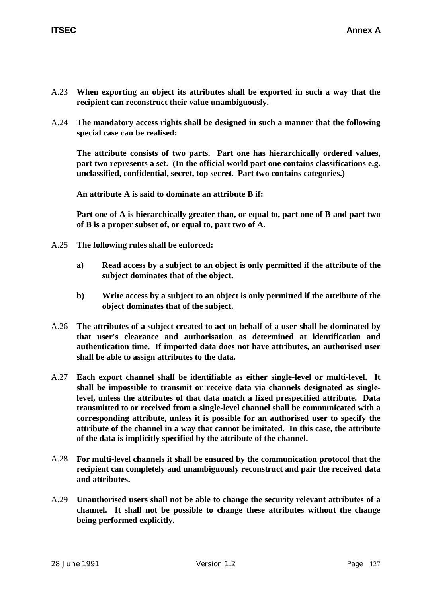- A.23 **When exporting an object its attributes shall be exported in such a way that the recipient can reconstruct their value unambiguously.**
- A.24 **The mandatory access rights shall be designed in such a manner that the following special case can be realised:**

**The attribute consists of two parts. Part one has hierarchically ordered values, part two represents a set. (In the official world part one contains classifications e.g. unclassified, confidential, secret, top secret. Part two contains categories.)**

**An attribute A is said to dominate an attribute B if:**

**Part one of A is hierarchically greater than, or equal to, part one of B and part two of B is a proper subset of, or equal to, part two of A**.

- A.25 **The following rules shall be enforced:**
	- **a) Read access by a subject to an object is only permitted if the attribute of the subject dominates that of the object.**
	- **b) Write access by a subject to an object is only permitted if the attribute of the object dominates that of the subject.**
- A.26 **The attributes of a subject created to act on behalf of a user shall be dominated by that user's clearance and authorisation as determined at identification and authentication time. If imported data does not have attributes, an authorised user shall be able to assign attributes to the data.**
- A.27 **Each export channel shall be identifiable as either single-level or multi-level. It shall be impossible to transmit or receive data via channels designated as singlelevel, unless the attributes of that data match a fixed prespecified attribute. Data transmitted to or received from a single-level channel shall be communicated with a corresponding attribute, unless it is possible for an authorised user to specify the attribute of the channel in a way that cannot be imitated. In this case, the attribute of the data is implicitly specified by the attribute of the channel.**
- A.28 **For multi-level channels it shall be ensured by the communication protocol that the recipient can completely and unambiguously reconstruct and pair the received data and attributes.**
- A.29 **Unauthorised users shall not be able to change the security relevant attributes of a channel. It shall not be possible to change these attributes without the change being performed explicitly.**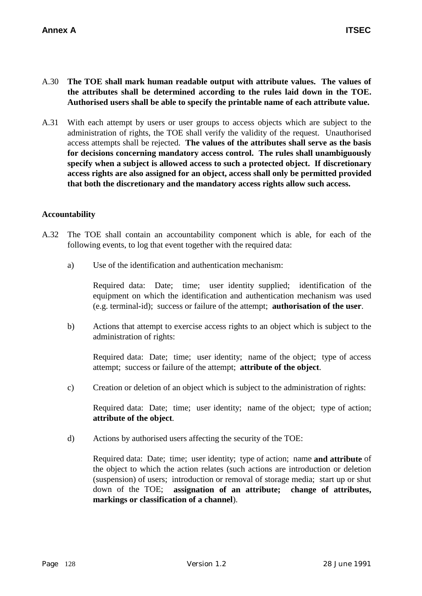- A.30 **The TOE shall mark human readable output with attribute values. The values of the attributes shall be determined according to the rules laid down in the TOE. Authorised users shall be able to specify the printable name of each attribute value.**
- A.31 With each attempt by users or user groups to access objects which are subject to the administration of rights, the TOE shall verify the validity of the request. Unauthorised access attempts shall be rejected. **The values of the attributes shall serve as the basis for decisions concerning mandatory access control. The rules shall unambiguously specify when a subject is allowed access to such a protected object. If discretionary access rights are also assigned for an object, access shall only be permitted provided that both the discretionary and the mandatory access rights allow such access.**

#### **Accountability**

- A.32 The TOE shall contain an accountability component which is able, for each of the following events, to log that event together with the required data:
	- a) Use of the identification and authentication mechanism:

Required data: Date; time; user identity supplied; identification of the equipment on which the identification and authentication mechanism was used (e.g. terminal-id); success or failure of the attempt; **authorisation of the user**.

b) Actions that attempt to exercise access rights to an object which is subject to the administration of rights:

Required data: Date; time; user identity; name of the object; type of access attempt; success or failure of the attempt; **attribute of the object**.

c) Creation or deletion of an object which is subject to the administration of rights:

Required data: Date; time; user identity; name of the object; type of action; **attribute of the object**.

d) Actions by authorised users affecting the security of the TOE:

Required data: Date; time; user identity; type of action; name **and attribute** of the object to which the action relates (such actions are introduction or deletion (suspension) of users; introduction or removal of storage media; start up or shut down of the TOE; **assignation of an attribute; change of attributes, markings or classification of a channel**).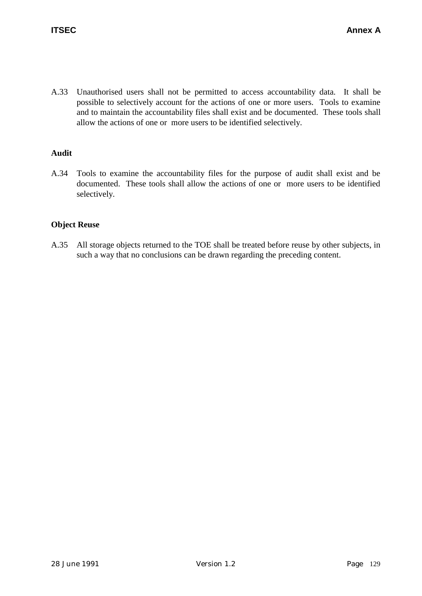A.33 Unauthorised users shall not be permitted to access accountability data. It shall be possible to selectively account for the actions of one or more users. Tools to examine and to maintain the accountability files shall exist and be documented. These tools shall allow the actions of one or more users to be identified selectively.

# **Audit**

A.34 Tools to examine the accountability files for the purpose of audit shall exist and be documented. These tools shall allow the actions of one or more users to be identified selectively.

# **Object Reuse**

A.35 All storage objects returned to the TOE shall be treated before reuse by other subjects, in such a way that no conclusions can be drawn regarding the preceding content.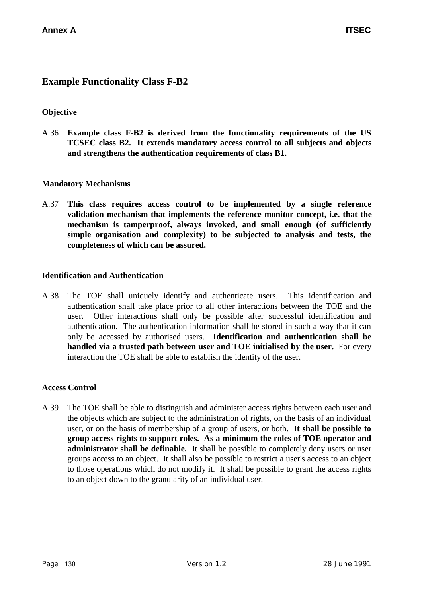# **Example Functionality Class F-B2**

### **Objective**

A.36 **Example class F-B2 is derived from the functionality requirements of the US TCSEC class B2. It extends mandatory access control to all subjects and objects and strengthens the authentication requirements of class B1.**

#### **Mandatory Mechanisms**

A.37 **This class requires access control to be implemented by a single reference validation mechanism that implements the reference monitor concept, i.e. that the mechanism is tamperproof, always invoked, and small enough (of sufficiently simple organisation and complexity) to be subjected to analysis and tests, the completeness of which can be assured.**

#### **Identification and Authentication**

A.38 The TOE shall uniquely identify and authenticate users. This identification and authentication shall take place prior to all other interactions between the TOE and the user. Other interactions shall only be possible after successful identification and authentication. The authentication information shall be stored in such a way that it can only be accessed by authorised users. **Identification and authentication shall be handled via a trusted path between user and TOE initialised by the user.** For every interaction the TOE shall be able to establish the identity of the user.

#### **Access Control**

A.39 The TOE shall be able to distinguish and administer access rights between each user and the objects which are subject to the administration of rights, on the basis of an individual user, or on the basis of membership of a group of users, or both. **It shall be possible to group access rights to support roles. As a minimum the roles of TOE operator and administrator shall be definable.** It shall be possible to completely deny users or user groups access to an object. It shall also be possible to restrict a user's access to an object to those operations which do not modify it. It shall be possible to grant the access rights to an object down to the granularity of an individual user.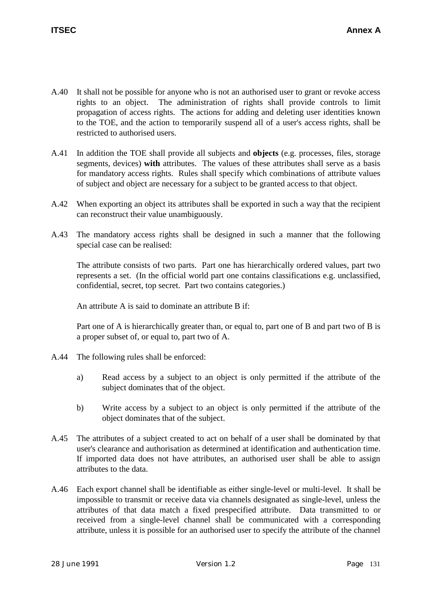- A.40 It shall not be possible for anyone who is not an authorised user to grant or revoke access rights to an object. The administration of rights shall provide controls to limit propagation of access rights. The actions for adding and deleting user identities known to the TOE, and the action to temporarily suspend all of a user's access rights, shall be restricted to authorised users.
- A.41 In addition the TOE shall provide all subjects and **objects** (e.g. processes, files, storage segments, devices) **with** attributes. The values of these attributes shall serve as a basis for mandatory access rights. Rules shall specify which combinations of attribute values of subject and object are necessary for a subject to be granted access to that object.
- A.42 When exporting an object its attributes shall be exported in such a way that the recipient can reconstruct their value unambiguously.
- A.43 The mandatory access rights shall be designed in such a manner that the following special case can be realised:

The attribute consists of two parts. Part one has hierarchically ordered values, part two represents a set. (In the official world part one contains classifications e.g. unclassified, confidential, secret, top secret. Part two contains categories.)

An attribute A is said to dominate an attribute B if:

Part one of A is hierarchically greater than, or equal to, part one of B and part two of B is a proper subset of, or equal to, part two of A.

- A.44 The following rules shall be enforced:
	- a) Read access by a subject to an object is only permitted if the attribute of the subject dominates that of the object.
	- b) Write access by a subject to an object is only permitted if the attribute of the object dominates that of the subject.
- A.45 The attributes of a subject created to act on behalf of a user shall be dominated by that user's clearance and authorisation as determined at identification and authentication time. If imported data does not have attributes, an authorised user shall be able to assign attributes to the data.
- A.46 Each export channel shall be identifiable as either single-level or multi-level. It shall be impossible to transmit or receive data via channels designated as single-level, unless the attributes of that data match a fixed prespecified attribute. Data transmitted to or received from a single-level channel shall be communicated with a corresponding attribute, unless it is possible for an authorised user to specify the attribute of the channel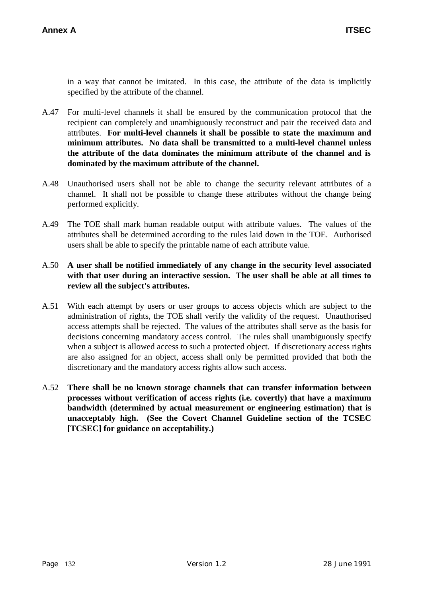in a way that cannot be imitated. In this case, the attribute of the data is implicitly specified by the attribute of the channel.

- A.47 For multi-level channels it shall be ensured by the communication protocol that the recipient can completely and unambiguously reconstruct and pair the received data and attributes. **For multi-level channels it shall be possible to state the maximum and minimum attributes. No data shall be transmitted to a multi-level channel unless the attribute of the data dominates the minimum attribute of the channel and is dominated by the maximum attribute of the channel.**
- A.48 Unauthorised users shall not be able to change the security relevant attributes of a channel. It shall not be possible to change these attributes without the change being performed explicitly.
- A.49 The TOE shall mark human readable output with attribute values. The values of the attributes shall be determined according to the rules laid down in the TOE. Authorised users shall be able to specify the printable name of each attribute value.

# A.50 **A user shall be notified immediately of any change in the security level associated with that user during an interactive session. The user shall be able at all times to review all the subject's attributes.**

- A.51 With each attempt by users or user groups to access objects which are subject to the administration of rights, the TOE shall verify the validity of the request. Unauthorised access attempts shall be rejected. The values of the attributes shall serve as the basis for decisions concerning mandatory access control. The rules shall unambiguously specify when a subject is allowed access to such a protected object. If discretionary access rights are also assigned for an object, access shall only be permitted provided that both the discretionary and the mandatory access rights allow such access.
- A.52 **There shall be no known storage channels that can transfer information between processes without verification of access rights (i.e. covertly) that have a maximum bandwidth (determined by actual measurement or engineering estimation) that is unacceptably high. (See the Covert Channel Guideline section of the TCSEC [TCSEC] for guidance on acceptability.)**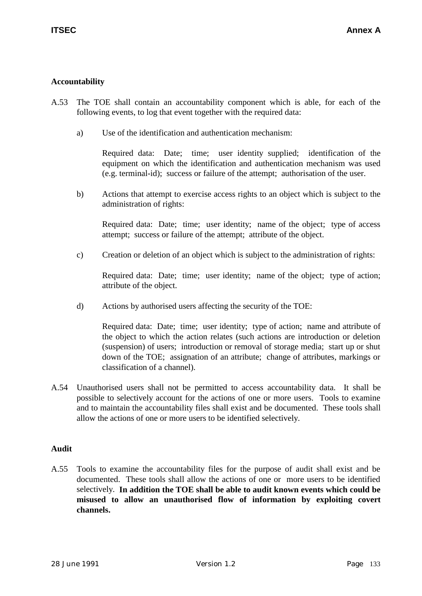# **Accountability**

- A.53 The TOE shall contain an accountability component which is able, for each of the following events, to log that event together with the required data:
	- a) Use of the identification and authentication mechanism:

Required data: Date; time; user identity supplied; identification of the equipment on which the identification and authentication mechanism was used (e.g. terminal-id); success or failure of the attempt; authorisation of the user.

b) Actions that attempt to exercise access rights to an object which is subject to the administration of rights:

Required data: Date; time; user identity; name of the object; type of access attempt; success or failure of the attempt; attribute of the object.

c) Creation or deletion of an object which is subject to the administration of rights:

Required data: Date; time; user identity; name of the object; type of action; attribute of the object.

d) Actions by authorised users affecting the security of the TOE:

Required data: Date; time; user identity; type of action; name and attribute of the object to which the action relates (such actions are introduction or deletion (suspension) of users; introduction or removal of storage media; start up or shut down of the TOE; assignation of an attribute; change of attributes, markings or classification of a channel).

A.54 Unauthorised users shall not be permitted to access accountability data. It shall be possible to selectively account for the actions of one or more users. Tools to examine and to maintain the accountability files shall exist and be documented. These tools shall allow the actions of one or more users to be identified selectively.

#### **Audit**

A.55 Tools to examine the accountability files for the purpose of audit shall exist and be documented. These tools shall allow the actions of one or more users to be identified selectively. **In addition the TOE shall be able to audit known events which could be misused to allow an unauthorised flow of information by exploiting covert channels.**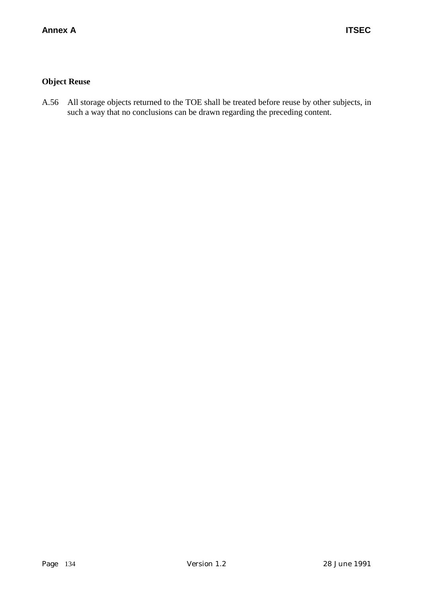# **Object Reuse**

A.56 All storage objects returned to the TOE shall be treated before reuse by other subjects, in such a way that no conclusions can be drawn regarding the preceding content.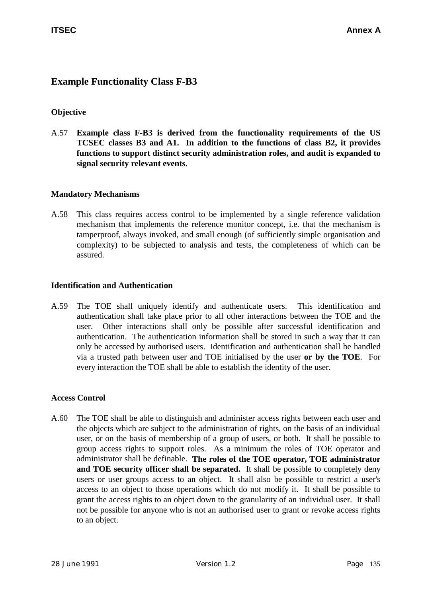# **Example Functionality Class F-B3**

# **Objective**

A.57 **Example class F-B3 is derived from the functionality requirements of the US TCSEC classes B3 and A1. In addition to the functions of class B2, it provides functions to support distinct security administration roles, and audit is expanded to signal security relevant events.**

# **Mandatory Mechanisms**

A.58 This class requires access control to be implemented by a single reference validation mechanism that implements the reference monitor concept, i.e. that the mechanism is tamperproof, always invoked, and small enough (of sufficiently simple organisation and complexity) to be subjected to analysis and tests, the completeness of which can be assured.

#### **Identification and Authentication**

A.59 The TOE shall uniquely identify and authenticate users. This identification and authentication shall take place prior to all other interactions between the TOE and the user. Other interactions shall only be possible after successful identification and authentication. The authentication information shall be stored in such a way that it can only be accessed by authorised users. Identification and authentication shall be handled via a trusted path between user and TOE initialised by the user **or by the TOE**. For every interaction the TOE shall be able to establish the identity of the user.

# **Access Control**

A.60 The TOE shall be able to distinguish and administer access rights between each user and the objects which are subject to the administration of rights, on the basis of an individual user, or on the basis of membership of a group of users, or both. It shall be possible to group access rights to support roles. As a minimum the roles of TOE operator and administrator shall be definable. **The roles of the TOE operator, TOE administrator and TOE security officer shall be separated.** It shall be possible to completely deny users or user groups access to an object. It shall also be possible to restrict a user's access to an object to those operations which do not modify it. It shall be possible to grant the access rights to an object down to the granularity of an individual user. It shall not be possible for anyone who is not an authorised user to grant or revoke access rights to an object.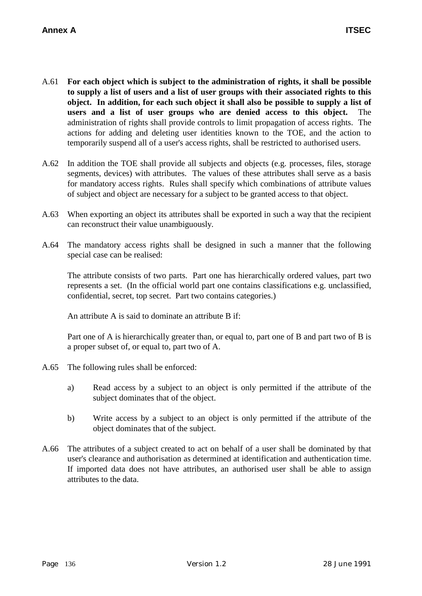- A.61 **For each object which is subject to the administration of rights, it shall be possible to supply a list of users and a list of user groups with their associated rights to this object. In addition, for each such object it shall also be possible to supply a list of users and a list of user groups who are denied access to this object.** The administration of rights shall provide controls to limit propagation of access rights. The actions for adding and deleting user identities known to the TOE, and the action to temporarily suspend all of a user's access rights, shall be restricted to authorised users.
- A.62 In addition the TOE shall provide all subjects and objects (e.g. processes, files, storage segments, devices) with attributes. The values of these attributes shall serve as a basis for mandatory access rights. Rules shall specify which combinations of attribute values of subject and object are necessary for a subject to be granted access to that object.
- A.63 When exporting an object its attributes shall be exported in such a way that the recipient can reconstruct their value unambiguously.
- A.64 The mandatory access rights shall be designed in such a manner that the following special case can be realised:

The attribute consists of two parts. Part one has hierarchically ordered values, part two represents a set. (In the official world part one contains classifications e.g. unclassified, confidential, secret, top secret. Part two contains categories.)

An attribute A is said to dominate an attribute B if:

Part one of A is hierarchically greater than, or equal to, part one of B and part two of B is a proper subset of, or equal to, part two of A.

- A.65 The following rules shall be enforced:
	- a) Read access by a subject to an object is only permitted if the attribute of the subject dominates that of the object.
	- b) Write access by a subject to an object is only permitted if the attribute of the object dominates that of the subject.
- A.66 The attributes of a subject created to act on behalf of a user shall be dominated by that user's clearance and authorisation as determined at identification and authentication time. If imported data does not have attributes, an authorised user shall be able to assign attributes to the data.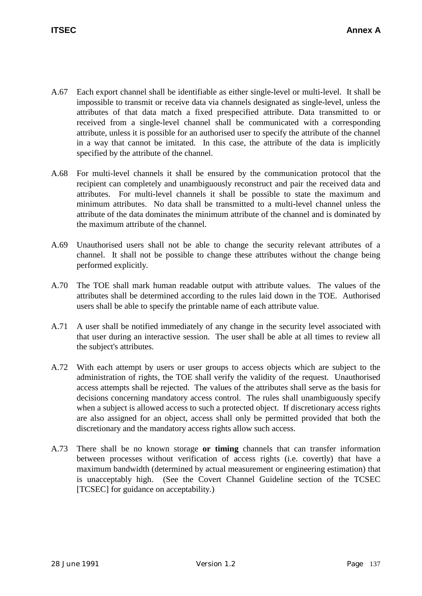- A.67 Each export channel shall be identifiable as either single-level or multi-level. It shall be impossible to transmit or receive data via channels designated as single-level, unless the attributes of that data match a fixed prespecified attribute. Data transmitted to or received from a single-level channel shall be communicated with a corresponding attribute, unless it is possible for an authorised user to specify the attribute of the channel in a way that cannot be imitated. In this case, the attribute of the data is implicitly specified by the attribute of the channel.
- A.68 For multi-level channels it shall be ensured by the communication protocol that the recipient can completely and unambiguously reconstruct and pair the received data and attributes. For multi-level channels it shall be possible to state the maximum and minimum attributes. No data shall be transmitted to a multi-level channel unless the attribute of the data dominates the minimum attribute of the channel and is dominated by the maximum attribute of the channel.
- A.69 Unauthorised users shall not be able to change the security relevant attributes of a channel. It shall not be possible to change these attributes without the change being performed explicitly.
- A.70 The TOE shall mark human readable output with attribute values. The values of the attributes shall be determined according to the rules laid down in the TOE. Authorised users shall be able to specify the printable name of each attribute value.
- A.71 A user shall be notified immediately of any change in the security level associated with that user during an interactive session. The user shall be able at all times to review all the subject's attributes.
- A.72 With each attempt by users or user groups to access objects which are subject to the administration of rights, the TOE shall verify the validity of the request. Unauthorised access attempts shall be rejected. The values of the attributes shall serve as the basis for decisions concerning mandatory access control. The rules shall unambiguously specify when a subject is allowed access to such a protected object. If discretionary access rights are also assigned for an object, access shall only be permitted provided that both the discretionary and the mandatory access rights allow such access.
- A.73 There shall be no known storage **or timing** channels that can transfer information between processes without verification of access rights (i.e. covertly) that have a maximum bandwidth (determined by actual measurement or engineering estimation) that is unacceptably high. (See the Covert Channel Guideline section of the TCSEC [TCSEC] for guidance on acceptability.)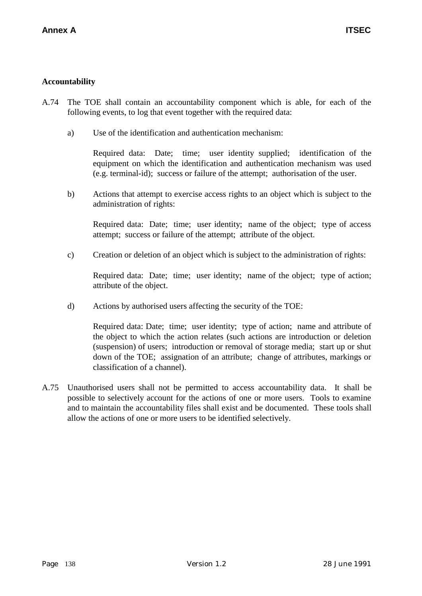# **Accountability**

- A.74 The TOE shall contain an accountability component which is able, for each of the following events, to log that event together with the required data:
	- a) Use of the identification and authentication mechanism:

Required data: Date; time; user identity supplied; identification of the equipment on which the identification and authentication mechanism was used (e.g. terminal-id); success or failure of the attempt; authorisation of the user.

b) Actions that attempt to exercise access rights to an object which is subject to the administration of rights:

Required data: Date; time; user identity; name of the object; type of access attempt; success or failure of the attempt; attribute of the object.

c) Creation or deletion of an object which is subject to the administration of rights:

Required data: Date; time; user identity; name of the object; type of action; attribute of the object.

d) Actions by authorised users affecting the security of the TOE:

Required data: Date; time; user identity; type of action; name and attribute of the object to which the action relates (such actions are introduction or deletion (suspension) of users; introduction or removal of storage media; start up or shut down of the TOE; assignation of an attribute; change of attributes, markings or classification of a channel).

A.75 Unauthorised users shall not be permitted to access accountability data. It shall be possible to selectively account for the actions of one or more users. Tools to examine and to maintain the accountability files shall exist and be documented. These tools shall allow the actions of one or more users to be identified selectively.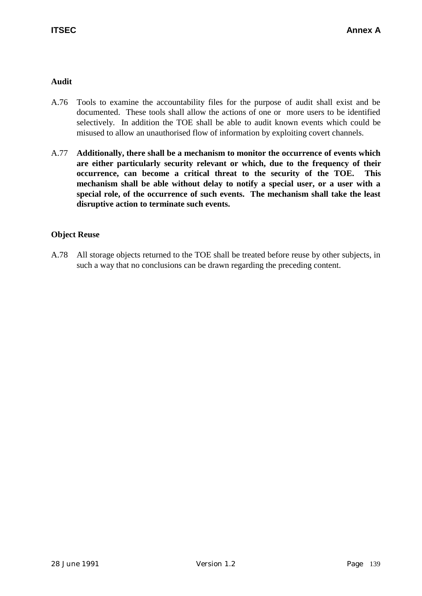# **Audit**

- A.76 Tools to examine the accountability files for the purpose of audit shall exist and be documented. These tools shall allow the actions of one or more users to be identified selectively. In addition the TOE shall be able to audit known events which could be misused to allow an unauthorised flow of information by exploiting covert channels.
- A.77 **Additionally, there shall be a mechanism to monitor the occurrence of events which are either particularly security relevant or which, due to the frequency of their occurrence, can become a critical threat to the security of the TOE. This mechanism shall be able without delay to notify a special user, or a user with a special role, of the occurrence of such events. The mechanism shall take the least disruptive action to terminate such events.**

# **Object Reuse**

A.78 All storage objects returned to the TOE shall be treated before reuse by other subjects, in such a way that no conclusions can be drawn regarding the preceding content.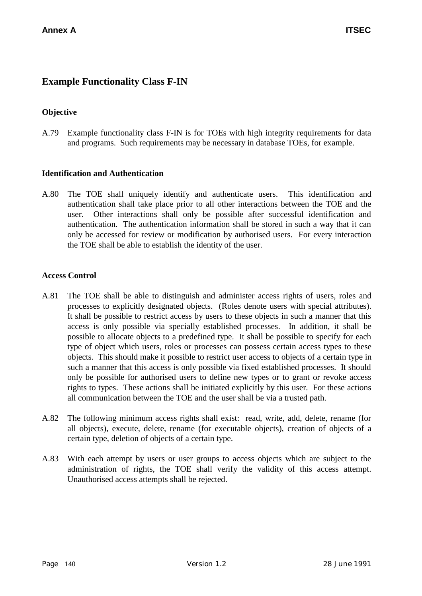# **Example Functionality Class F-IN**

# **Objective**

A.79 Example functionality class F-IN is for TOEs with high integrity requirements for data and programs. Such requirements may be necessary in database TOEs, for example.

# **Identification and Authentication**

A.80 The TOE shall uniquely identify and authenticate users. This identification and authentication shall take place prior to all other interactions between the TOE and the user. Other interactions shall only be possible after successful identification and authentication. The authentication information shall be stored in such a way that it can only be accessed for review or modification by authorised users. For every interaction the TOE shall be able to establish the identity of the user.

#### **Access Control**

- A.81 The TOE shall be able to distinguish and administer access rights of users, roles and processes to explicitly designated objects. (Roles denote users with special attributes). It shall be possible to restrict access by users to these objects in such a manner that this access is only possible via specially established processes. In addition, it shall be possible to allocate objects to a predefined type. It shall be possible to specify for each type of object which users, roles or processes can possess certain access types to these objects. This should make it possible to restrict user access to objects of a certain type in such a manner that this access is only possible via fixed established processes. It should only be possible for authorised users to define new types or to grant or revoke access rights to types. These actions shall be initiated explicitly by this user. For these actions all communication between the TOE and the user shall be via a trusted path.
- A.82 The following minimum access rights shall exist: read, write, add, delete, rename (for all objects), execute, delete, rename (for executable objects), creation of objects of a certain type, deletion of objects of a certain type.
- A.83 With each attempt by users or user groups to access objects which are subject to the administration of rights, the TOE shall verify the validity of this access attempt. Unauthorised access attempts shall be rejected.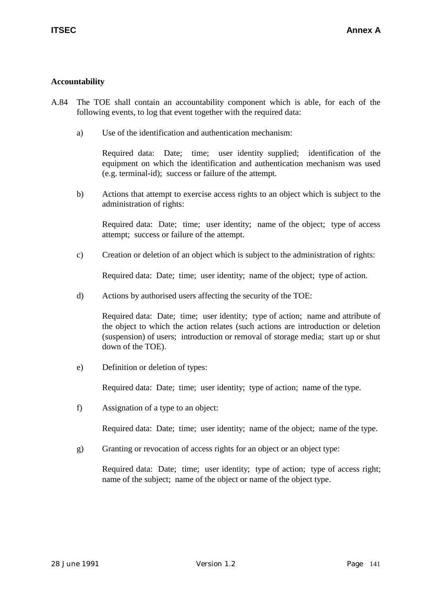# **Accountability**

- A.84 The TOE shall contain an accountability component which is able, for each of the following events, to log that event together with the required data:
	- a) Use of the identification and authentication mechanism:

Required data: Date; time; user identity supplied; identification of the equipment on which the identification and authentication mechanism was used (e.g. terminal-id); success or failure of the attempt.

b) Actions that attempt to exercise access rights to an object which is subject to the administration of rights:

Required data: Date; time; user identity; name of the object; type of access attempt; success or failure of the attempt.

c) Creation or deletion of an object which is subject to the administration of rights:

Required data: Date; time; user identity; name of the object; type of action.

d) Actions by authorised users affecting the security of the TOE:

Required data: Date; time; user identity; type of action; name and attribute of the object to which the action relates (such actions are introduction or deletion (suspension) of users; introduction or removal of storage media; start up or shut down of the TOE).

e) Definition or deletion of types:

Required data: Date; time; user identity; type of action; name of the type.

f) Assignation of a type to an object:

Required data: Date; time; user identity; name of the object; name of the type.

g) Granting or revocation of access rights for an object or an object type:

Required data: Date; time; user identity; type of action; type of access right; name of the subject; name of the object or name of the object type.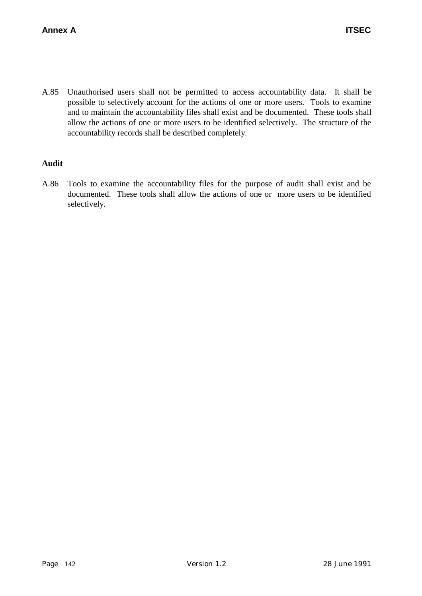A.85 Unauthorised users shall not be permitted to access accountability data. It shall be possible to selectively account for the actions of one or more users. Tools to examine and to maintain the accountability files shall exist and be documented. These tools shall allow the actions of one or more users to be identified selectively. The structure of the accountability records shall be described completely.

# **Audit**

A.86 Tools to examine the accountability files for the purpose of audit shall exist and be documented. These tools shall allow the actions of one or more users to be identified selectively.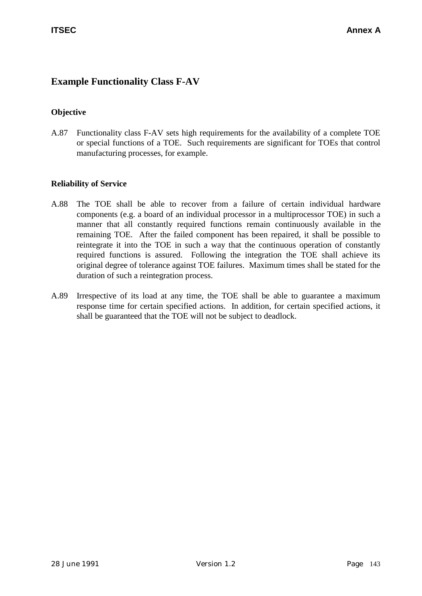# **Example Functionality Class F-AV**

# **Objective**

A.87 Functionality class F-AV sets high requirements for the availability of a complete TOE or special functions of a TOE. Such requirements are significant for TOEs that control manufacturing processes, for example.

# **Reliability of Service**

- A.88 The TOE shall be able to recover from a failure of certain individual hardware components (e.g. a board of an individual processor in a multiprocessor TOE) in such a manner that all constantly required functions remain continuously available in the remaining TOE. After the failed component has been repaired, it shall be possible to reintegrate it into the TOE in such a way that the continuous operation of constantly required functions is assured. Following the integration the TOE shall achieve its original degree of tolerance against TOE failures. Maximum times shall be stated for the duration of such a reintegration process.
- A.89 Irrespective of its load at any time, the TOE shall be able to guarantee a maximum response time for certain specified actions. In addition, for certain specified actions, it shall be guaranteed that the TOE will not be subject to deadlock.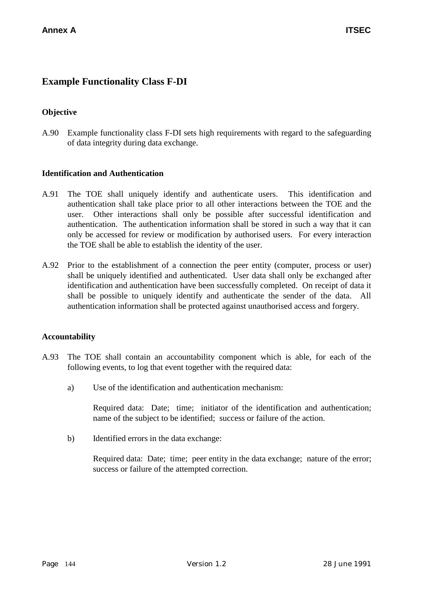# **Example Functionality Class F-DI**

# **Objective**

A.90 Example functionality class F-DI sets high requirements with regard to the safeguarding of data integrity during data exchange.

# **Identification and Authentication**

- A.91 The TOE shall uniquely identify and authenticate users. This identification and authentication shall take place prior to all other interactions between the TOE and the user. Other interactions shall only be possible after successful identification and authentication. The authentication information shall be stored in such a way that it can only be accessed for review or modification by authorised users. For every interaction the TOE shall be able to establish the identity of the user.
- A.92 Prior to the establishment of a connection the peer entity (computer, process or user) shall be uniquely identified and authenticated. User data shall only be exchanged after identification and authentication have been successfully completed. On receipt of data it shall be possible to uniquely identify and authenticate the sender of the data. All authentication information shall be protected against unauthorised access and forgery.

# **Accountability**

- A.93 The TOE shall contain an accountability component which is able, for each of the following events, to log that event together with the required data:
	- a) Use of the identification and authentication mechanism:

Required data: Date; time; initiator of the identification and authentication; name of the subject to be identified; success or failure of the action.

b) Identified errors in the data exchange:

Required data: Date; time; peer entity in the data exchange; nature of the error; success or failure of the attempted correction.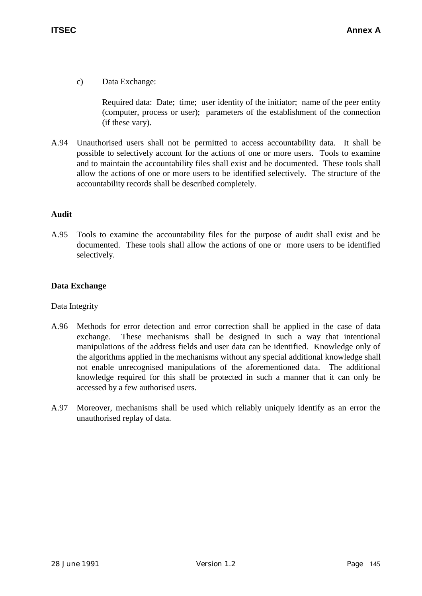c) Data Exchange:

Required data: Date; time; user identity of the initiator; name of the peer entity (computer, process or user); parameters of the establishment of the connection (if these vary).

A.94 Unauthorised users shall not be permitted to access accountability data. It shall be possible to selectively account for the actions of one or more users. Tools to examine and to maintain the accountability files shall exist and be documented. These tools shall allow the actions of one or more users to be identified selectively. The structure of the accountability records shall be described completely.

# **Audit**

A.95 Tools to examine the accountability files for the purpose of audit shall exist and be documented. These tools shall allow the actions of one or more users to be identified selectively.

# **Data Exchange**

# Data Integrity

- A.96 Methods for error detection and error correction shall be applied in the case of data exchange. These mechanisms shall be designed in such a way that intentional manipulations of the address fields and user data can be identified. Knowledge only of the algorithms applied in the mechanisms without any special additional knowledge shall not enable unrecognised manipulations of the aforementioned data. The additional knowledge required for this shall be protected in such a manner that it can only be accessed by a few authorised users.
- A.97 Moreover, mechanisms shall be used which reliably uniquely identify as an error the unauthorised replay of data.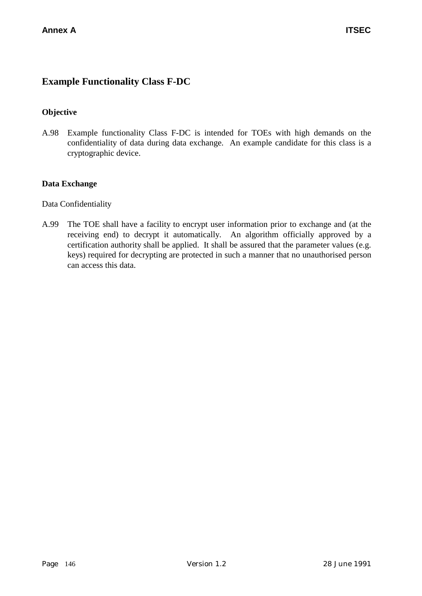# **Example Functionality Class F-DC**

# **Objective**

A.98 Example functionality Class F-DC is intended for TOEs with high demands on the confidentiality of data during data exchange. An example candidate for this class is a cryptographic device.

# **Data Exchange**

Data Confidentiality

A.99 The TOE shall have a facility to encrypt user information prior to exchange and (at the receiving end) to decrypt it automatically. An algorithm officially approved by a certification authority shall be applied. It shall be assured that the parameter values (e.g. keys) required for decrypting are protected in such a manner that no unauthorised person can access this data.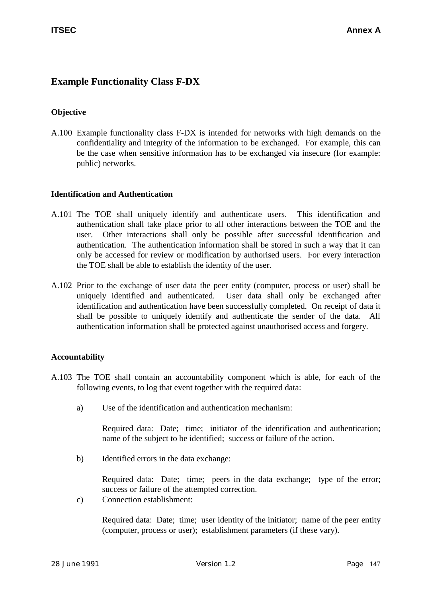# **Example Functionality Class F-DX**

# **Objective**

A.100 Example functionality class F-DX is intended for networks with high demands on the confidentiality and integrity of the information to be exchanged. For example, this can be the case when sensitive information has to be exchanged via insecure (for example: public) networks.

# **Identification and Authentication**

- A.101 The TOE shall uniquely identify and authenticate users. This identification and authentication shall take place prior to all other interactions between the TOE and the user. Other interactions shall only be possible after successful identification and authentication. The authentication information shall be stored in such a way that it can only be accessed for review or modification by authorised users. For every interaction the TOE shall be able to establish the identity of the user.
- A.102 Prior to the exchange of user data the peer entity (computer, process or user) shall be uniquely identified and authenticated. User data shall only be exchanged after identification and authentication have been successfully completed. On receipt of data it shall be possible to uniquely identify and authenticate the sender of the data. All authentication information shall be protected against unauthorised access and forgery.

# **Accountability**

- A.103 The TOE shall contain an accountability component which is able, for each of the following events, to log that event together with the required data:
	- a) Use of the identification and authentication mechanism:

Required data: Date; time; initiator of the identification and authentication; name of the subject to be identified; success or failure of the action.

b) Identified errors in the data exchange:

Required data: Date; time; peers in the data exchange; type of the error; success or failure of the attempted correction.

c) Connection establishment:

Required data: Date; time; user identity of the initiator; name of the peer entity (computer, process or user); establishment parameters (if these vary).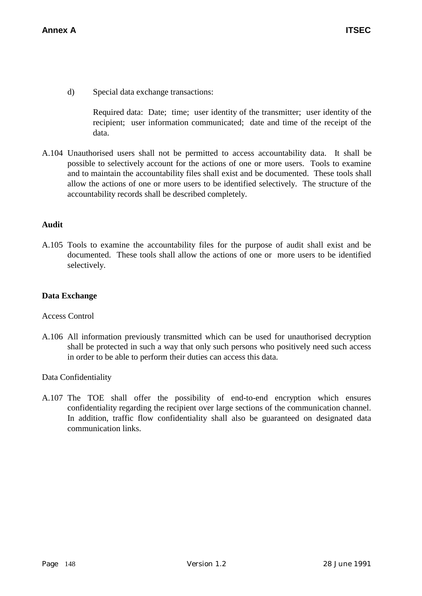d) Special data exchange transactions:

Required data: Date; time; user identity of the transmitter; user identity of the recipient; user information communicated; date and time of the receipt of the data.

A.104 Unauthorised users shall not be permitted to access accountability data. It shall be possible to selectively account for the actions of one or more users. Tools to examine and to maintain the accountability files shall exist and be documented. These tools shall allow the actions of one or more users to be identified selectively. The structure of the accountability records shall be described completely.

# **Audit**

A.105 Tools to examine the accountability files for the purpose of audit shall exist and be documented. These tools shall allow the actions of one or more users to be identified selectively.

### **Data Exchange**

#### Access Control

A.106 All information previously transmitted which can be used for unauthorised decryption shall be protected in such a way that only such persons who positively need such access in order to be able to perform their duties can access this data.

Data Confidentiality

A.107 The TOE shall offer the possibility of end-to-end encryption which ensures confidentiality regarding the recipient over large sections of the communication channel. In addition, traffic flow confidentiality shall also be guaranteed on designated data communication links.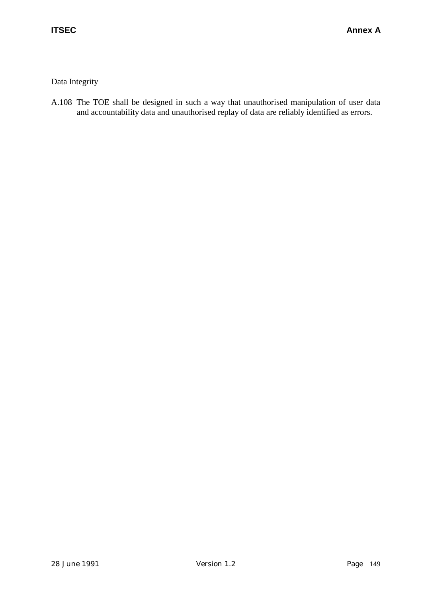# Data Integrity

A.108 The TOE shall be designed in such a way that unauthorised manipulation of user data and accountability data and unauthorised replay of data are reliably identified as errors.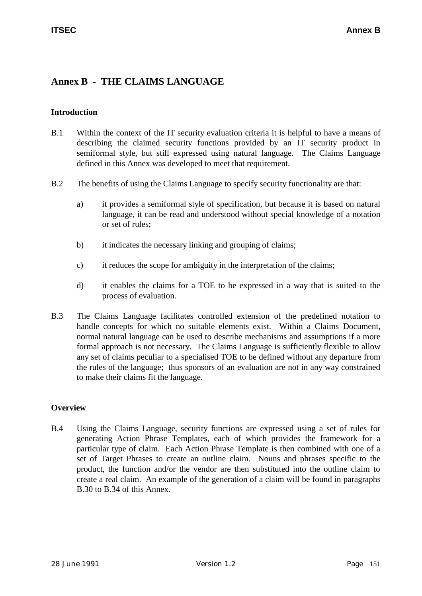# **Annex B - THE CLAIMS LANGUAGE**

#### **Introduction**

- B.1 Within the context of the IT security evaluation criteria it is helpful to have a means of describing the claimed security functions provided by an IT security product in semiformal style, but still expressed using natural language. The Claims Language defined in this Annex was developed to meet that requirement.
- B.2 The benefits of using the Claims Language to specify security functionality are that:
	- a) it provides a semiformal style of specification, but because it is based on natural language, it can be read and understood without special knowledge of a notation or set of rules;
	- b) it indicates the necessary linking and grouping of claims;
	- c) it reduces the scope for ambiguity in the interpretation of the claims;
	- d) it enables the claims for a TOE to be expressed in a way that is suited to the process of evaluation.
- B.3 The Claims Language facilitates controlled extension of the predefined notation to handle concepts for which no suitable elements exist. Within a Claims Document, normal natural language can be used to describe mechanisms and assumptions if a more formal approach is not necessary. The Claims Language is sufficiently flexible to allow any set of claims peculiar to a specialised TOE to be defined without any departure from the rules of the language; thus sponsors of an evaluation are not in any way constrained to make their claims fit the language.

# **Overview**

B.4 Using the Claims Language, security functions are expressed using a set of rules for generating Action Phrase Templates, each of which provides the framework for a particular type of claim. Each Action Phrase Template is then combined with one of a set of Target Phrases to create an outline claim. Nouns and phrases specific to the product, the function and/or the vendor are then substituted into the outline claim to create a real claim. An example of the generation of a claim will be found in paragraphs B.30 to B.34 of this Annex.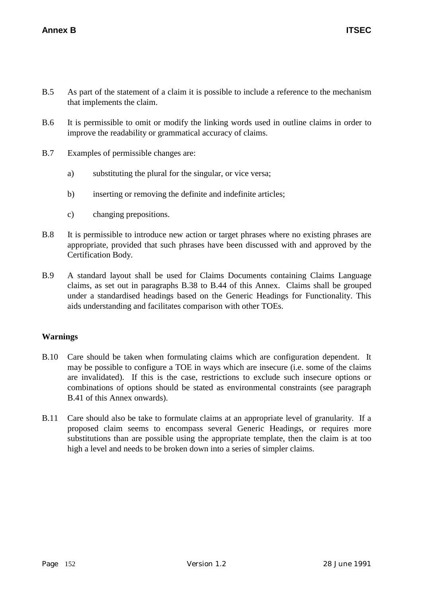- B.5 As part of the statement of a claim it is possible to include a reference to the mechanism that implements the claim.
- B.6 It is permissible to omit or modify the linking words used in outline claims in order to improve the readability or grammatical accuracy of claims.
- B.7 Examples of permissible changes are:
	- a) substituting the plural for the singular, or vice versa;
	- b) inserting or removing the definite and indefinite articles;
	- c) changing prepositions.
- B.8 It is permissible to introduce new action or target phrases where no existing phrases are appropriate, provided that such phrases have been discussed with and approved by the Certification Body.
- B.9 A standard layout shall be used for Claims Documents containing Claims Language claims, as set out in paragraphs B.38 to B.44 of this Annex. Claims shall be grouped under a standardised headings based on the Generic Headings for Functionality. This aids understanding and facilitates comparison with other TOEs.

# **Warnings**

- B.10 Care should be taken when formulating claims which are configuration dependent. It may be possible to configure a TOE in ways which are insecure (i.e. some of the claims are invalidated). If this is the case, restrictions to exclude such insecure options or combinations of options should be stated as environmental constraints (see paragraph B.41 of this Annex onwards).
- B.11 Care should also be take to formulate claims at an appropriate level of granularity. If a proposed claim seems to encompass several Generic Headings, or requires more substitutions than are possible using the appropriate template, then the claim is at too high a level and needs to be broken down into a series of simpler claims.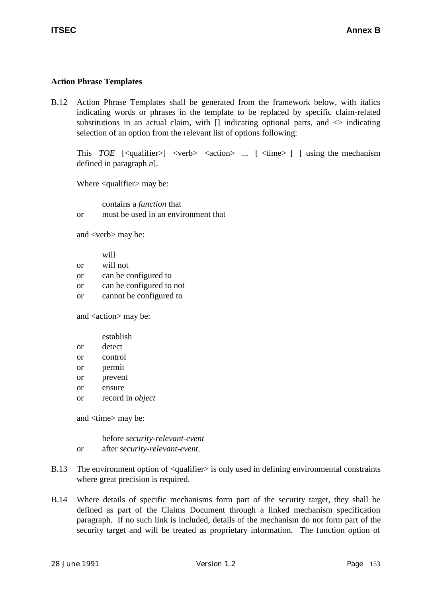### **Action Phrase Templates**

B.12 Action Phrase Templates shall be generated from the framework below, with italics indicating words or phrases in the template to be replaced by specific claim-related substitutions in an actual claim, with  $\Box$  indicating optional parts, and  $\Diamond$  indicating selection of an option from the relevant list of options following:

This *TOE*  $\lceil$  <qualifier> $\rceil$  <verb> <action> ...  $\lceil$  <time> $\rceil$   $\lceil$  using the mechanism defined in paragraph *n*].

Where <qualifier> may be:

contains a *function* that or must be used in an environment that

and <verb> may be:

|           | will                     |
|-----------|--------------------------|
| <b>or</b> | will not                 |
| <b>or</b> | can be configured to     |
| <b>or</b> | can be configured to not |
| <b>or</b> | cannot be configured to  |

and <action> may be:

|    | establish               |
|----|-------------------------|
| or | detect                  |
| or | control                 |
| or | permit                  |
| or | prevent                 |
| or | ensure                  |
| or | record in <i>object</i> |

and <time> may be:

before *security-relevant-event* or after *security-relevant-event*.

- B.13 The environment option of  $\leq$  qualifier  $>$  is only used in defining environmental constraints where great precision is required.
- B.14 Where details of specific mechanisms form part of the security target, they shall be defined as part of the Claims Document through a linked mechanism specification paragraph. If no such link is included, details of the mechanism do not form part of the security target and will be treated as proprietary information. The function option of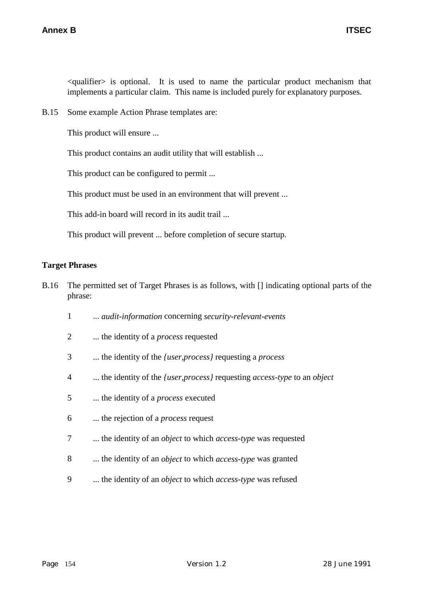$\alpha$   $\alpha$   $\beta$  is optional. It is used to name the particular product mechanism that implements a particular claim. This name is included purely for explanatory purposes.

B.15 Some example Action Phrase templates are:

This product will ensure ...

This product contains an audit utility that will establish ...

This product can be configured to permit ...

This product must be used in an environment that will prevent ...

This add-in board will record in its audit trail ...

This product will prevent ... before completion of secure startup.

#### **Target Phrases**

- B.16 The permitted set of Target Phrases is as follows, with [] indicating optional parts of the phrase:
	- 1 ... *audit-information* concerning *security-relevant-events*
	- 2 ... the identity of a *process* requested
	- 3 ... the identity of the *{user,process}* requesting a *process*
	- 4 ... the identity of the *{user,process}* requesting *access-type* to an *object*
	- 5 ... the identity of a *process* executed
	- 6 ... the rejection of a *process* request
	- 7 ... the identity of an *object* to which *access-type* was requested
	- 8 ... the identity of an *object* to which *access-type* was granted
	- 9 ... the identity of an *object* to which *access-type* was refused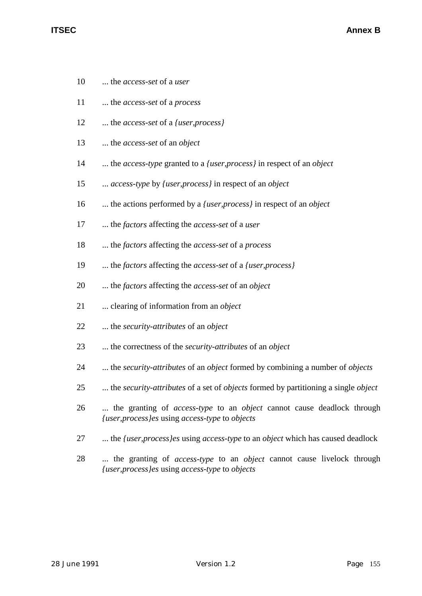- 10 ... the *access-set* of a *user*
- 11 ... the *access-set* of a *process*
- 12 ... the *access-set* of a *{user,process}*
- 13 ... the *access-set* of an *object*
- 14 ... the *access-type* granted to a *{user,process}* in respect of an *object*
- 15 ... *access-type* by *{user,process}* in respect of an *object*
- 16 ... the actions performed by a *{user,process}* in respect of an *object*
- 17 ... the *factors* affecting the *access-set* of a *user*
- 18 ... the *factors* affecting the *access-set* of a *process*
- 19 ... the *factors* affecting the *access-set* of a *{user,process}*
- 20 ... the *factors* affecting the *access-set* of an *object*
- 21 ... clearing of information from an *object*
- 22 ... the *security-attributes* of an *object*
- 23 ... the correctness of the *security-attributes* of an *object*
- 24 ... the *security-attributes* of an *object* formed by combining a number of *objects*
- 25 ... the *security-attributes* of a set of *objects* formed by partitioning a single *object*
- 26 ... the granting of *access-type* to an *object* cannot cause deadlock through *{user,process}es* using *access-type* to *objects*
- 27 ... the *{user,process}es* using *access-type* to an *object* which has caused deadlock
- 28 ... the granting of *access-type* to an *object* cannot cause livelock through *{user,process}es* using *access-type* to *objects*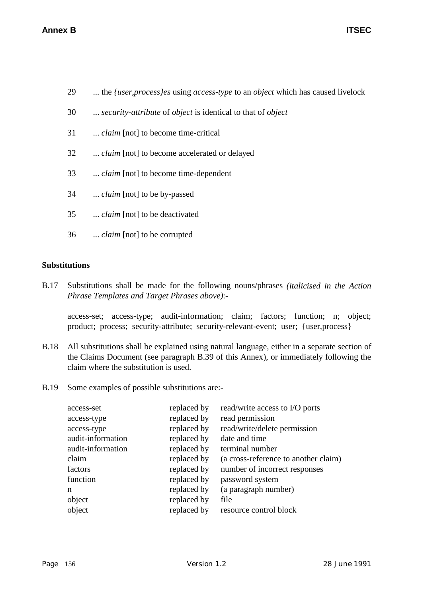- 29 ... the *{user,process}es* using *access-type* to an *object* which has caused livelock
- 30 ... *security-attribute* of *object* is identical to that of *object*
- 31 ... *claim* [not] to become time-critical
- 32 ... *claim* [not] to become accelerated or delayed
- 33 ... *claim* [not] to become time-dependent
- 34 ... *claim* [not] to be by-passed
- 35 ... *claim* [not] to be deactivated
- 36 ... *claim* [not] to be corrupted

# **Substitutions**

B.17 Substitutions shall be made for the following nouns/phrases *(italicised in the Action Phrase Templates and Target Phrases above)*:-

access-set; access-type; audit-information; claim; factors; function; n; object; product; process; security-attribute; security-relevant-event; user; {user,process}

- B.18 All substitutions shall be explained using natural language, either in a separate section of the Claims Document (see paragraph B.39 of this Annex), or immediately following the claim where the substitution is used.
- B.19 Some examples of possible substitutions are:-

| access-set        | replaced by | read/write access to I/O ports       |
|-------------------|-------------|--------------------------------------|
| access-type       | replaced by | read permission                      |
| access-type       | replaced by | read/write/delete permission         |
| audit-information | replaced by | date and time                        |
| audit-information | replaced by | terminal number                      |
| claim             | replaced by | (a cross-reference to another claim) |
| factors           | replaced by | number of incorrect responses        |
| function          | replaced by | password system                      |
| n                 | replaced by | (a paragraph number)                 |
| object            | replaced by | file                                 |
| object            | replaced by | resource control block               |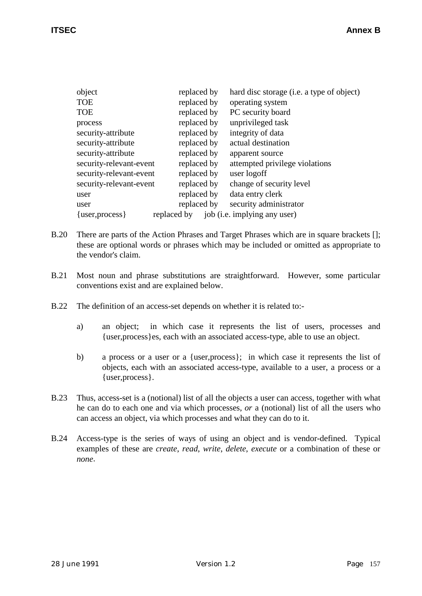| object                  | replaced by |                              | hard disc storage (i.e. a type of object) |
|-------------------------|-------------|------------------------------|-------------------------------------------|
| <b>TOE</b>              | replaced by |                              | operating system                          |
| <b>TOE</b>              | replaced by |                              | PC security board                         |
| process                 | replaced by |                              | unprivileged task                         |
| security-attribute      | replaced by |                              | integrity of data                         |
| security-attribute      | replaced by |                              | actual destination                        |
| security-attribute      | replaced by |                              | apparent source                           |
| security-relevant-event | replaced by |                              | attempted privilege violations            |
| security-relevant-event | replaced by | user logoff                  |                                           |
| security-relevant-event | replaced by |                              | change of security level                  |
| user                    | replaced by |                              | data entry clerk                          |
| user                    | replaced by |                              | security administrator                    |
| $\{user, process\}$     | replaced by | job (i.e. implying any user) |                                           |

- B.20 There are parts of the Action Phrases and Target Phrases which are in square brackets []; these are optional words or phrases which may be included or omitted as appropriate to the vendor's claim.
- B.21 Most noun and phrase substitutions are straightforward. However, some particular conventions exist and are explained below.
- B.22 The definition of an access-set depends on whether it is related to:
	- a) an object; in which case it represents the list of users, processes and {user,process}es, each with an associated access-type, able to use an object.
	- b) a process or a user or a {user,process}; in which case it represents the list of objects, each with an associated access-type, available to a user, a process or a {user,process}.
- B.23 Thus, access-set is a (notional) list of all the objects a user can access, together with what he can do to each one and via which processes, *or* a (notional) list of all the users who can access an object, via which processes and what they can do to it.
- B.24 Access-type is the series of ways of using an object and is vendor-defined. Typical examples of these are *create*, *read*, *write*, *delete*, *execute* or a combination of these or *none*.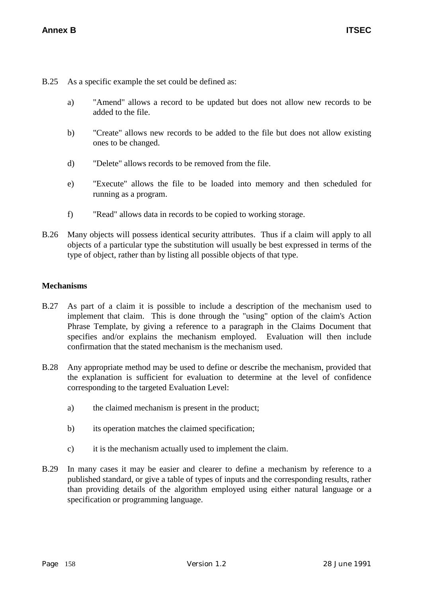B.25 As a specific example the set could be defined as:

- a) "Amend" allows a record to be updated but does not allow new records to be added to the file.
- b) "Create" allows new records to be added to the file but does not allow existing ones to be changed.
- d) "Delete" allows records to be removed from the file.
- e) "Execute" allows the file to be loaded into memory and then scheduled for running as a program.
- f) "Read" allows data in records to be copied to working storage.
- B.26 Many objects will possess identical security attributes. Thus if a claim will apply to all objects of a particular type the substitution will usually be best expressed in terms of the type of object, rather than by listing all possible objects of that type.

#### **Mechanisms**

- B.27 As part of a claim it is possible to include a description of the mechanism used to implement that claim. This is done through the "using" option of the claim's Action Phrase Template, by giving a reference to a paragraph in the Claims Document that specifies and/or explains the mechanism employed. Evaluation will then include confirmation that the stated mechanism is the mechanism used.
- B.28 Any appropriate method may be used to define or describe the mechanism, provided that the explanation is sufficient for evaluation to determine at the level of confidence corresponding to the targeted Evaluation Level:
	- a) the claimed mechanism is present in the product;
	- b) its operation matches the claimed specification;
	- c) it is the mechanism actually used to implement the claim.
- B.29 In many cases it may be easier and clearer to define a mechanism by reference to a published standard, or give a table of types of inputs and the corresponding results, rather than providing details of the algorithm employed using either natural language or a specification or programming language.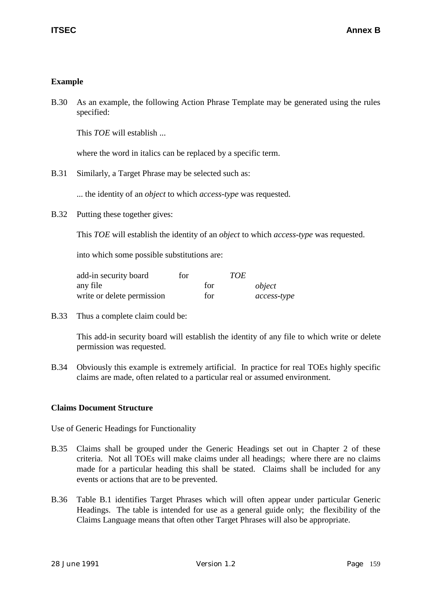# **Example**

B.30 As an example, the following Action Phrase Template may be generated using the rules specified:

This *TOE* will establish ...

where the word in italics can be replaced by a specific term.

B.31 Similarly, a Target Phrase may be selected such as:

... the identity of an *object* to which *access-type* was requested.

B.32 Putting these together gives:

This *TOE* will establish the identity of an *object* to which *access-type* was requested.

into which some possible substitutions are:

| add-in security board      | for |     | <b>TOE</b> |             |
|----------------------------|-----|-----|------------|-------------|
| any file                   |     | for |            | object      |
| write or delete permission |     | for |            | access-type |

B.33 Thus a complete claim could be:

This add-in security board will establish the identity of any file to which write or delete permission was requested.

B.34 Obviously this example is extremely artificial. In practice for real TOEs highly specific claims are made, often related to a particular real or assumed environment.

# **Claims Document Structure**

Use of Generic Headings for Functionality

- B.35 Claims shall be grouped under the Generic Headings set out in Chapter 2 of these criteria. Not all TOEs will make claims under all headings; where there are no claims made for a particular heading this shall be stated. Claims shall be included for any events or actions that are to be prevented.
- B.36 Table B.1 identifies Target Phrases which will often appear under particular Generic Headings. The table is intended for use as a general guide only; the flexibility of the Claims Language means that often other Target Phrases will also be appropriate.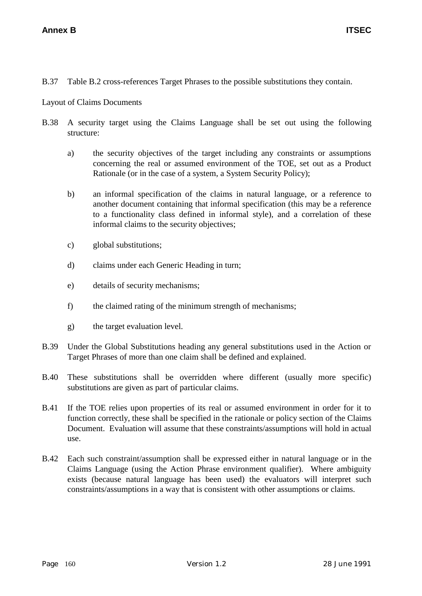B.37 Table B.2 cross-references Target Phrases to the possible substitutions they contain.

Layout of Claims Documents

- B.38 A security target using the Claims Language shall be set out using the following structure:
	- a) the security objectives of the target including any constraints or assumptions concerning the real or assumed environment of the TOE, set out as a Product Rationale (or in the case of a system, a System Security Policy);
	- b) an informal specification of the claims in natural language, or a reference to another document containing that informal specification (this may be a reference to a functionality class defined in informal style), and a correlation of these informal claims to the security objectives;
	- c) global substitutions;
	- d) claims under each Generic Heading in turn;
	- e) details of security mechanisms;
	- f) the claimed rating of the minimum strength of mechanisms;
	- g) the target evaluation level.
- B.39 Under the Global Substitutions heading any general substitutions used in the Action or Target Phrases of more than one claim shall be defined and explained.
- B.40 These substitutions shall be overridden where different (usually more specific) substitutions are given as part of particular claims.
- B.41 If the TOE relies upon properties of its real or assumed environment in order for it to function correctly, these shall be specified in the rationale or policy section of the Claims Document. Evaluation will assume that these constraints/assumptions will hold in actual use.
- B.42 Each such constraint/assumption shall be expressed either in natural language or in the Claims Language (using the Action Phrase environment qualifier). Where ambiguity exists (because natural language has been used) the evaluators will interpret such constraints/assumptions in a way that is consistent with other assumptions or claims.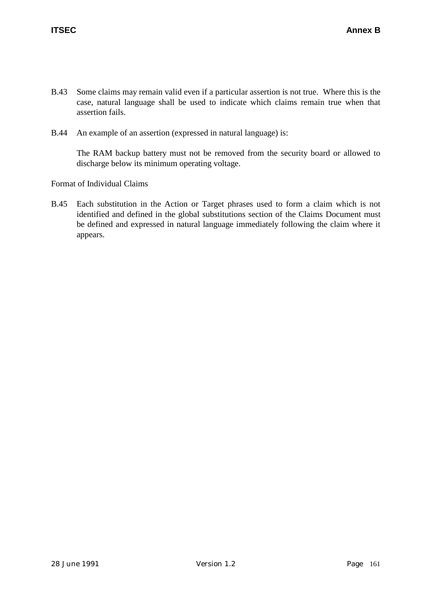- B.43 Some claims may remain valid even if a particular assertion is not true. Where this is the case, natural language shall be used to indicate which claims remain true when that assertion fails.
- B.44 An example of an assertion (expressed in natural language) is:

The RAM backup battery must not be removed from the security board or allowed to discharge below its minimum operating voltage.

Format of Individual Claims

B.45 Each substitution in the Action or Target phrases used to form a claim which is not identified and defined in the global substitutions section of the Claims Document must be defined and expressed in natural language immediately following the claim where it appears.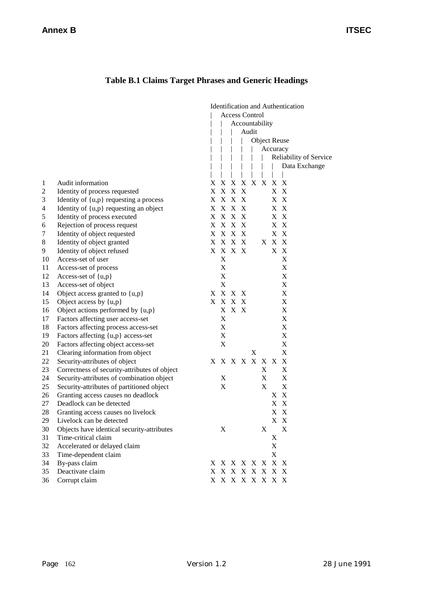# **Table B.1 Claims Target Phrases and Generic Headings**

|                |                                              | <b>Identification and Authentication</b><br><b>Access Control</b><br>Accountability<br>Audit |                           |       |  |                 |   |             |                           |
|----------------|----------------------------------------------|----------------------------------------------------------------------------------------------|---------------------------|-------|--|-----------------|---|-------------|---------------------------|
|                |                                              |                                                                                              |                           |       |  |                 |   |             |                           |
|                |                                              |                                                                                              |                           |       |  |                 |   |             |                           |
|                |                                              |                                                                                              |                           |       |  |                 |   |             | <b>Object Reuse</b>       |
|                |                                              |                                                                                              |                           |       |  |                 |   |             | Accuracy                  |
|                |                                              |                                                                                              |                           |       |  |                 |   |             | Reliability of Service    |
|                |                                              |                                                                                              |                           |       |  |                 |   |             | Data Exchange             |
|                |                                              |                                                                                              |                           |       |  |                 |   |             |                           |
| 1              | Audit information                            |                                                                                              | X X X                     |       |  | X X X X X       |   |             |                           |
| $\overline{c}$ | Identity of process requested                |                                                                                              | X X X X                   |       |  |                 |   |             | X X                       |
| 3              | Identity of $\{u,p\}$ requesting a process   |                                                                                              | X X X X                   |       |  |                 |   |             | X X                       |
| 4              | Identity of {u,p} requesting an object       |                                                                                              | X X X X                   |       |  |                 |   |             | X X                       |
| 5              | Identity of process executed                 |                                                                                              | X X X X                   |       |  |                 |   |             | X X                       |
| 6              | Rejection of process request                 |                                                                                              | X X X X                   |       |  |                 |   |             | X X                       |
| 7              | Identity of object requested                 |                                                                                              | X X X X                   |       |  |                 |   |             | X X                       |
| 8              | Identity of object granted                   |                                                                                              | X X X X                   |       |  |                 |   | X X X       |                           |
| 9              | Identity of object refused                   |                                                                                              | X X X X                   |       |  |                 |   |             | X X                       |
| 10             | Access-set of user                           |                                                                                              | $\mathbf X$               |       |  |                 |   |             | X                         |
| 11             | Access-set of process                        |                                                                                              | $\mathbf X$               |       |  |                 |   |             | X                         |
| 12             | Access-set of {u,p}                          |                                                                                              | $\mathbf X$               |       |  |                 |   |             | X                         |
| 13             | Access-set of object                         |                                                                                              | $\boldsymbol{\mathrm{X}}$ |       |  |                 |   |             | X                         |
| 14             | Object access granted to {u,p}               |                                                                                              | X X X X                   |       |  |                 |   |             | X                         |
| 15             | Object access by {u,p}                       |                                                                                              | X X X X                   |       |  |                 |   |             | X                         |
| 16             | Object actions performed by {u,p}            |                                                                                              |                           | X X X |  |                 |   |             | X                         |
| 17             | Factors affecting user access-set            |                                                                                              | $\mathbf X$               |       |  |                 |   |             | X                         |
| 18             | Factors affecting process access-set         |                                                                                              | $\mathbf X$               |       |  |                 |   |             | X                         |
| 19             | Factors affecting {u,p} access-set           |                                                                                              | $\mathbf X$               |       |  |                 |   |             | X                         |
| 20             | Factors affecting object access-set          |                                                                                              | $\mathbf X$               |       |  |                 |   |             | X                         |
| 21             | Clearing information from object             |                                                                                              |                           |       |  | X               |   |             | X                         |
| 22             | Security-attributes of object                |                                                                                              |                           |       |  | X X X X X X X   |   |             | X                         |
| 23             | Correctness of security-attributes of object |                                                                                              |                           |       |  |                 | X |             | X                         |
| 24             | Security-attributes of combination object    |                                                                                              | X                         |       |  |                 | X |             | X                         |
| 25             | Security-attributes of partitioned object    |                                                                                              | $\mathbf X$               |       |  |                 | X |             | X                         |
| 26             | Granting access causes no deadlock           |                                                                                              |                           |       |  |                 |   | X           | $\mathbf{X}$              |
| 27             | Deadlock can be detected                     |                                                                                              |                           |       |  |                 |   | X           | $\boldsymbol{\mathrm{X}}$ |
| 28             | Granting access causes no livelock           |                                                                                              |                           |       |  |                 |   |             | X X                       |
| 29             | Livelock can be detected                     |                                                                                              |                           |       |  |                 |   |             | X X                       |
| 30             | Objects have identical security-attributes   |                                                                                              | X                         |       |  |                 | X |             | X                         |
| 31             | Time-critical claim                          |                                                                                              |                           |       |  |                 |   | $\mathbf X$ |                           |
| 32             | Accelerated or delayed claim                 |                                                                                              |                           |       |  |                 |   | X           |                           |
| 33             | Time-dependent claim                         |                                                                                              |                           |       |  |                 |   | X           |                           |
| 34             | By-pass claim                                |                                                                                              |                           |       |  | X X X X X X X X |   |             |                           |
| 35             | Deactivate claim                             |                                                                                              |                           |       |  | X X X X X X X X |   |             |                           |
| 36             | Corrupt claim                                |                                                                                              |                           |       |  | X X X X X X X X |   |             |                           |
|                |                                              |                                                                                              |                           |       |  |                 |   |             |                           |